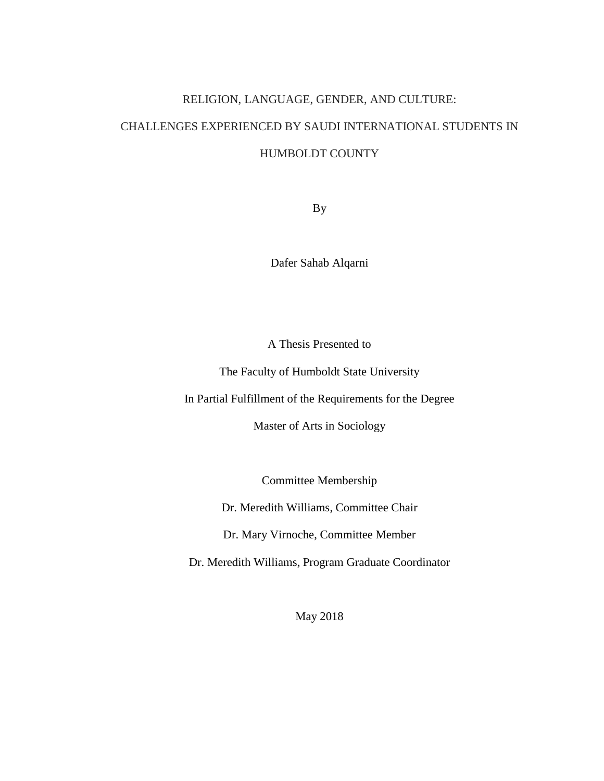# RELIGION, LANGUAGE, GENDER, AND CULTURE: CHALLENGES EXPERIENCED BY SAUDI INTERNATIONAL STUDENTS IN HUMBOLDT COUNTY

By

Dafer Sahab Alqarni

A Thesis Presented to

The Faculty of Humboldt State University

In Partial Fulfillment of the Requirements for the Degree

Master of Arts in Sociology

Committee Membership

Dr. Meredith Williams, Committee Chair

Dr. Mary Virnoche, Committee Member

Dr. Meredith Williams, Program Graduate Coordinator

May 2018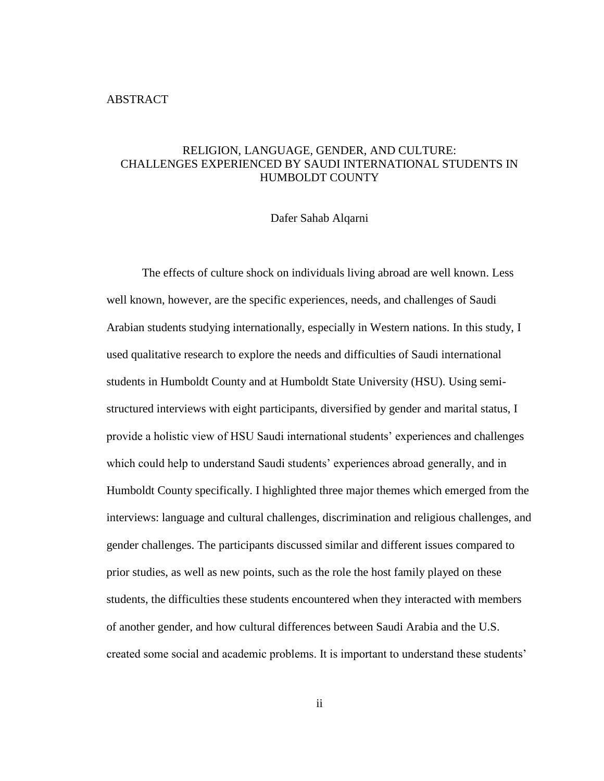#### <span id="page-1-0"></span>ABSTRACT

# RELIGION, LANGUAGE, GENDER, AND CULTURE: CHALLENGES EXPERIENCED BY SAUDI INTERNATIONAL STUDENTS IN HUMBOLDT COUNTY

#### Dafer Sahab Alqarni

The effects of culture shock on individuals living abroad are well known. Less well known, however, are the specific experiences, needs, and challenges of Saudi Arabian students studying internationally, especially in Western nations. In this study, I used qualitative research to explore the needs and difficulties of Saudi international students in Humboldt County and at Humboldt State University (HSU). Using semistructured interviews with eight participants, diversified by gender and marital status, I provide a holistic view of HSU Saudi international students' experiences and challenges which could help to understand Saudi students' experiences abroad generally, and in Humboldt County specifically. I highlighted three major themes which emerged from the interviews: language and cultural challenges, discrimination and religious challenges, and gender challenges. The participants discussed similar and different issues compared to prior studies, as well as new points, such as the role the host family played on these students, the difficulties these students encountered when they interacted with members of another gender, and how cultural differences between Saudi Arabia and the U.S. created some social and academic problems. It is important to understand these students'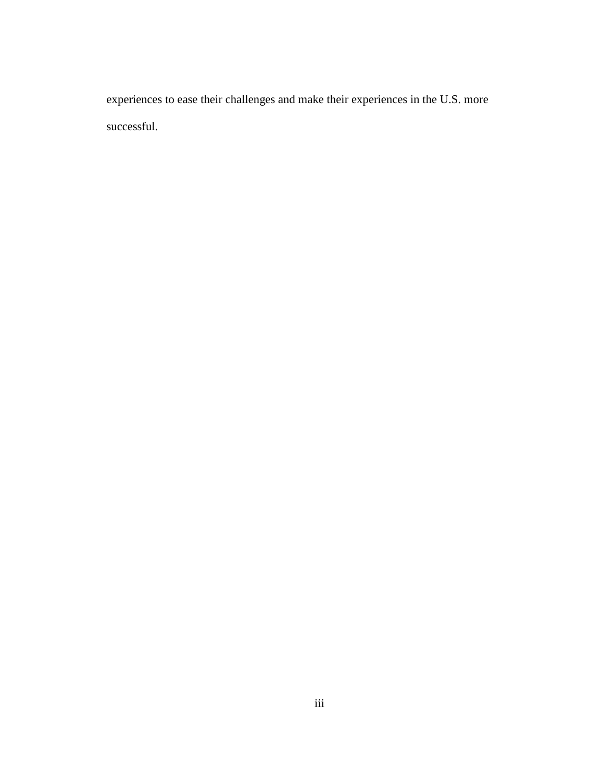experiences to ease their challenges and make their experiences in the U.S. more successful.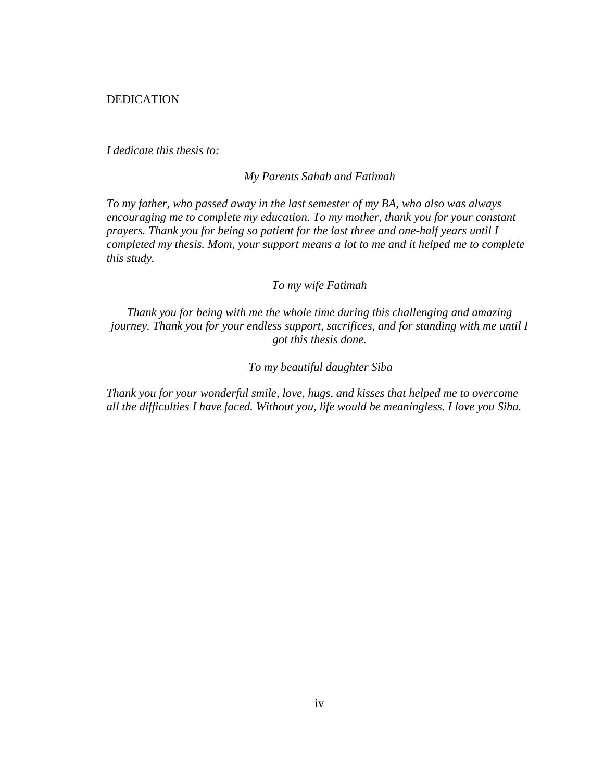<span id="page-3-0"></span>DEDICATION

*I dedicate this thesis to:*

*My Parents Sahab and Fatimah*

*To my father, who passed away in the last semester of my BA, who also was always encouraging me to complete my education. To my mother, thank you for your constant prayers. Thank you for being so patient for the last three and one-half years until I completed my thesis. Mom, your support means a lot to me and it helped me to complete this study.*

*To my wife Fatimah*

*Thank you for being with me the whole time during this challenging and amazing journey. Thank you for your endless support, sacrifices, and for standing with me until I got this thesis done.*

*To my beautiful daughter Siba*

*Thank you for your wonderful smile, love, hugs, and kisses that helped me to overcome all the difficulties I have faced. Without you, life would be meaningless. I love you Siba.*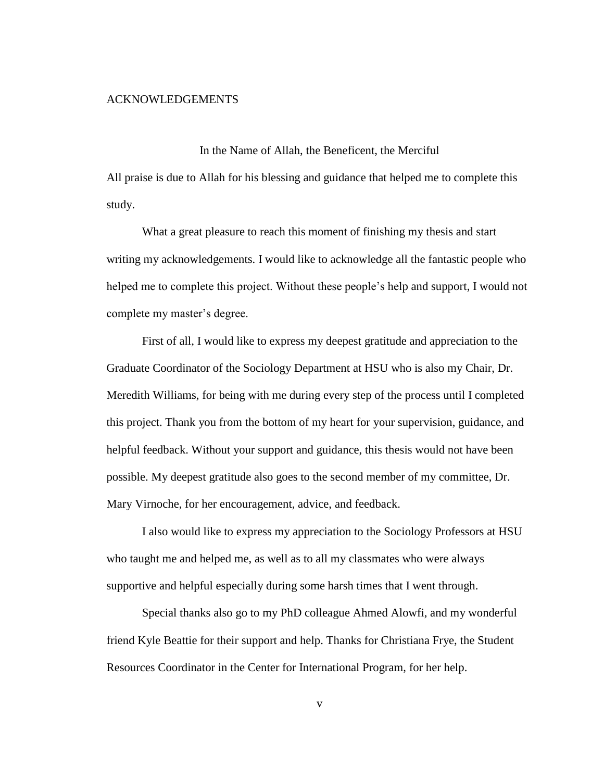#### <span id="page-4-0"></span>ACKNOWLEDGEMENTS

In the Name of Allah, the Beneficent, the Merciful

All praise is due to Allah for his blessing and guidance that helped me to complete this study.

What a great pleasure to reach this moment of finishing my thesis and start writing my acknowledgements. I would like to acknowledge all the fantastic people who helped me to complete this project. Without these people's help and support, I would not complete my master's degree.

First of all, I would like to express my deepest gratitude and appreciation to the Graduate Coordinator of the Sociology Department at HSU who is also my Chair, Dr. Meredith Williams, for being with me during every step of the process until I completed this project. Thank you from the bottom of my heart for your supervision, guidance, and helpful feedback. Without your support and guidance, this thesis would not have been possible. My deepest gratitude also goes to the second member of my committee, Dr. Mary Virnoche, for her encouragement, advice, and feedback.

I also would like to express my appreciation to the Sociology Professors at HSU who taught me and helped me, as well as to all my classmates who were always supportive and helpful especially during some harsh times that I went through.

Special thanks also go to my PhD colleague Ahmed Alowfi, and my wonderful friend Kyle Beattie for their support and help. Thanks for Christiana Frye, the Student Resources Coordinator in the Center for International Program, for her help.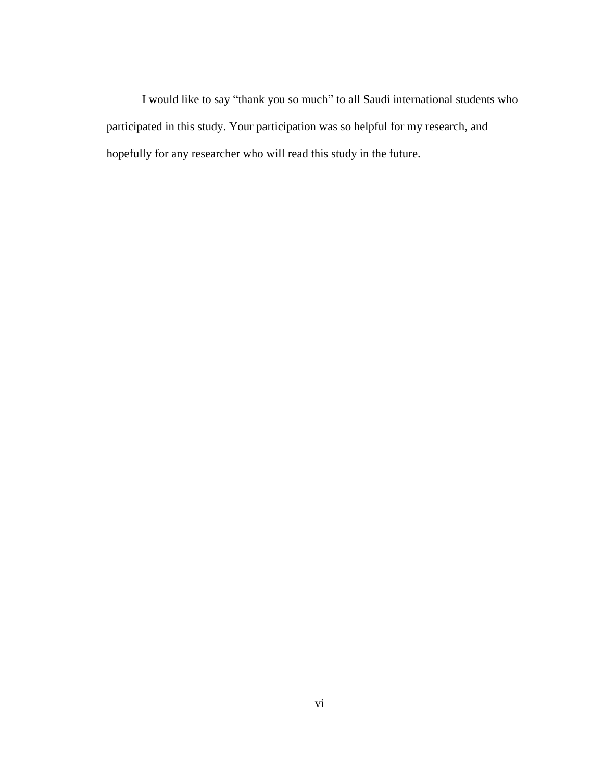I would like to say "thank you so much" to all Saudi international students who participated in this study. Your participation was so helpful for my research, and hopefully for any researcher who will read this study in the future.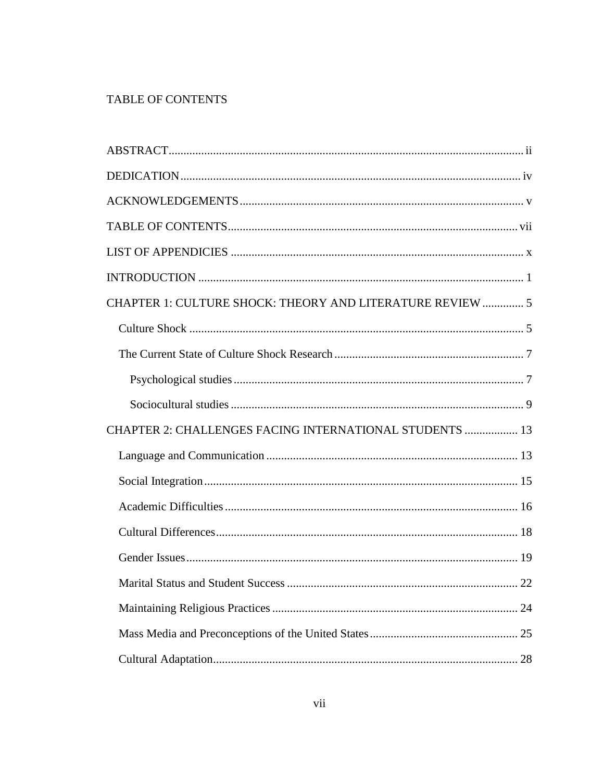# <span id="page-6-0"></span>TABLE OF CONTENTS

| CHAPTER 1: CULTURE SHOCK: THEORY AND LITERATURE REVIEW  5 |    |
|-----------------------------------------------------------|----|
|                                                           |    |
|                                                           |    |
|                                                           |    |
|                                                           |    |
| CHAPTER 2: CHALLENGES FACING INTERNATIONAL STUDENTS  13   |    |
|                                                           |    |
|                                                           |    |
|                                                           |    |
|                                                           |    |
|                                                           |    |
|                                                           | 22 |
|                                                           |    |
|                                                           |    |
|                                                           |    |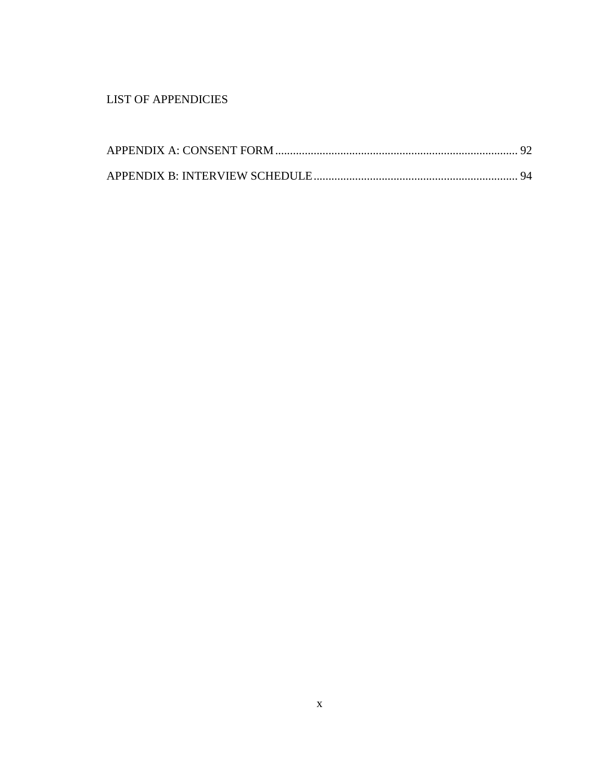# <span id="page-9-0"></span>LIST OF APPENDICIES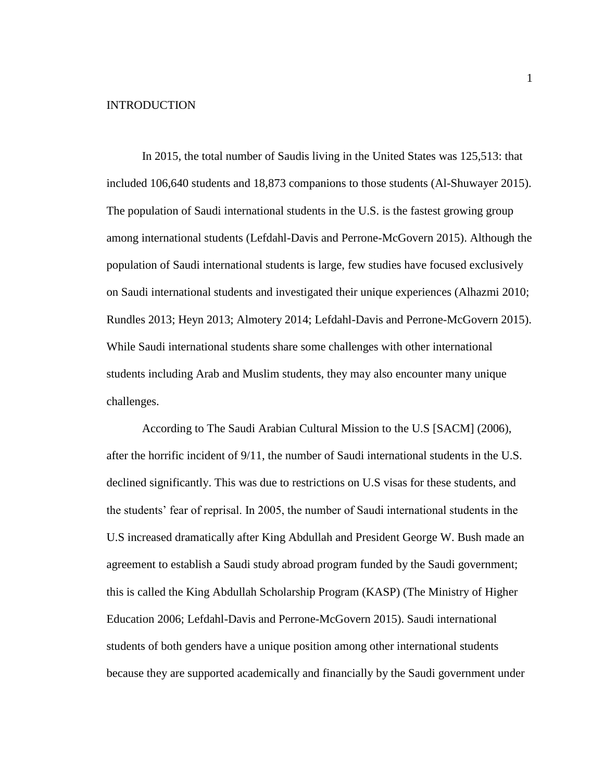#### <span id="page-10-0"></span>INTRODUCTION

In 2015, the total number of Saudis living in the United States was 125,513: that included 106,640 students and 18,873 companions to those students (Al-Shuwayer 2015). The population of Saudi international students in the U.S. is the fastest growing group among international students (Lefdahl-Davis and Perrone-McGovern 2015). Although the population of Saudi international students is large, few studies have focused exclusively on Saudi international students and investigated their unique experiences (Alhazmi 2010; Rundles 2013; Heyn 2013; Almotery 2014; Lefdahl-Davis and Perrone-McGovern 2015). While Saudi international students share some challenges with other international students including Arab and Muslim students, they may also encounter many unique challenges.

According to The Saudi Arabian Cultural Mission to the U.S [SACM] (2006), after the horrific incident of 9/11, the number of Saudi international students in the U.S. declined significantly. This was due to restrictions on U.S visas for these students, and the students' fear of reprisal. In 2005, the number of Saudi international students in the U.S increased dramatically after King Abdullah and President George W. Bush made an agreement to establish a Saudi study abroad program funded by the Saudi government; this is called the King Abdullah Scholarship Program (KASP) (The Ministry of Higher Education 2006; Lefdahl-Davis and Perrone-McGovern 2015). Saudi international students of both genders have a unique position among other international students because they are supported academically and financially by the Saudi government under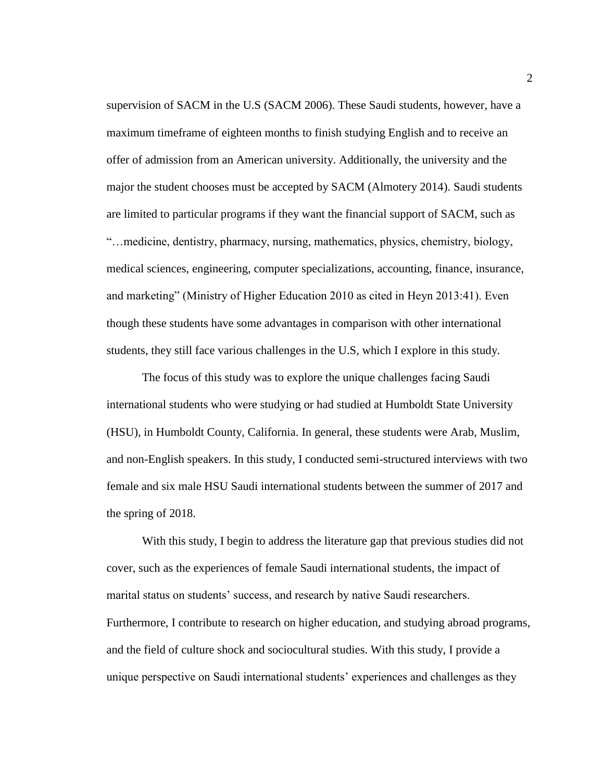supervision of SACM in the U.S (SACM 2006). These Saudi students, however, have a maximum timeframe of eighteen months to finish studying English and to receive an offer of admission from an American university. Additionally, the university and the major the student chooses must be accepted by SACM (Almotery 2014). Saudi students are limited to particular programs if they want the financial support of SACM, such as "…medicine, dentistry, pharmacy, nursing, mathematics, physics, chemistry, biology, medical sciences, engineering, computer specializations, accounting, finance, insurance, and marketing" (Ministry of Higher Education 2010 as cited in Heyn 2013:41). Even though these students have some advantages in comparison with other international students, they still face various challenges in the U.S, which I explore in this study.

The focus of this study was to explore the unique challenges facing Saudi international students who were studying or had studied at Humboldt State University (HSU), in Humboldt County, California. In general, these students were Arab, Muslim, and non-English speakers. In this study, I conducted semi-structured interviews with two female and six male HSU Saudi international students between the summer of 2017 and the spring of 2018.

With this study, I begin to address the literature gap that previous studies did not cover, such as the experiences of female Saudi international students, the impact of marital status on students' success, and research by native Saudi researchers. Furthermore, I contribute to research on higher education, and studying abroad programs, and the field of culture shock and sociocultural studies. With this study, I provide a unique perspective on Saudi international students' experiences and challenges as they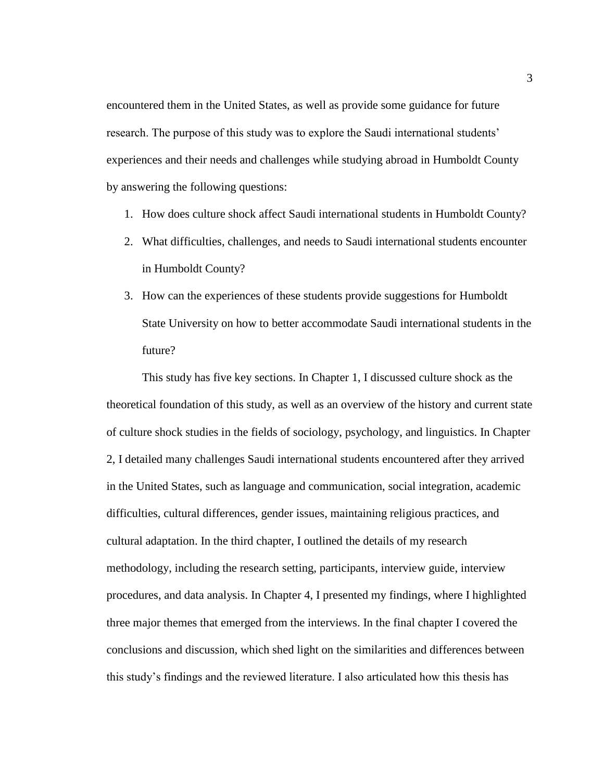encountered them in the United States, as well as provide some guidance for future research. The purpose of this study was to explore the Saudi international students' experiences and their needs and challenges while studying abroad in Humboldt County by answering the following questions:

- 1. How does culture shock affect Saudi international students in Humboldt County?
- 2. What difficulties, challenges, and needs to Saudi international students encounter in Humboldt County?
- 3. How can the experiences of these students provide suggestions for Humboldt State University on how to better accommodate Saudi international students in the future?

This study has five key sections. In Chapter 1, I discussed culture shock as the theoretical foundation of this study, as well as an overview of the history and current state of culture shock studies in the fields of sociology, psychology, and linguistics. In Chapter 2, I detailed many challenges Saudi international students encountered after they arrived in the United States, such as language and communication, social integration, academic difficulties, cultural differences, gender issues, maintaining religious practices, and cultural adaptation. In the third chapter, I outlined the details of my research methodology, including the research setting, participants, interview guide, interview procedures, and data analysis. In Chapter 4, I presented my findings, where I highlighted three major themes that emerged from the interviews. In the final chapter I covered the conclusions and discussion, which shed light on the similarities and differences between this study's findings and the reviewed literature. I also articulated how this thesis has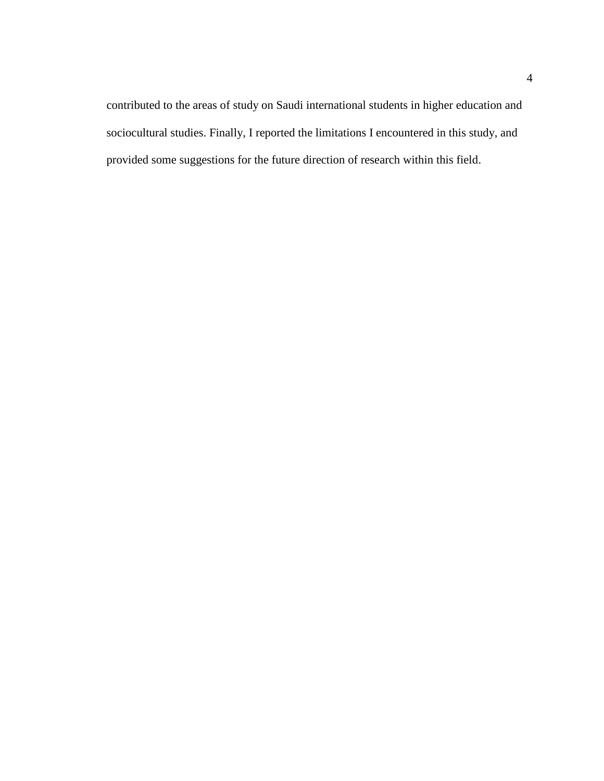contributed to the areas of study on Saudi international students in higher education and sociocultural studies. Finally, I reported the limitations I encountered in this study, and provided some suggestions for the future direction of research within this field.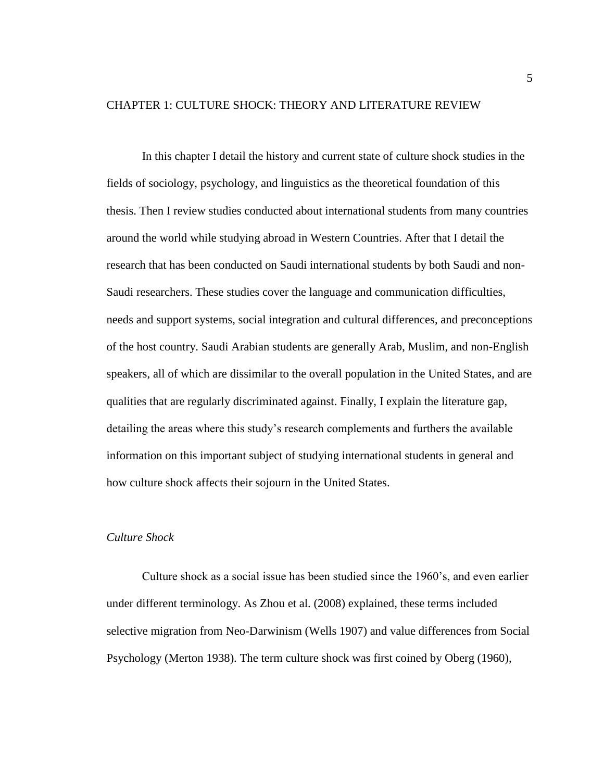# <span id="page-14-0"></span>CHAPTER 1: CULTURE SHOCK: THEORY AND LITERATURE REVIEW

In this chapter I detail the history and current state of culture shock studies in the fields of sociology, psychology, and linguistics as the theoretical foundation of this thesis. Then I review studies conducted about international students from many countries around the world while studying abroad in Western Countries. After that I detail the research that has been conducted on Saudi international students by both Saudi and non-Saudi researchers. These studies cover the language and communication difficulties, needs and support systems, social integration and cultural differences, and preconceptions of the host country. Saudi Arabian students are generally Arab, Muslim, and non-English speakers, all of which are dissimilar to the overall population in the United States, and are qualities that are regularly discriminated against. Finally, I explain the literature gap, detailing the areas where this study's research complements and furthers the available information on this important subject of studying international students in general and how culture shock affects their sojourn in the United States.

# <span id="page-14-1"></span>*Culture Shock*

Culture shock as a social issue has been studied since the 1960's, and even earlier under different terminology. As Zhou et al. (2008) explained, these terms included selective migration from Neo-Darwinism (Wells 1907) and value differences from Social Psychology (Merton 1938). The term culture shock was first coined by Oberg (1960),

5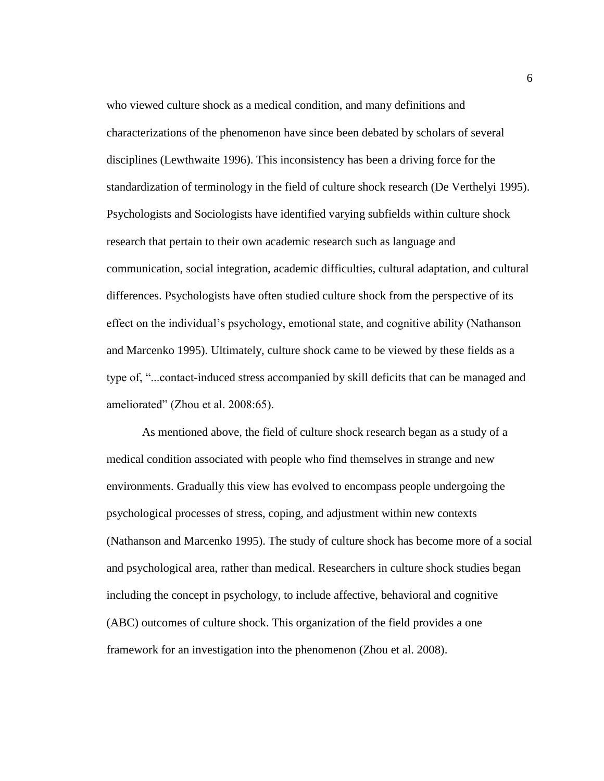who viewed culture shock as a medical condition, and many definitions and characterizations of the phenomenon have since been debated by scholars of several disciplines (Lewthwaite 1996). This inconsistency has been a driving force for the standardization of terminology in the field of culture shock research (De Verthelyi 1995). Psychologists and Sociologists have identified varying subfields within culture shock research that pertain to their own academic research such as language and communication, social integration, academic difficulties, cultural adaptation, and cultural differences. Psychologists have often studied culture shock from the perspective of its effect on the individual's psychology, emotional state, and cognitive ability (Nathanson and Marcenko 1995). Ultimately, culture shock came to be viewed by these fields as a type of, "...contact-induced stress accompanied by skill deficits that can be managed and ameliorated" (Zhou et al. 2008:65).

As mentioned above, the field of culture shock research began as a study of a medical condition associated with people who find themselves in strange and new environments. Gradually this view has evolved to encompass people undergoing the psychological processes of stress, coping, and adjustment within new contexts (Nathanson and Marcenko 1995). The study of culture shock has become more of a social and psychological area, rather than medical. Researchers in culture shock studies began including the concept in psychology, to include affective, behavioral and cognitive (ABC) outcomes of culture shock. This organization of the field provides a one framework for an investigation into the phenomenon (Zhou et al. 2008).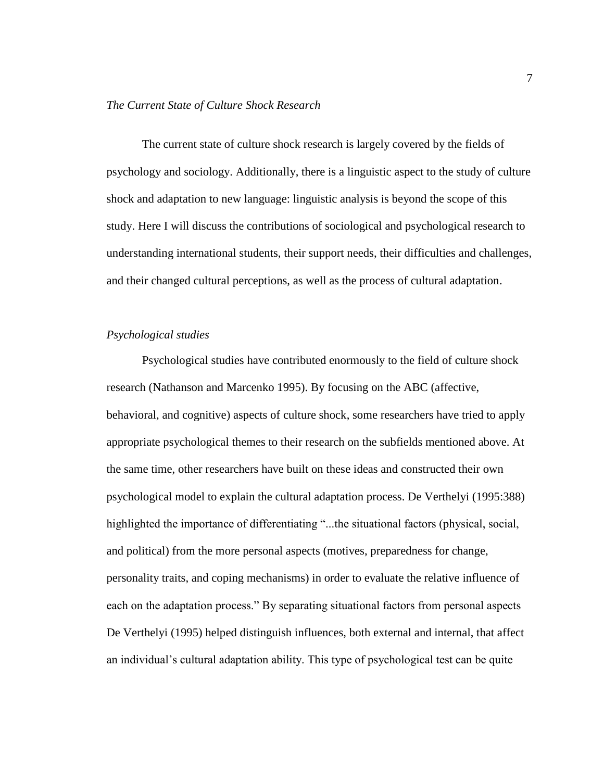#### <span id="page-16-0"></span>*The Current State of Culture Shock Research*

The current state of culture shock research is largely covered by the fields of psychology and sociology. Additionally, there is a linguistic aspect to the study of culture shock and adaptation to new language: linguistic analysis is beyond the scope of this study. Here I will discuss the contributions of sociological and psychological research to understanding international students, their support needs, their difficulties and challenges, and their changed cultural perceptions, as well as the process of cultural adaptation.

#### <span id="page-16-1"></span>*Psychological studies*

Psychological studies have contributed enormously to the field of culture shock research (Nathanson and Marcenko 1995). By focusing on the ABC (affective, behavioral, and cognitive) aspects of culture shock, some researchers have tried to apply appropriate psychological themes to their research on the subfields mentioned above. At the same time, other researchers have built on these ideas and constructed their own psychological model to explain the cultural adaptation process. De Verthelyi (1995:388) highlighted the importance of differentiating "...the situational factors (physical, social, and political) from the more personal aspects (motives, preparedness for change, personality traits, and coping mechanisms) in order to evaluate the relative influence of each on the adaptation process." By separating situational factors from personal aspects De Verthelyi (1995) helped distinguish influences, both external and internal, that affect an individual's cultural adaptation ability. This type of psychological test can be quite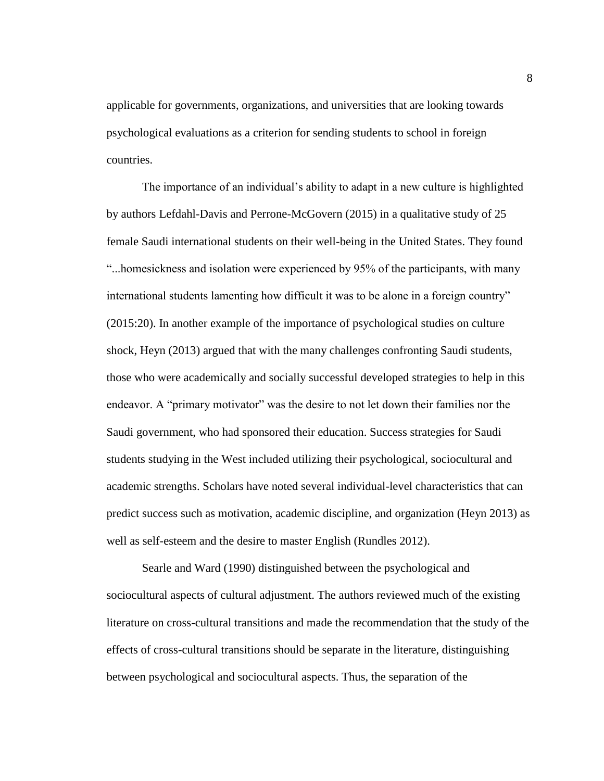applicable for governments, organizations, and universities that are looking towards psychological evaluations as a criterion for sending students to school in foreign countries.

The importance of an individual's ability to adapt in a new culture is highlighted by authors Lefdahl-Davis and Perrone-McGovern (2015) in a qualitative study of 25 female Saudi international students on their well-being in the United States. They found "...homesickness and isolation were experienced by 95% of the participants, with many international students lamenting how difficult it was to be alone in a foreign country" (2015:20). In another example of the importance of psychological studies on culture shock, Heyn (2013) argued that with the many challenges confronting Saudi students, those who were academically and socially successful developed strategies to help in this endeavor. A "primary motivator" was the desire to not let down their families nor the Saudi government, who had sponsored their education. Success strategies for Saudi students studying in the West included utilizing their psychological, sociocultural and academic strengths. Scholars have noted several individual-level characteristics that can predict success such as motivation, academic discipline, and organization (Heyn 2013) as well as self-esteem and the desire to master English (Rundles 2012).

Searle and Ward (1990) distinguished between the psychological and sociocultural aspects of cultural adjustment. The authors reviewed much of the existing literature on cross-cultural transitions and made the recommendation that the study of the effects of cross-cultural transitions should be separate in the literature, distinguishing between psychological and sociocultural aspects. Thus, the separation of the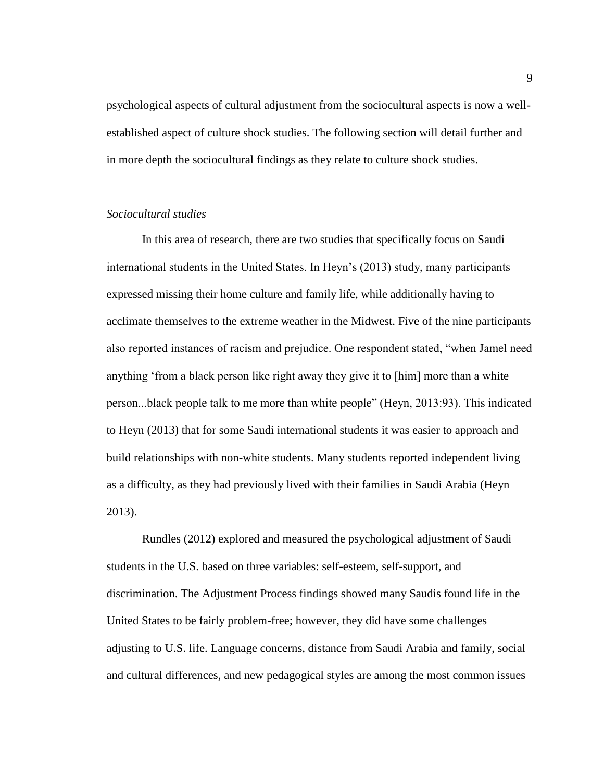psychological aspects of cultural adjustment from the sociocultural aspects is now a wellestablished aspect of culture shock studies. The following section will detail further and in more depth the sociocultural findings as they relate to culture shock studies.

## <span id="page-18-0"></span>*Sociocultural studies*

In this area of research, there are two studies that specifically focus on Saudi international students in the United States. In Heyn's (2013) study, many participants expressed missing their home culture and family life, while additionally having to acclimate themselves to the extreme weather in the Midwest. Five of the nine participants also reported instances of racism and prejudice. One respondent stated, "when Jamel need anything 'from a black person like right away they give it to [him] more than a white person...black people talk to me more than white people" (Heyn, 2013:93). This indicated to Heyn (2013) that for some Saudi international students it was easier to approach and build relationships with non-white students. Many students reported independent living as a difficulty, as they had previously lived with their families in Saudi Arabia (Heyn 2013).

Rundles (2012) explored and measured the psychological adjustment of Saudi students in the U.S. based on three variables: self-esteem, self-support, and discrimination. The Adjustment Process findings showed many Saudis found life in the United States to be fairly problem-free; however, they did have some challenges adjusting to U.S. life. Language concerns, distance from Saudi Arabia and family, social and cultural differences, and new pedagogical styles are among the most common issues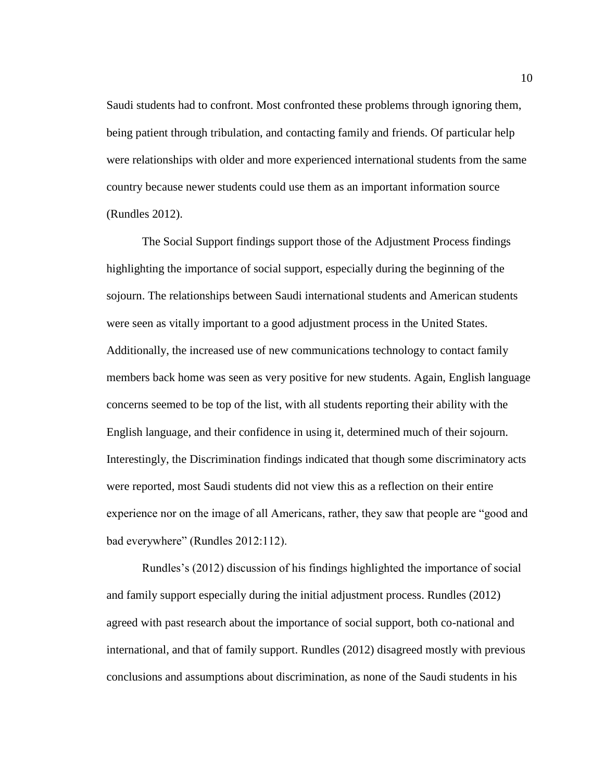Saudi students had to confront. Most confronted these problems through ignoring them, being patient through tribulation, and contacting family and friends. Of particular help were relationships with older and more experienced international students from the same country because newer students could use them as an important information source (Rundles 2012).

The Social Support findings support those of the Adjustment Process findings highlighting the importance of social support, especially during the beginning of the sojourn. The relationships between Saudi international students and American students were seen as vitally important to a good adjustment process in the United States. Additionally, the increased use of new communications technology to contact family members back home was seen as very positive for new students. Again, English language concerns seemed to be top of the list, with all students reporting their ability with the English language, and their confidence in using it, determined much of their sojourn. Interestingly, the Discrimination findings indicated that though some discriminatory acts were reported, most Saudi students did not view this as a reflection on their entire experience nor on the image of all Americans, rather, they saw that people are "good and bad everywhere" (Rundles 2012:112).

Rundles's (2012) discussion of his findings highlighted the importance of social and family support especially during the initial adjustment process. Rundles (2012) agreed with past research about the importance of social support, both co-national and international, and that of family support. Rundles (2012) disagreed mostly with previous conclusions and assumptions about discrimination, as none of the Saudi students in his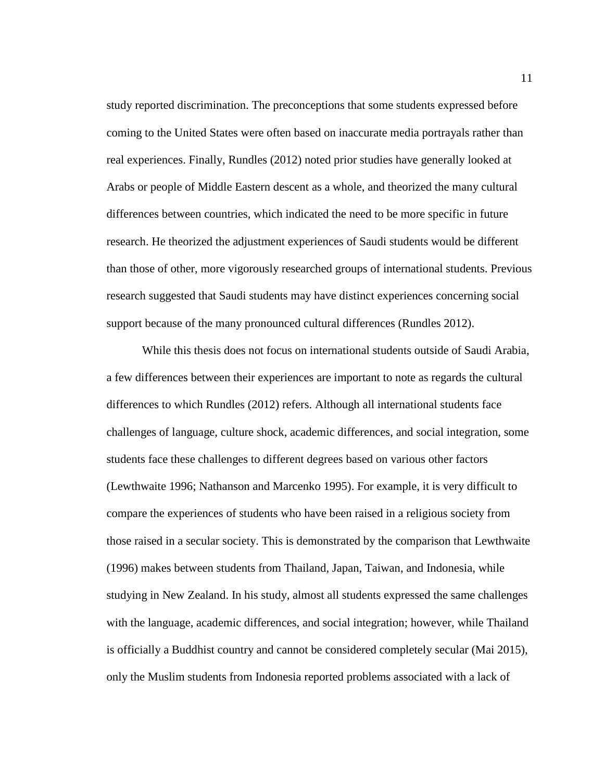study reported discrimination. The preconceptions that some students expressed before coming to the United States were often based on inaccurate media portrayals rather than real experiences. Finally, Rundles (2012) noted prior studies have generally looked at Arabs or people of Middle Eastern descent as a whole, and theorized the many cultural differences between countries, which indicated the need to be more specific in future research. He theorized the adjustment experiences of Saudi students would be different than those of other, more vigorously researched groups of international students. Previous research suggested that Saudi students may have distinct experiences concerning social support because of the many pronounced cultural differences (Rundles 2012).

While this thesis does not focus on international students outside of Saudi Arabia, a few differences between their experiences are important to note as regards the cultural differences to which Rundles (2012) refers. Although all international students face challenges of language, culture shock, academic differences, and social integration, some students face these challenges to different degrees based on various other factors (Lewthwaite 1996; Nathanson and Marcenko 1995). For example, it is very difficult to compare the experiences of students who have been raised in a religious society from those raised in a secular society. This is demonstrated by the comparison that Lewthwaite (1996) makes between students from Thailand, Japan, Taiwan, and Indonesia, while studying in New Zealand. In his study, almost all students expressed the same challenges with the language, academic differences, and social integration; however, while Thailand is officially a Buddhist country and cannot be considered completely secular (Mai 2015), only the Muslim students from Indonesia reported problems associated with a lack of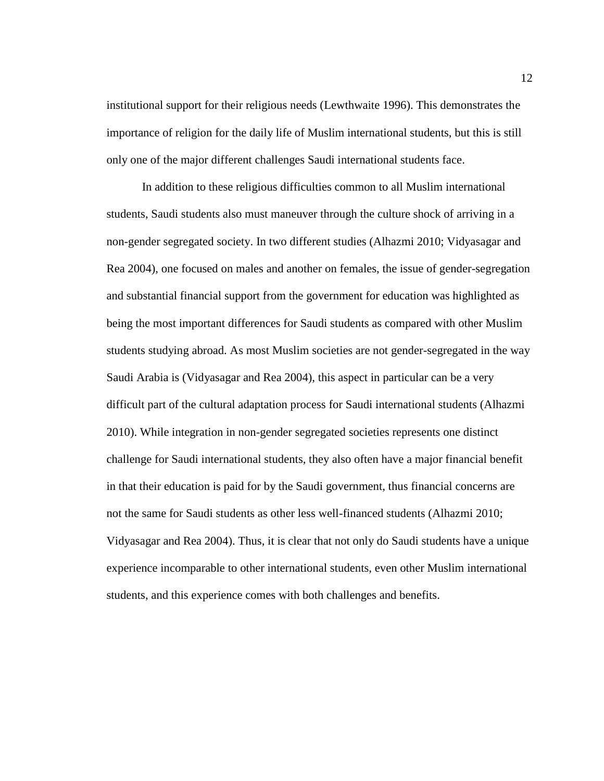institutional support for their religious needs (Lewthwaite 1996). This demonstrates the importance of religion for the daily life of Muslim international students, but this is still only one of the major different challenges Saudi international students face.

In addition to these religious difficulties common to all Muslim international students, Saudi students also must maneuver through the culture shock of arriving in a non-gender segregated society. In two different studies (Alhazmi 2010; Vidyasagar and Rea 2004), one focused on males and another on females, the issue of gender-segregation and substantial financial support from the government for education was highlighted as being the most important differences for Saudi students as compared with other Muslim students studying abroad. As most Muslim societies are not gender-segregated in the way Saudi Arabia is (Vidyasagar and Rea 2004), this aspect in particular can be a very difficult part of the cultural adaptation process for Saudi international students (Alhazmi 2010). While integration in non-gender segregated societies represents one distinct challenge for Saudi international students, they also often have a major financial benefit in that their education is paid for by the Saudi government, thus financial concerns are not the same for Saudi students as other less well-financed students (Alhazmi 2010; Vidyasagar and Rea 2004). Thus, it is clear that not only do Saudi students have a unique experience incomparable to other international students, even other Muslim international students, and this experience comes with both challenges and benefits.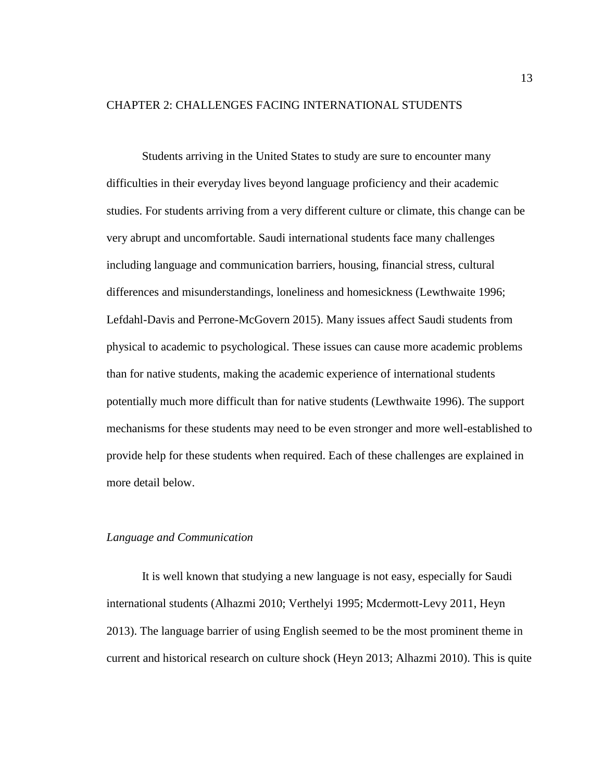# <span id="page-22-0"></span>CHAPTER 2: CHALLENGES FACING INTERNATIONAL STUDENTS

Students arriving in the United States to study are sure to encounter many difficulties in their everyday lives beyond language proficiency and their academic studies. For students arriving from a very different culture or climate, this change can be very abrupt and uncomfortable. Saudi international students face many challenges including language and communication barriers, housing, financial stress, cultural differences and misunderstandings, loneliness and homesickness (Lewthwaite 1996; Lefdahl-Davis and Perrone-McGovern 2015). Many issues affect Saudi students from physical to academic to psychological. These issues can cause more academic problems than for native students, making the academic experience of international students potentially much more difficult than for native students (Lewthwaite 1996). The support mechanisms for these students may need to be even stronger and more well-established to provide help for these students when required. Each of these challenges are explained in more detail below.

#### <span id="page-22-1"></span>*Language and Communication*

It is well known that studying a new language is not easy, especially for Saudi international students (Alhazmi 2010; Verthelyi 1995; Mcdermott-Levy 2011, Heyn 2013). The language barrier of using English seemed to be the most prominent theme in current and historical research on culture shock (Heyn 2013; Alhazmi 2010). This is quite

13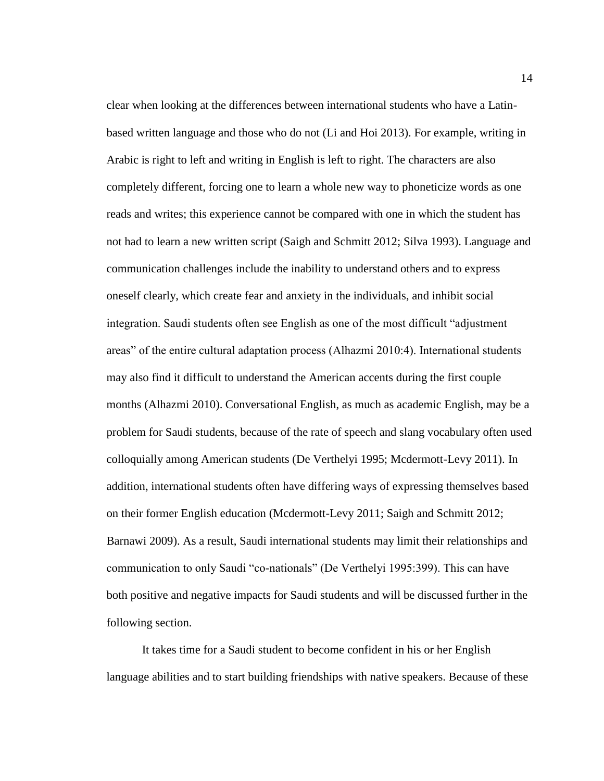clear when looking at the differences between international students who have a Latinbased written language and those who do not (Li and Hoi 2013). For example, writing in Arabic is right to left and writing in English is left to right. The characters are also completely different, forcing one to learn a whole new way to phoneticize words as one reads and writes; this experience cannot be compared with one in which the student has not had to learn a new written script (Saigh and Schmitt 2012; Silva 1993). Language and communication challenges include the inability to understand others and to express oneself clearly, which create fear and anxiety in the individuals, and inhibit social integration. Saudi students often see English as one of the most difficult "adjustment areas" of the entire cultural adaptation process (Alhazmi 2010:4). International students may also find it difficult to understand the American accents during the first couple months (Alhazmi 2010). Conversational English, as much as academic English, may be a problem for Saudi students, because of the rate of speech and slang vocabulary often used colloquially among American students (De Verthelyi 1995; Mcdermott-Levy 2011). In addition, international students often have differing ways of expressing themselves based on their former English education (Mcdermott-Levy 2011; Saigh and Schmitt 2012; Barnawi 2009). As a result, Saudi international students may limit their relationships and communication to only Saudi "co-nationals" (De Verthelyi 1995:399). This can have both positive and negative impacts for Saudi students and will be discussed further in the following section.

It takes time for a Saudi student to become confident in his or her English language abilities and to start building friendships with native speakers. Because of these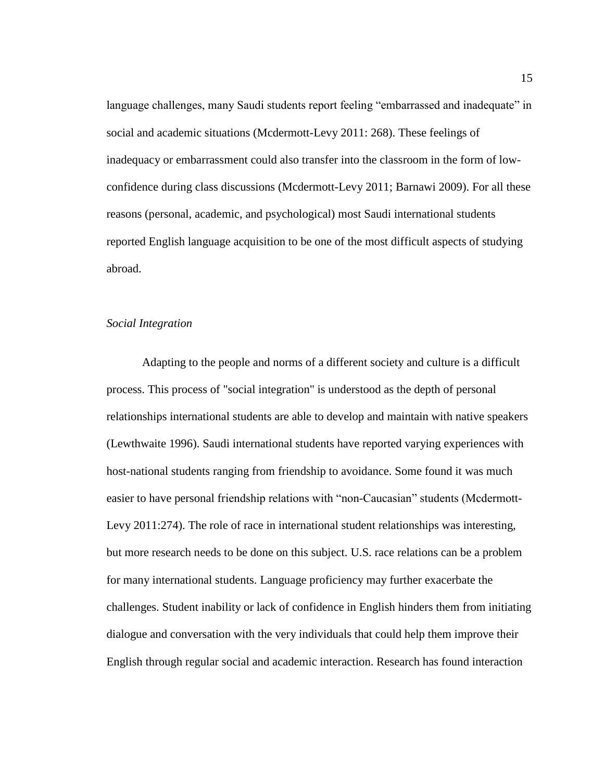language challenges, many Saudi students report feeling "embarrassed and inadequate" in social and academic situations (Mcdermott-Levy 2011: 268). These feelings of inadequacy or embarrassment could also transfer into the classroom in the form of lowconfidence during class discussions (Mcdermott-Levy 2011; Barnawi 2009). For all these reasons (personal, academic, and psychological) most Saudi international students reported English language acquisition to be one of the most difficult aspects of studying abroad.

#### <span id="page-24-0"></span>*Social Integration*

Adapting to the people and norms of a different society and culture is a difficult process. This process of "social integration" is understood as the depth of personal relationships international students are able to develop and maintain with native speakers (Lewthwaite 1996). Saudi international students have reported varying experiences with host-national students ranging from friendship to avoidance. Some found it was much easier to have personal friendship relations with "non-Caucasian" students (Mcdermott-Levy 2011:274). The role of race in international student relationships was interesting, but more research needs to be done on this subject. U.S. race relations can be a problem for many international students. Language proficiency may further exacerbate the challenges. Student inability or lack of confidence in English hinders them from initiating dialogue and conversation with the very individuals that could help them improve their English through regular social and academic interaction. Research has found interaction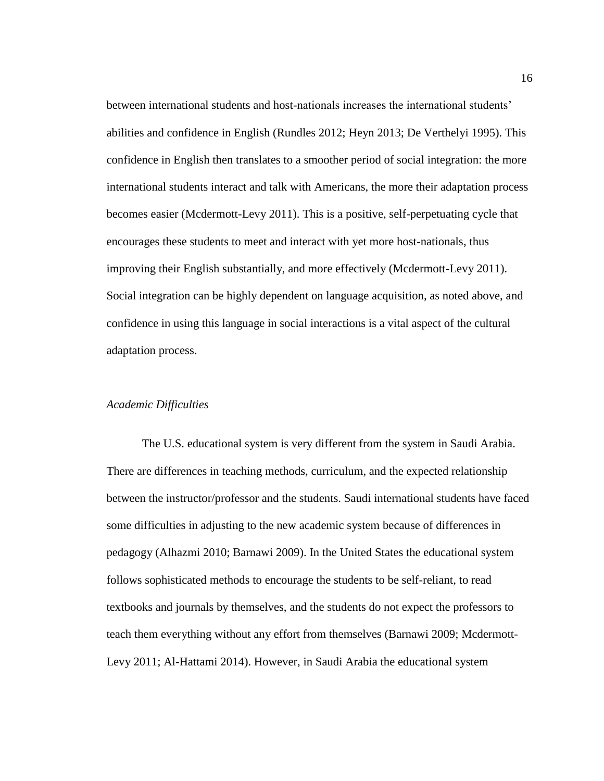between international students and host-nationals increases the international students' abilities and confidence in English (Rundles 2012; Heyn 2013; De Verthelyi 1995). This confidence in English then translates to a smoother period of social integration: the more international students interact and talk with Americans, the more their adaptation process becomes easier (Mcdermott-Levy 2011). This is a positive, self-perpetuating cycle that encourages these students to meet and interact with yet more host-nationals, thus improving their English substantially, and more effectively (Mcdermott-Levy 2011). Social integration can be highly dependent on language acquisition, as noted above, and confidence in using this language in social interactions is a vital aspect of the cultural adaptation process.

#### <span id="page-25-0"></span>*Academic Difficulties*

The U.S. educational system is very different from the system in Saudi Arabia. There are differences in teaching methods, curriculum, and the expected relationship between the instructor/professor and the students. Saudi international students have faced some difficulties in adjusting to the new academic system because of differences in pedagogy (Alhazmi 2010; Barnawi 2009). In the United States the educational system follows sophisticated methods to encourage the students to be self-reliant, to read textbooks and journals by themselves, and the students do not expect the professors to teach them everything without any effort from themselves (Barnawi 2009; Mcdermott-Levy 2011; Al-Hattami 2014). However, in Saudi Arabia the educational system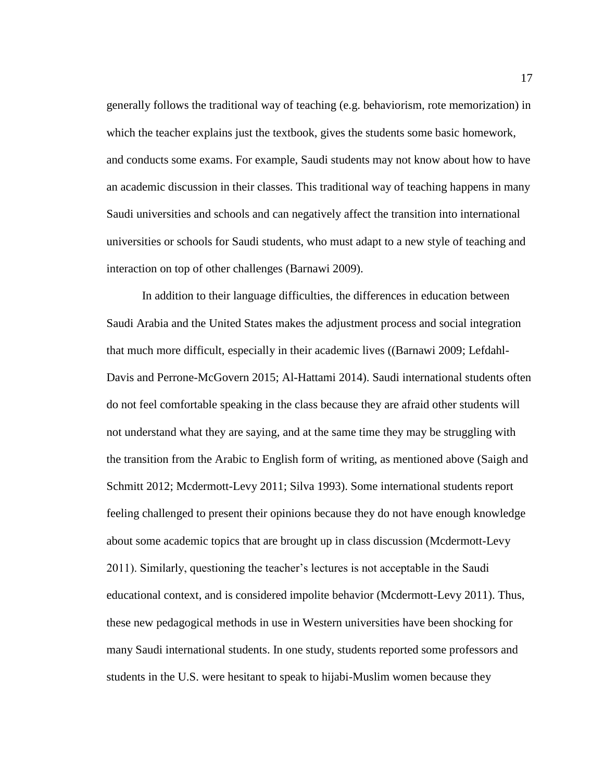generally follows the traditional way of teaching (e.g. behaviorism, rote memorization) in which the teacher explains just the textbook, gives the students some basic homework, and conducts some exams. For example, Saudi students may not know about how to have an academic discussion in their classes. This traditional way of teaching happens in many Saudi universities and schools and can negatively affect the transition into international universities or schools for Saudi students, who must adapt to a new style of teaching and interaction on top of other challenges (Barnawi 2009).

In addition to their language difficulties, the differences in education between Saudi Arabia and the United States makes the adjustment process and social integration that much more difficult, especially in their academic lives ((Barnawi 2009; Lefdahl-Davis and Perrone-McGovern 2015; Al-Hattami 2014). Saudi international students often do not feel comfortable speaking in the class because they are afraid other students will not understand what they are saying, and at the same time they may be struggling with the transition from the Arabic to English form of writing, as mentioned above (Saigh and Schmitt 2012; Mcdermott-Levy 2011; Silva 1993). Some international students report feeling challenged to present their opinions because they do not have enough knowledge about some academic topics that are brought up in class discussion (Mcdermott-Levy 2011). Similarly, questioning the teacher's lectures is not acceptable in the Saudi educational context, and is considered impolite behavior (Mcdermott-Levy 2011). Thus, these new pedagogical methods in use in Western universities have been shocking for many Saudi international students. In one study, students reported some professors and students in the U.S. were hesitant to speak to hijabi-Muslim women because they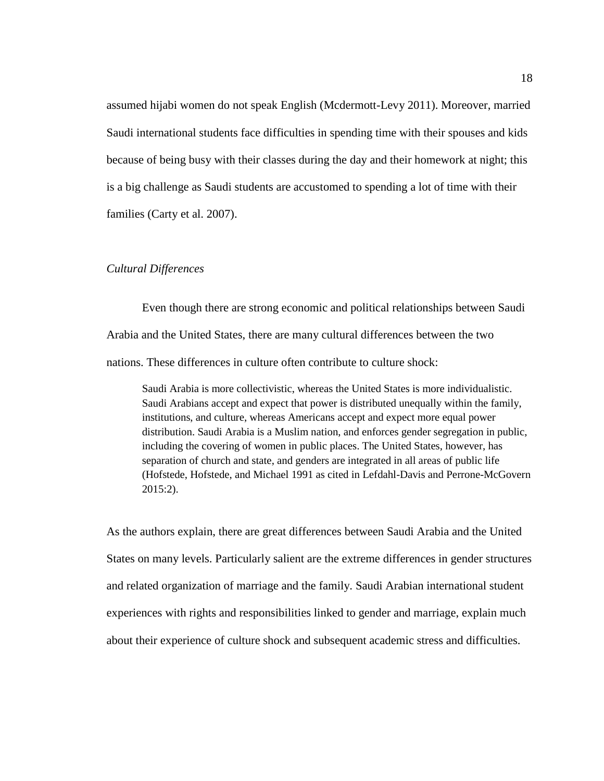assumed hijabi women do not speak English (Mcdermott-Levy 2011). Moreover, married Saudi international students face difficulties in spending time with their spouses and kids because of being busy with their classes during the day and their homework at night; this is a big challenge as Saudi students are accustomed to spending a lot of time with their families (Carty et al. 2007).

# <span id="page-27-0"></span>*Cultural Differences*

Even though there are strong economic and political relationships between Saudi Arabia and the United States, there are many cultural differences between the two nations. These differences in culture often contribute to culture shock:

Saudi Arabia is more collectivistic, whereas the United States is more individualistic. Saudi Arabians accept and expect that power is distributed unequally within the family, institutions, and culture, whereas Americans accept and expect more equal power distribution. Saudi Arabia is a Muslim nation, and enforces gender segregation in public, including the covering of women in public places. The United States, however, has separation of church and state, and genders are integrated in all areas of public life (Hofstede, Hofstede, and Michael 1991 as cited in Lefdahl-Davis and Perrone-McGovern 2015:2).

As the authors explain, there are great differences between Saudi Arabia and the United States on many levels. Particularly salient are the extreme differences in gender structures and related organization of marriage and the family. Saudi Arabian international student experiences with rights and responsibilities linked to gender and marriage, explain much about their experience of culture shock and subsequent academic stress and difficulties.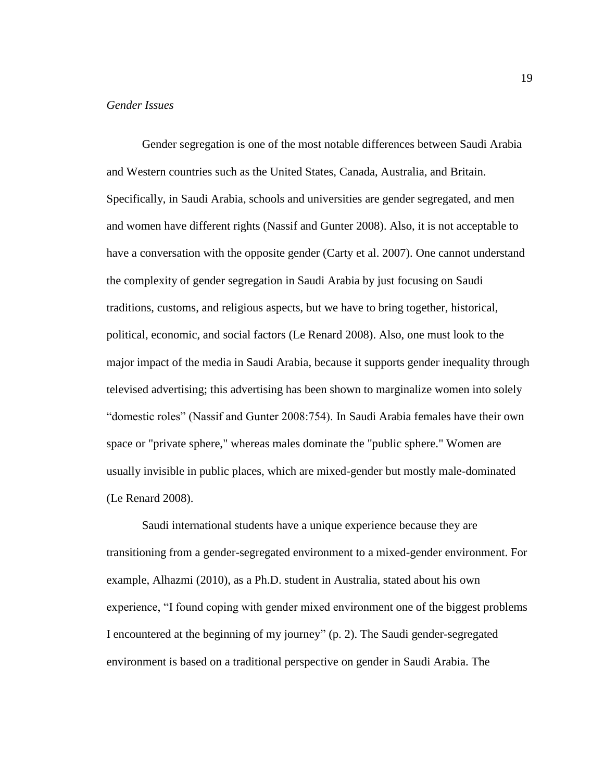#### <span id="page-28-0"></span>*Gender Issues*

Gender segregation is one of the most notable differences between Saudi Arabia and Western countries such as the United States, Canada, Australia, and Britain. Specifically, in Saudi Arabia, schools and universities are gender segregated, and men and women have different rights (Nassif and Gunter 2008). Also, it is not acceptable to have a conversation with the opposite gender (Carty et al. 2007). One cannot understand the complexity of gender segregation in Saudi Arabia by just focusing on Saudi traditions, customs, and religious aspects, but we have to bring together, historical, political, economic, and social factors (Le Renard 2008). Also, one must look to the major impact of the media in Saudi Arabia, because it supports gender inequality through televised advertising; this advertising has been shown to marginalize women into solely "domestic roles" (Nassif and Gunter 2008:754). In Saudi Arabia females have their own space or "private sphere," whereas males dominate the "public sphere." Women are usually invisible in public places, which are mixed-gender but mostly male-dominated (Le Renard 2008).

Saudi international students have a unique experience because they are transitioning from a gender-segregated environment to a mixed-gender environment. For example, Alhazmi (2010), as a Ph.D. student in Australia, stated about his own experience, "I found coping with gender mixed environment one of the biggest problems I encountered at the beginning of my journey" (p. 2). The Saudi gender-segregated environment is based on a traditional perspective on gender in Saudi Arabia. The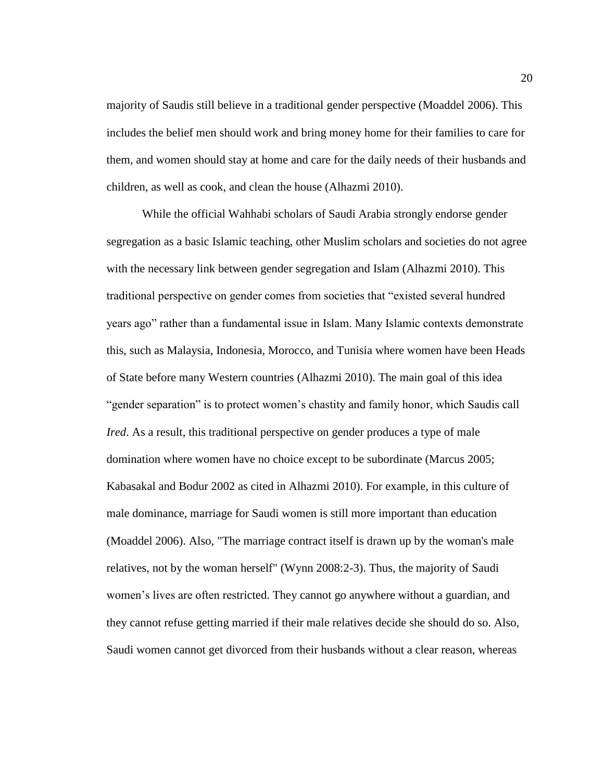majority of Saudis still believe in a traditional gender perspective (Moaddel 2006). This includes the belief men should work and bring money home for their families to care for them, and women should stay at home and care for the daily needs of their husbands and children, as well as cook, and clean the house (Alhazmi 2010).

While the official Wahhabi scholars of Saudi Arabia strongly endorse gender segregation as a basic Islamic teaching, other Muslim scholars and societies do not agree with the necessary link between gender segregation and Islam (Alhazmi 2010). This traditional perspective on gender comes from societies that "existed several hundred years ago" rather than a fundamental issue in Islam. Many Islamic contexts demonstrate this, such as Malaysia, Indonesia, Morocco, and Tunisia where women have been Heads of State before many Western countries (Alhazmi 2010). The main goal of this idea "gender separation" is to protect women's chastity and family honor, which Saudis call *Ired*. As a result, this traditional perspective on gender produces a type of male domination where women have no choice except to be subordinate (Marcus 2005; Kabasakal and Bodur 2002 as cited in Alhazmi 2010). For example, in this culture of male dominance, marriage for Saudi women is still more important than education (Moaddel 2006). Also, "The marriage contract itself is drawn up by the woman's male relatives, not by the woman herself" (Wynn 2008:2-3). Thus, the majority of Saudi women's lives are often restricted. They cannot go anywhere without a guardian, and they cannot refuse getting married if their male relatives decide she should do so. Also, Saudi women cannot get divorced from their husbands without a clear reason, whereas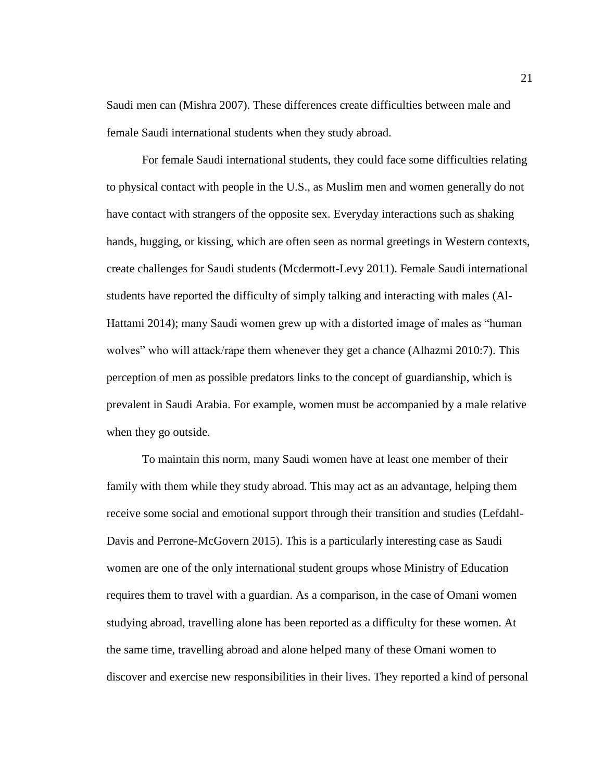Saudi men can (Mishra 2007). These differences create difficulties between male and female Saudi international students when they study abroad.

For female Saudi international students, they could face some difficulties relating to physical contact with people in the U.S., as Muslim men and women generally do not have contact with strangers of the opposite sex. Everyday interactions such as shaking hands, hugging, or kissing, which are often seen as normal greetings in Western contexts, create challenges for Saudi students (Mcdermott-Levy 2011). Female Saudi international students have reported the difficulty of simply talking and interacting with males (Al-Hattami 2014); many Saudi women grew up with a distorted image of males as "human wolves" who will attack/rape them whenever they get a chance (Alhazmi 2010:7). This perception of men as possible predators links to the concept of guardianship, which is prevalent in Saudi Arabia. For example, women must be accompanied by a male relative when they go outside.

To maintain this norm, many Saudi women have at least one member of their family with them while they study abroad. This may act as an advantage, helping them receive some social and emotional support through their transition and studies (Lefdahl-Davis and Perrone-McGovern 2015). This is a particularly interesting case as Saudi women are one of the only international student groups whose Ministry of Education requires them to travel with a guardian. As a comparison, in the case of Omani women studying abroad, travelling alone has been reported as a difficulty for these women. At the same time, travelling abroad and alone helped many of these Omani women to discover and exercise new responsibilities in their lives. They reported a kind of personal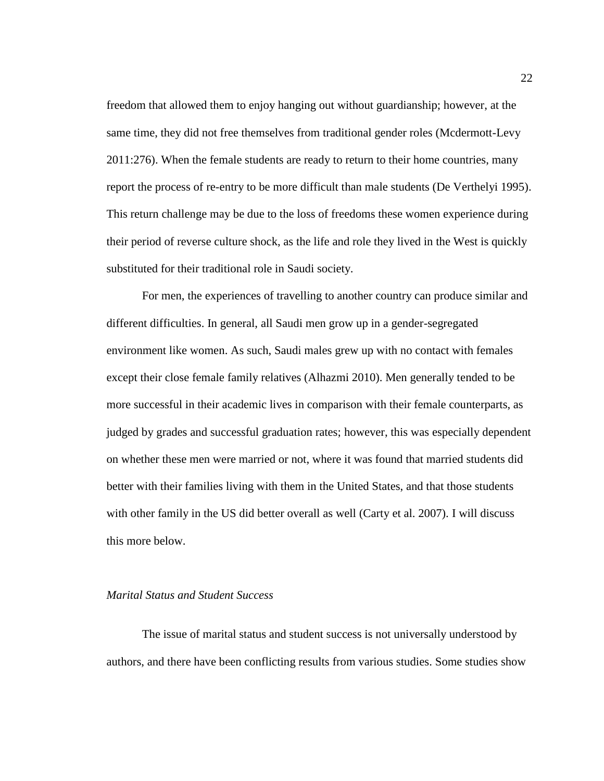freedom that allowed them to enjoy hanging out without guardianship; however, at the same time, they did not free themselves from traditional gender roles (Mcdermott-Levy 2011:276). When the female students are ready to return to their home countries, many report the process of re-entry to be more difficult than male students (De Verthelyi 1995). This return challenge may be due to the loss of freedoms these women experience during their period of reverse culture shock, as the life and role they lived in the West is quickly substituted for their traditional role in Saudi society.

For men, the experiences of travelling to another country can produce similar and different difficulties. In general, all Saudi men grow up in a gender-segregated environment like women. As such, Saudi males grew up with no contact with females except their close female family relatives (Alhazmi 2010). Men generally tended to be more successful in their academic lives in comparison with their female counterparts, as judged by grades and successful graduation rates; however, this was especially dependent on whether these men were married or not, where it was found that married students did better with their families living with them in the United States, and that those students with other family in the US did better overall as well (Carty et al. 2007). I will discuss this more below.

## <span id="page-31-0"></span>*Marital Status and Student Success*

The issue of marital status and student success is not universally understood by authors, and there have been conflicting results from various studies. Some studies show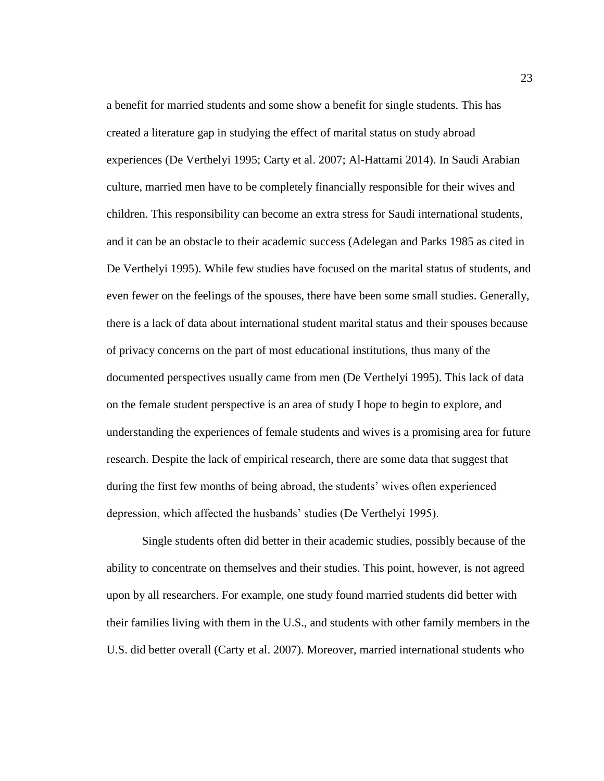a benefit for married students and some show a benefit for single students. This has created a literature gap in studying the effect of marital status on study abroad experiences (De Verthelyi 1995; Carty et al. 2007; Al-Hattami 2014). In Saudi Arabian culture, married men have to be completely financially responsible for their wives and children. This responsibility can become an extra stress for Saudi international students, and it can be an obstacle to their academic success (Adelegan and Parks 1985 as cited in De Verthelyi 1995). While few studies have focused on the marital status of students, and even fewer on the feelings of the spouses, there have been some small studies. Generally, there is a lack of data about international student marital status and their spouses because of privacy concerns on the part of most educational institutions, thus many of the documented perspectives usually came from men (De Verthelyi 1995). This lack of data on the female student perspective is an area of study I hope to begin to explore, and understanding the experiences of female students and wives is a promising area for future research. Despite the lack of empirical research, there are some data that suggest that during the first few months of being abroad, the students' wives often experienced depression, which affected the husbands' studies (De Verthelyi 1995).

Single students often did better in their academic studies, possibly because of the ability to concentrate on themselves and their studies. This point, however, is not agreed upon by all researchers. For example, one study found married students did better with their families living with them in the U.S., and students with other family members in the U.S. did better overall (Carty et al. 2007). Moreover, married international students who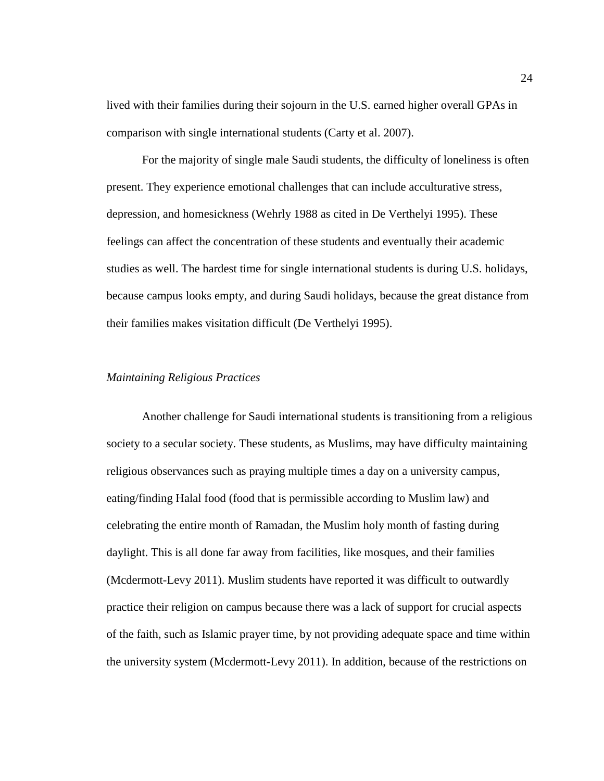lived with their families during their sojourn in the U.S. earned higher overall GPAs in comparison with single international students (Carty et al. 2007).

For the majority of single male Saudi students, the difficulty of loneliness is often present. They experience emotional challenges that can include acculturative stress, depression, and homesickness (Wehrly 1988 as cited in De Verthelyi 1995). These feelings can affect the concentration of these students and eventually their academic studies as well. The hardest time for single international students is during U.S. holidays, because campus looks empty, and during Saudi holidays, because the great distance from their families makes visitation difficult (De Verthelyi 1995).

#### <span id="page-33-0"></span>*Maintaining Religious Practices*

Another challenge for Saudi international students is transitioning from a religious society to a secular society. These students, as Muslims, may have difficulty maintaining religious observances such as praying multiple times a day on a university campus, eating/finding Halal food (food that is permissible according to Muslim law) and celebrating the entire month of Ramadan, the Muslim holy month of fasting during daylight. This is all done far away from facilities, like mosques, and their families (Mcdermott-Levy 2011). Muslim students have reported it was difficult to outwardly practice their religion on campus because there was a lack of support for crucial aspects of the faith, such as Islamic prayer time, by not providing adequate space and time within the university system (Mcdermott-Levy 2011). In addition, because of the restrictions on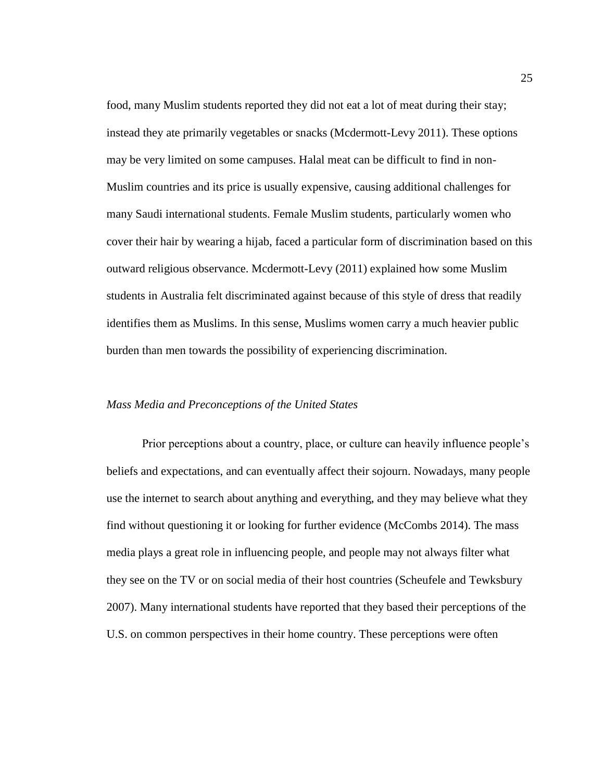food, many Muslim students reported they did not eat a lot of meat during their stay; instead they ate primarily vegetables or snacks (Mcdermott-Levy 2011). These options may be very limited on some campuses. Halal meat can be difficult to find in non-Muslim countries and its price is usually expensive, causing additional challenges for many Saudi international students. Female Muslim students, particularly women who cover their hair by wearing a hijab, faced a particular form of discrimination based on this outward religious observance. Mcdermott-Levy (2011) explained how some Muslim students in Australia felt discriminated against because of this style of dress that readily identifies them as Muslims. In this sense, Muslims women carry a much heavier public burden than men towards the possibility of experiencing discrimination.

#### <span id="page-34-0"></span>*Mass Media and Preconceptions of the United States*

Prior perceptions about a country, place, or culture can heavily influence people's beliefs and expectations, and can eventually affect their sojourn. Nowadays, many people use the internet to search about anything and everything, and they may believe what they find without questioning it or looking for further evidence (McCombs 2014). The mass media plays a great role in influencing people, and people may not always filter what they see on the TV or on social media of their host countries (Scheufele and Tewksbury 2007). Many international students have reported that they based their perceptions of the U.S. on common perspectives in their home country. These perceptions were often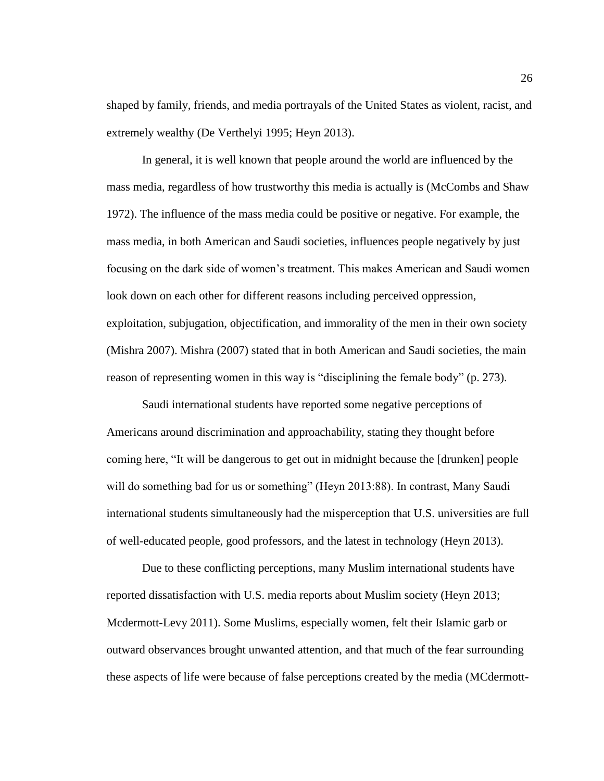shaped by family, friends, and media portrayals of the United States as violent, racist, and extremely wealthy (De Verthelyi 1995; Heyn 2013).

In general, it is well known that people around the world are influenced by the mass media, regardless of how trustworthy this media is actually is (McCombs and Shaw 1972). The influence of the mass media could be positive or negative. For example, the mass media, in both American and Saudi societies, influences people negatively by just focusing on the dark side of women's treatment. This makes American and Saudi women look down on each other for different reasons including perceived oppression, exploitation, subjugation, objectification, and immorality of the men in their own society (Mishra 2007). Mishra (2007) stated that in both American and Saudi societies, the main reason of representing women in this way is "disciplining the female body" (p. 273).

Saudi international students have reported some negative perceptions of Americans around discrimination and approachability, stating they thought before coming here, "It will be dangerous to get out in midnight because the [drunken] people will do something bad for us or something" (Heyn 2013:88). In contrast, Many Saudi international students simultaneously had the misperception that U.S. universities are full of well-educated people, good professors, and the latest in technology (Heyn 2013).

Due to these conflicting perceptions, many Muslim international students have reported dissatisfaction with U.S. media reports about Muslim society (Heyn 2013; Mcdermott-Levy 2011). Some Muslims, especially women, felt their Islamic garb or outward observances brought unwanted attention, and that much of the fear surrounding these aspects of life were because of false perceptions created by the media (MCdermott-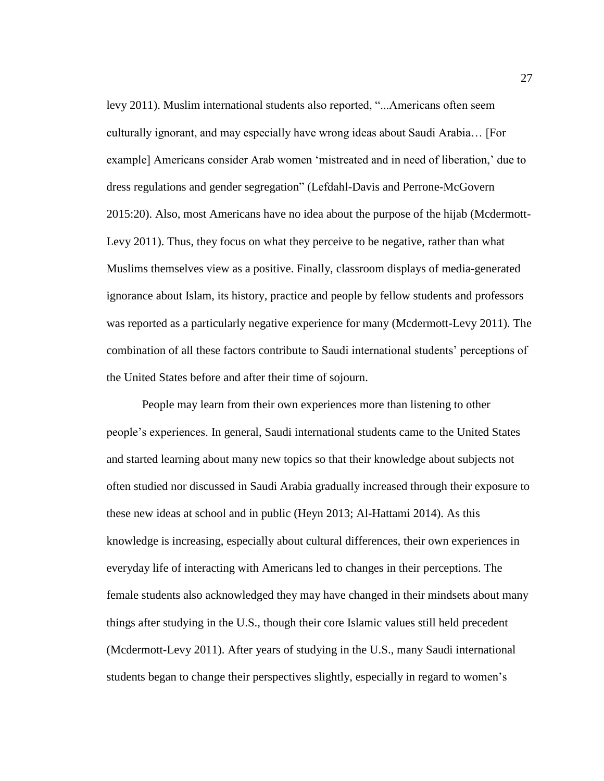levy 2011). Muslim international students also reported, "...Americans often seem culturally ignorant, and may especially have wrong ideas about Saudi Arabia… [For example] Americans consider Arab women 'mistreated and in need of liberation,' due to dress regulations and gender segregation" (Lefdahl-Davis and Perrone-McGovern 2015:20). Also, most Americans have no idea about the purpose of the hijab (Mcdermott-Levy 2011). Thus, they focus on what they perceive to be negative, rather than what Muslims themselves view as a positive. Finally, classroom displays of media-generated ignorance about Islam, its history, practice and people by fellow students and professors was reported as a particularly negative experience for many (Mcdermott-Levy 2011). The combination of all these factors contribute to Saudi international students' perceptions of the United States before and after their time of sojourn.

People may learn from their own experiences more than listening to other people's experiences. In general, Saudi international students came to the United States and started learning about many new topics so that their knowledge about subjects not often studied nor discussed in Saudi Arabia gradually increased through their exposure to these new ideas at school and in public (Heyn 2013; Al-Hattami 2014). As this knowledge is increasing, especially about cultural differences, their own experiences in everyday life of interacting with Americans led to changes in their perceptions. The female students also acknowledged they may have changed in their mindsets about many things after studying in the U.S., though their core Islamic values still held precedent (Mcdermott-Levy 2011). After years of studying in the U.S., many Saudi international students began to change their perspectives slightly, especially in regard to women's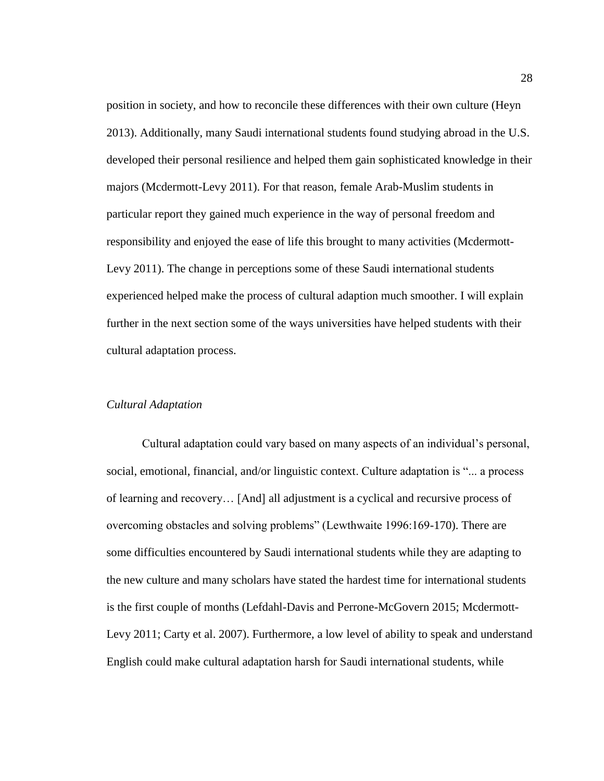position in society, and how to reconcile these differences with their own culture (Heyn 2013). Additionally, many Saudi international students found studying abroad in the U.S. developed their personal resilience and helped them gain sophisticated knowledge in their majors (Mcdermott-Levy 2011). For that reason, female Arab-Muslim students in particular report they gained much experience in the way of personal freedom and responsibility and enjoyed the ease of life this brought to many activities (Mcdermott-Levy 2011). The change in perceptions some of these Saudi international students experienced helped make the process of cultural adaption much smoother. I will explain further in the next section some of the ways universities have helped students with their cultural adaptation process.

# *Cultural Adaptation*

Cultural adaptation could vary based on many aspects of an individual's personal, social, emotional, financial, and/or linguistic context. Culture adaptation is "... a process of learning and recovery… [And] all adjustment is a cyclical and recursive process of overcoming obstacles and solving problems" (Lewthwaite 1996:169-170). There are some difficulties encountered by Saudi international students while they are adapting to the new culture and many scholars have stated the hardest time for international students is the first couple of months (Lefdahl-Davis and Perrone-McGovern 2015; Mcdermott-Levy 2011; Carty et al. 2007). Furthermore, a low level of ability to speak and understand English could make cultural adaptation harsh for Saudi international students, while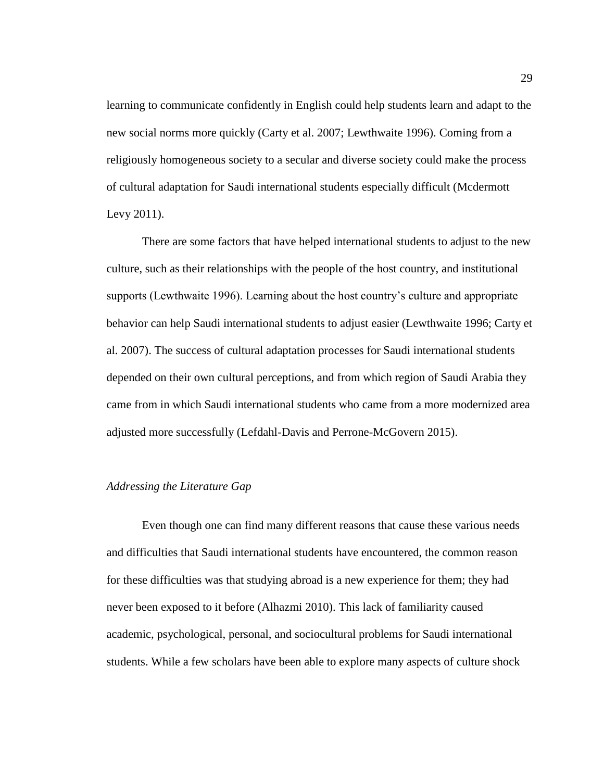learning to communicate confidently in English could help students learn and adapt to the new social norms more quickly (Carty et al. 2007; Lewthwaite 1996). Coming from a religiously homogeneous society to a secular and diverse society could make the process of cultural adaptation for Saudi international students especially difficult (Mcdermott Levy 2011).

There are some factors that have helped international students to adjust to the new culture, such as their relationships with the people of the host country, and institutional supports (Lewthwaite 1996). Learning about the host country's culture and appropriate behavior can help Saudi international students to adjust easier (Lewthwaite 1996; Carty et al. 2007). The success of cultural adaptation processes for Saudi international students depended on their own cultural perceptions, and from which region of Saudi Arabia they came from in which Saudi international students who came from a more modernized area adjusted more successfully (Lefdahl-Davis and Perrone-McGovern 2015).

#### *Addressing the Literature Gap*

Even though one can find many different reasons that cause these various needs and difficulties that Saudi international students have encountered, the common reason for these difficulties was that studying abroad is a new experience for them; they had never been exposed to it before (Alhazmi 2010). This lack of familiarity caused academic, psychological, personal, and sociocultural problems for Saudi international students. While a few scholars have been able to explore many aspects of culture shock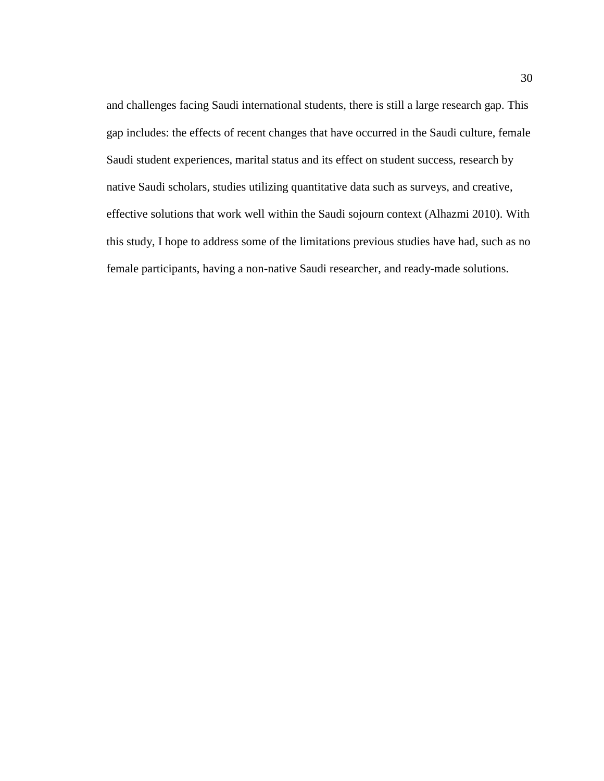and challenges facing Saudi international students, there is still a large research gap. This gap includes: the effects of recent changes that have occurred in the Saudi culture, female Saudi student experiences, marital status and its effect on student success, research by native Saudi scholars, studies utilizing quantitative data such as surveys, and creative, effective solutions that work well within the Saudi sojourn context (Alhazmi 2010). With this study, I hope to address some of the limitations previous studies have had, such as no female participants, having a non-native Saudi researcher, and ready-made solutions.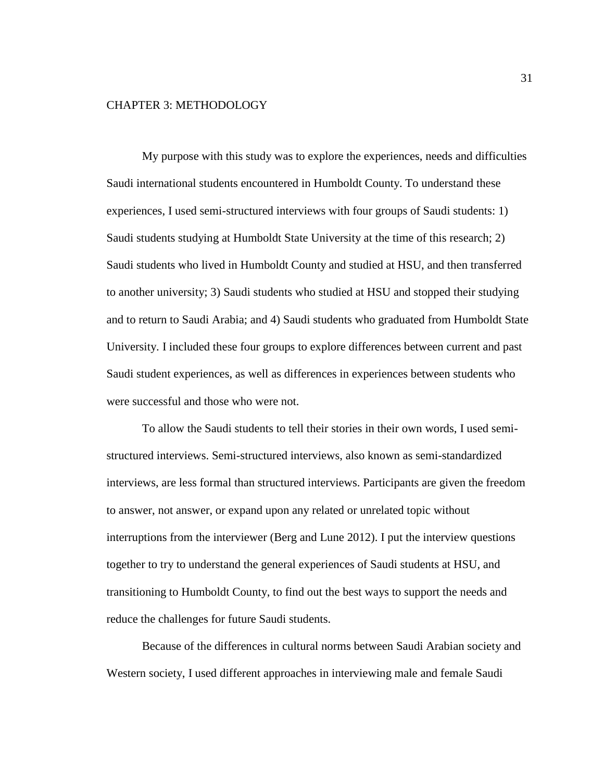# CHAPTER 3: METHODOLOGY

My purpose with this study was to explore the experiences, needs and difficulties Saudi international students encountered in Humboldt County. To understand these experiences, I used semi-structured interviews with four groups of Saudi students: 1) Saudi students studying at Humboldt State University at the time of this research; 2) Saudi students who lived in Humboldt County and studied at HSU, and then transferred to another university; 3) Saudi students who studied at HSU and stopped their studying and to return to Saudi Arabia; and 4) Saudi students who graduated from Humboldt State University. I included these four groups to explore differences between current and past Saudi student experiences, as well as differences in experiences between students who were successful and those who were not.

To allow the Saudi students to tell their stories in their own words, I used semistructured interviews. Semi-structured interviews, also known as semi-standardized interviews, are less formal than structured interviews. Participants are given the freedom to answer, not answer, or expand upon any related or unrelated topic without interruptions from the interviewer (Berg and Lune 2012). I put the interview questions together to try to understand the general experiences of Saudi students at HSU, and transitioning to Humboldt County, to find out the best ways to support the needs and reduce the challenges for future Saudi students.

Because of the differences in cultural norms between Saudi Arabian society and Western society, I used different approaches in interviewing male and female Saudi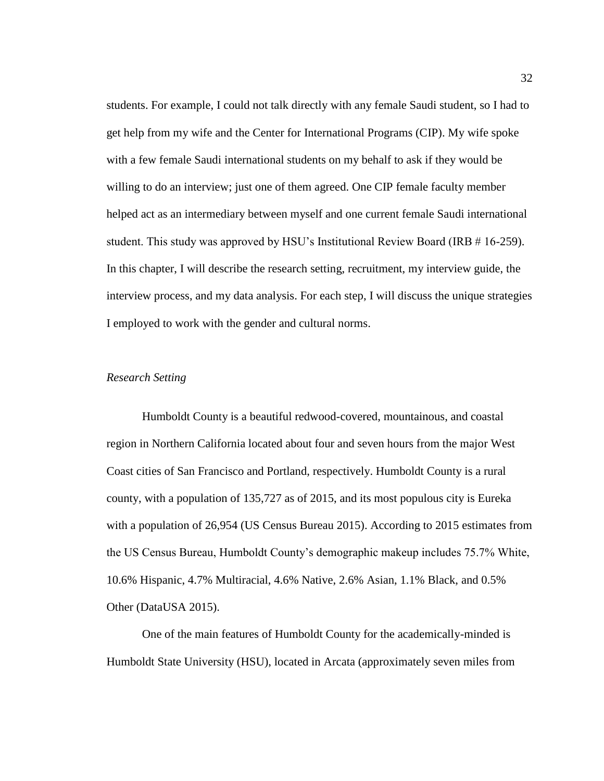students. For example, I could not talk directly with any female Saudi student, so I had to get help from my wife and the Center for International Programs (CIP). My wife spoke with a few female Saudi international students on my behalf to ask if they would be willing to do an interview; just one of them agreed. One CIP female faculty member helped act as an intermediary between myself and one current female Saudi international student. This study was approved by HSU's Institutional Review Board (IRB # 16-259). In this chapter, I will describe the research setting, recruitment, my interview guide, the interview process, and my data analysis. For each step, I will discuss the unique strategies I employed to work with the gender and cultural norms.

## *Research Setting*

Humboldt County is a beautiful redwood-covered, mountainous, and coastal region in Northern California located about four and seven hours from the major West Coast cities of San Francisco and Portland, respectively. Humboldt County is a rural county, with a population of 135,727 as of 2015, and its most populous city is Eureka with a population of 26,954 (US Census Bureau 2015). According to 2015 estimates from the US Census Bureau, Humboldt County's demographic makeup includes 75.7% White, 10.6% Hispanic, 4.7% Multiracial, 4.6% Native, 2.6% Asian, 1.1% Black, and 0.5% Other (DataUSA 2015).

One of the main features of Humboldt County for the academically-minded is Humboldt State University (HSU), located in Arcata (approximately seven miles from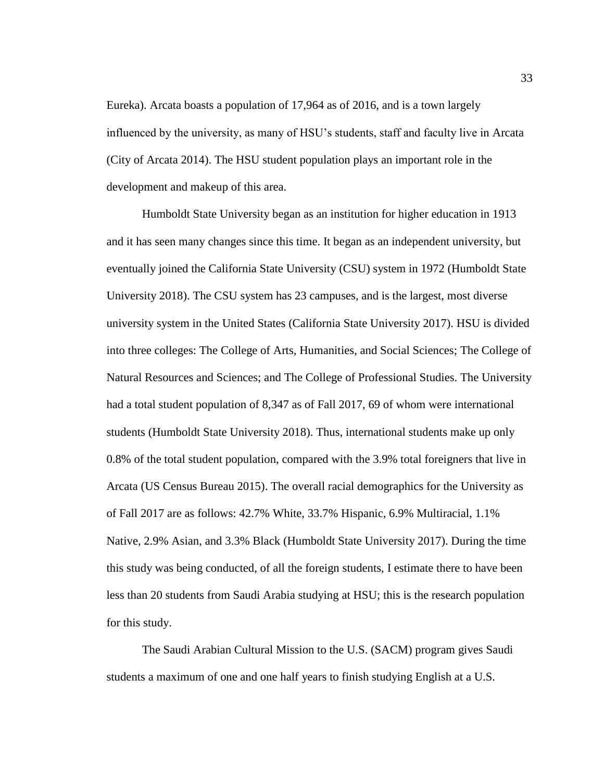Eureka). Arcata boasts a population of 17,964 as of 2016, and is a town largely influenced by the university, as many of HSU's students, staff and faculty live in Arcata (City of Arcata 2014). The HSU student population plays an important role in the development and makeup of this area.

Humboldt State University began as an institution for higher education in 1913 and it has seen many changes since this time. It began as an independent university, but eventually joined the California State University (CSU) system in 1972 (Humboldt State University 2018). The CSU system has 23 campuses, and is the largest, most diverse university system in the United States (California State University 2017). HSU is divided into three colleges: The College of Arts, Humanities, and Social Sciences; The College of Natural Resources and Sciences; and The College of Professional Studies. The University had a total student population of 8,347 as of Fall 2017, 69 of whom were international students (Humboldt State University 2018). Thus, international students make up only 0.8% of the total student population, compared with the 3.9% total foreigners that live in Arcata (US Census Bureau 2015). The overall racial demographics for the University as of Fall 2017 are as follows: 42.7% White, 33.7% Hispanic, 6.9% Multiracial, 1.1% Native, 2.9% Asian, and 3.3% Black (Humboldt State University 2017). During the time this study was being conducted, of all the foreign students, I estimate there to have been less than 20 students from Saudi Arabia studying at HSU; this is the research population for this study.

The Saudi Arabian Cultural Mission to the U.S. (SACM) program gives Saudi students a maximum of one and one half years to finish studying English at a U.S.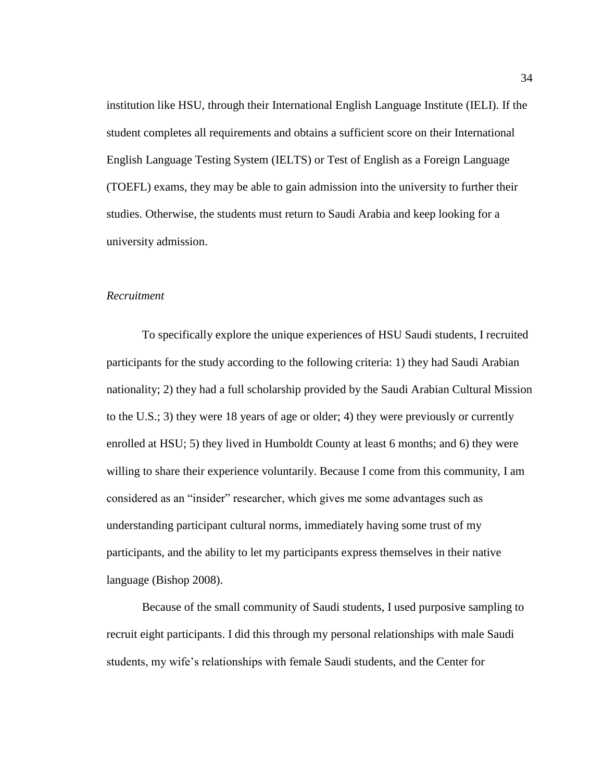institution like HSU, through their International English Language Institute (IELI). If the student completes all requirements and obtains a sufficient score on their International English Language Testing System (IELTS) or Test of English as a Foreign Language (TOEFL) exams, they may be able to gain admission into the university to further their studies. Otherwise, the students must return to Saudi Arabia and keep looking for a university admission.

## *Recruitment*

To specifically explore the unique experiences of HSU Saudi students, I recruited participants for the study according to the following criteria: 1) they had Saudi Arabian nationality; 2) they had a full scholarship provided by the Saudi Arabian Cultural Mission to the U.S.; 3) they were 18 years of age or older; 4) they were previously or currently enrolled at HSU; 5) they lived in Humboldt County at least 6 months; and 6) they were willing to share their experience voluntarily. Because I come from this community, I am considered as an "insider" researcher, which gives me some advantages such as understanding participant cultural norms, immediately having some trust of my participants, and the ability to let my participants express themselves in their native language (Bishop 2008).

Because of the small community of Saudi students, I used purposive sampling to recruit eight participants. I did this through my personal relationships with male Saudi students, my wife's relationships with female Saudi students, and the Center for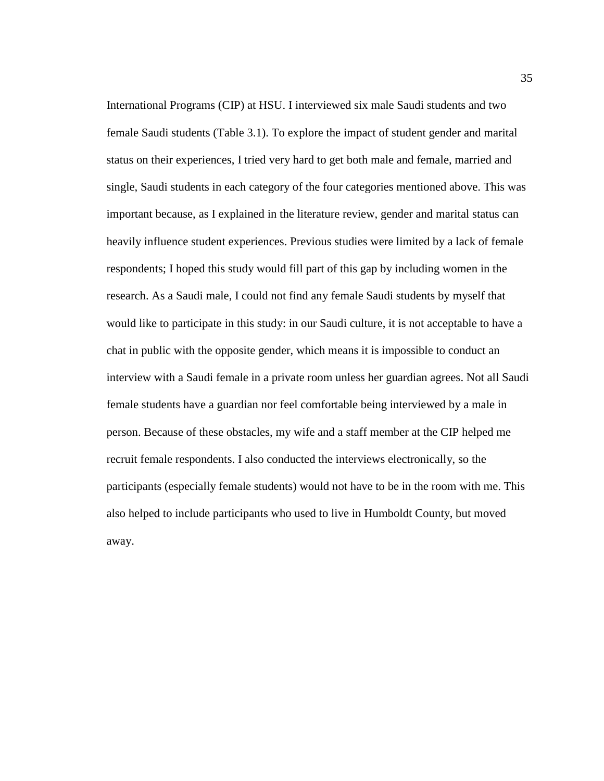International Programs (CIP) at HSU. I interviewed six male Saudi students and two female Saudi students (Table 3.1). To explore the impact of student gender and marital status on their experiences, I tried very hard to get both male and female, married and single, Saudi students in each category of the four categories mentioned above. This was important because, as I explained in the literature review, gender and marital status can heavily influence student experiences. Previous studies were limited by a lack of female respondents; I hoped this study would fill part of this gap by including women in the research. As a Saudi male, I could not find any female Saudi students by myself that would like to participate in this study: in our Saudi culture, it is not acceptable to have a chat in public with the opposite gender, which means it is impossible to conduct an interview with a Saudi female in a private room unless her guardian agrees. Not all Saudi female students have a guardian nor feel comfortable being interviewed by a male in person. Because of these obstacles, my wife and a staff member at the CIP helped me recruit female respondents. I also conducted the interviews electronically, so the participants (especially female students) would not have to be in the room with me. This also helped to include participants who used to live in Humboldt County, but moved away.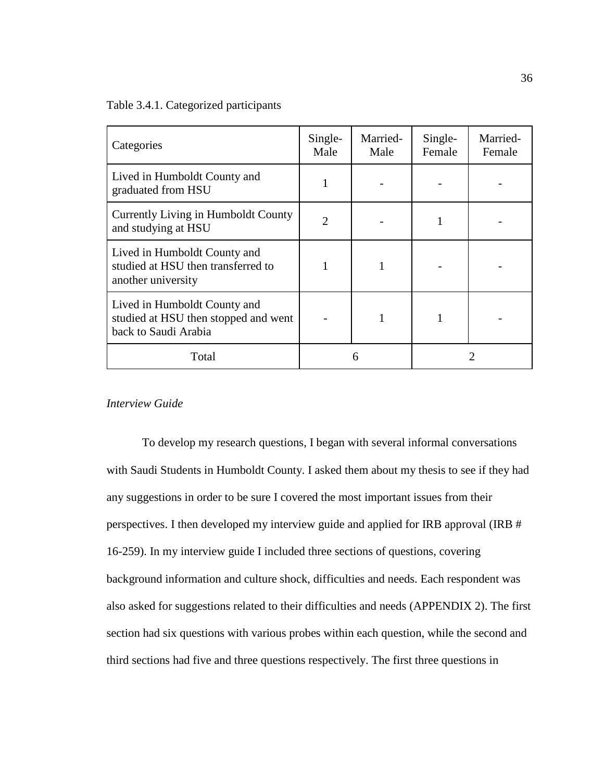Table 3.4.1. Categorized participants

| Categories                                                                                   | Single-<br>Male | Married-<br>Male | Single-<br>Female | Married-<br>Female |
|----------------------------------------------------------------------------------------------|-----------------|------------------|-------------------|--------------------|
| Lived in Humboldt County and<br>graduated from HSU                                           |                 |                  |                   |                    |
| Currently Living in Humboldt County<br>and studying at HSU                                   | $\overline{2}$  |                  |                   |                    |
| Lived in Humboldt County and<br>studied at HSU then transferred to<br>another university     |                 | 1                |                   |                    |
| Lived in Humboldt County and<br>studied at HSU then stopped and went<br>back to Saudi Arabia |                 |                  |                   |                    |
| Total                                                                                        |                 |                  |                   |                    |

# *Interview Guide*

To develop my research questions, I began with several informal conversations with Saudi Students in Humboldt County. I asked them about my thesis to see if they had any suggestions in order to be sure I covered the most important issues from their perspectives. I then developed my interview guide and applied for IRB approval (IRB # 16-259). In my interview guide I included three sections of questions, covering background information and culture shock, difficulties and needs. Each respondent was also asked for suggestions related to their difficulties and needs (APPENDIX 2). The first section had six questions with various probes within each question, while the second and third sections had five and three questions respectively. The first three questions in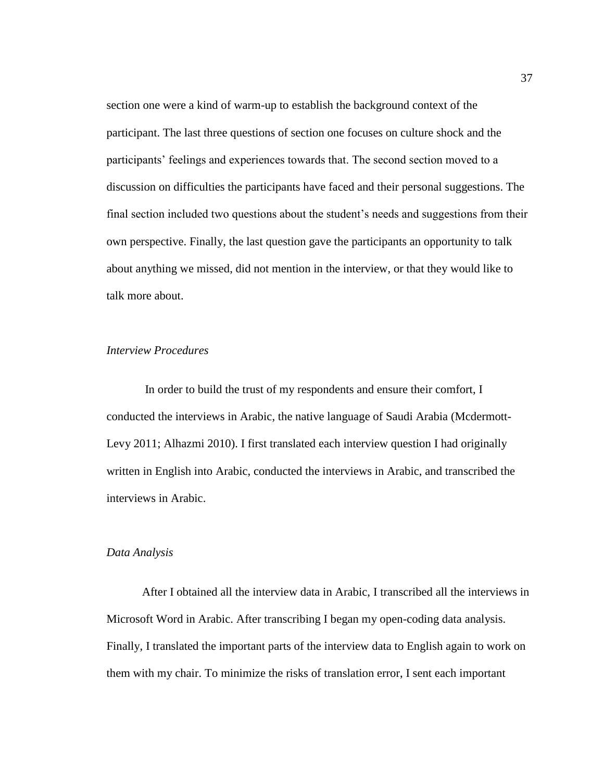section one were a kind of warm-up to establish the background context of the participant. The last three questions of section one focuses on culture shock and the participants' feelings and experiences towards that. The second section moved to a discussion on difficulties the participants have faced and their personal suggestions. The final section included two questions about the student's needs and suggestions from their own perspective. Finally, the last question gave the participants an opportunity to talk about anything we missed, did not mention in the interview, or that they would like to talk more about.

## *Interview Procedures*

In order to build the trust of my respondents and ensure their comfort, I conducted the interviews in Arabic, the native language of Saudi Arabia (Mcdermott-Levy 2011; Alhazmi 2010). I first translated each interview question I had originally written in English into Arabic, conducted the interviews in Arabic, and transcribed the interviews in Arabic.

# *Data Analysis*

After I obtained all the interview data in Arabic, I transcribed all the interviews in Microsoft Word in Arabic. After transcribing I began my open-coding data analysis. Finally, I translated the important parts of the interview data to English again to work on them with my chair. To minimize the risks of translation error, I sent each important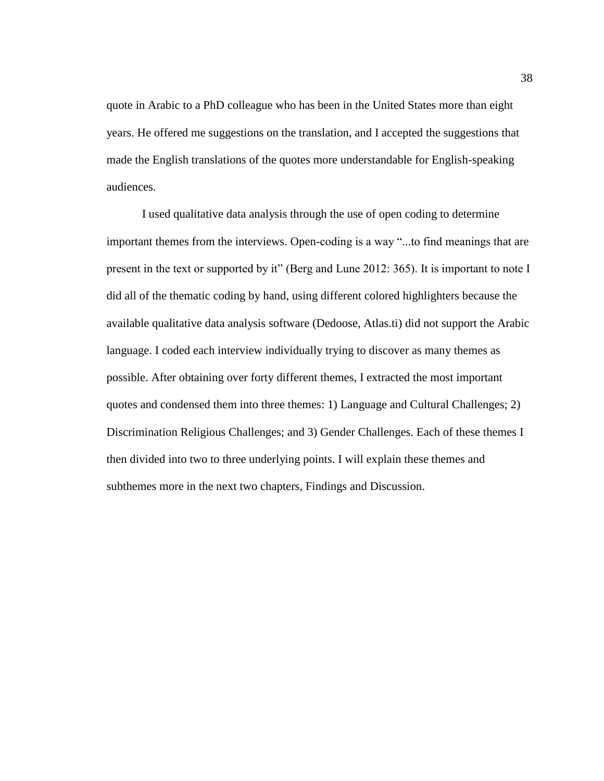quote in Arabic to a PhD colleague who has been in the United States more than eight years. He offered me suggestions on the translation, and I accepted the suggestions that made the English translations of the quotes more understandable for English-speaking audiences.

I used qualitative data analysis through the use of open coding to determine important themes from the interviews. Open-coding is a way "...to find meanings that are present in the text or supported by it" (Berg and Lune 2012: 365). It is important to note I did all of the thematic coding by hand, using different colored highlighters because the available qualitative data analysis software (Dedoose, Atlas.ti) did not support the Arabic language. I coded each interview individually trying to discover as many themes as possible. After obtaining over forty different themes, I extracted the most important quotes and condensed them into three themes: 1) Language and Cultural Challenges; 2) Discrimination Religious Challenges; and 3) Gender Challenges. Each of these themes I then divided into two to three underlying points. I will explain these themes and subthemes more in the next two chapters, Findings and Discussion.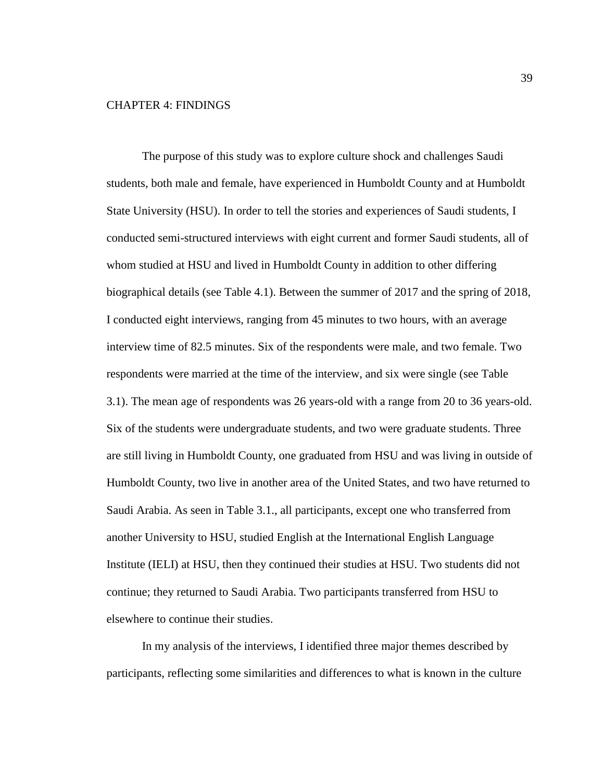# CHAPTER 4: FINDINGS

The purpose of this study was to explore culture shock and challenges Saudi students, both male and female, have experienced in Humboldt County and at Humboldt State University (HSU). In order to tell the stories and experiences of Saudi students, I conducted semi-structured interviews with eight current and former Saudi students, all of whom studied at HSU and lived in Humboldt County in addition to other differing biographical details (see Table 4.1). Between the summer of 2017 and the spring of 2018, I conducted eight interviews, ranging from 45 minutes to two hours, with an average interview time of 82.5 minutes. Six of the respondents were male, and two female. Two respondents were married at the time of the interview, and six were single (see Table 3.1). The mean age of respondents was 26 years-old with a range from 20 to 36 years-old. Six of the students were undergraduate students, and two were graduate students. Three are still living in Humboldt County, one graduated from HSU and was living in outside of Humboldt County, two live in another area of the United States, and two have returned to Saudi Arabia. As seen in Table 3.1., all participants, except one who transferred from another University to HSU, studied English at the International English Language Institute (IELI) at HSU, then they continued their studies at HSU. Two students did not continue; they returned to Saudi Arabia. Two participants transferred from HSU to elsewhere to continue their studies.

In my analysis of the interviews, I identified three major themes described by participants, reflecting some similarities and differences to what is known in the culture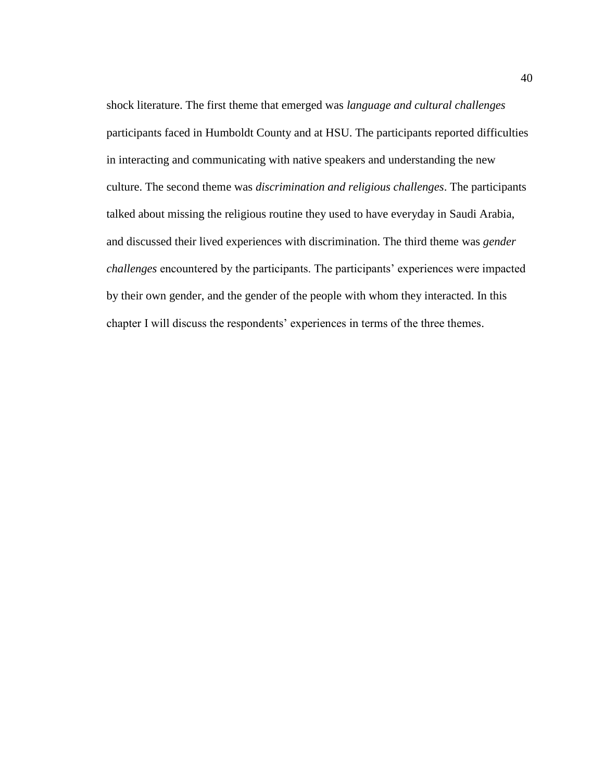shock literature. The first theme that emerged was *language and cultural challenges* participants faced in Humboldt County and at HSU. The participants reported difficulties in interacting and communicating with native speakers and understanding the new culture. The second theme was *discrimination and religious challenges*. The participants talked about missing the religious routine they used to have everyday in Saudi Arabia, and discussed their lived experiences with discrimination. The third theme was *gender challenges* encountered by the participants. The participants' experiences were impacted by their own gender, and the gender of the people with whom they interacted. In this chapter I will discuss the respondents' experiences in terms of the three themes.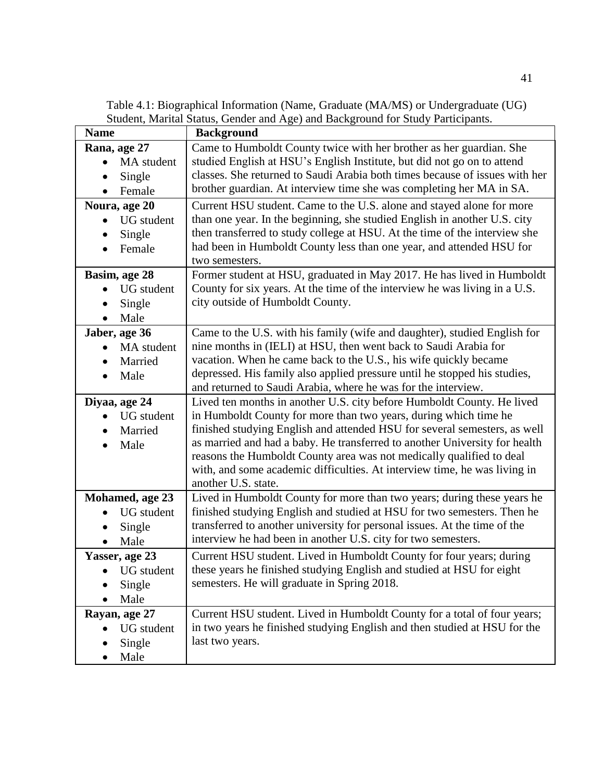Table 4.1: Biographical Information (Name, Graduate (MA/MS) or Undergraduate (UG) Student, Marital Status, Gender and Age) and Background for Study Participants.

| <b>Name</b>       | <b>Background</b>                                                           |
|-------------------|-----------------------------------------------------------------------------|
| Rana, age 27      | Came to Humboldt County twice with her brother as her guardian. She         |
| MA student        | studied English at HSU's English Institute, but did not go on to attend     |
| Single            | classes. She returned to Saudi Arabia both times because of issues with her |
| Female            | brother guardian. At interview time she was completing her MA in SA.        |
| Noura, age 20     | Current HSU student. Came to the U.S. alone and stayed alone for more       |
| <b>UG</b> student | than one year. In the beginning, she studied English in another U.S. city   |
| Single            | then transferred to study college at HSU. At the time of the interview she  |
| Female            | had been in Humboldt County less than one year, and attended HSU for        |
|                   | two semesters.                                                              |
| Basim, age 28     | Former student at HSU, graduated in May 2017. He has lived in Humboldt      |
| UG student        | County for six years. At the time of the interview he was living in a U.S.  |
| Single            | city outside of Humboldt County.                                            |
| Male              |                                                                             |
| Jaber, age 36     | Came to the U.S. with his family (wife and daughter), studied English for   |
| MA student        | nine months in (IELI) at HSU, then went back to Saudi Arabia for            |
| Married           | vacation. When he came back to the U.S., his wife quickly became            |
| Male<br>$\bullet$ | depressed. His family also applied pressure until he stopped his studies,   |
|                   | and returned to Saudi Arabia, where he was for the interview.               |
| Diyaa, age 24     | Lived ten months in another U.S. city before Humboldt County. He lived      |
| <b>UG</b> student | in Humboldt County for more than two years, during which time he            |
| Married           | finished studying English and attended HSU for several semesters, as well   |
| Male              | as married and had a baby. He transferred to another University for health  |
|                   | reasons the Humboldt County area was not medically qualified to deal        |
|                   | with, and some academic difficulties. At interview time, he was living in   |
|                   | another U.S. state.                                                         |
| Mohamed, age 23   | Lived in Humboldt County for more than two years; during these years he     |
| <b>UG</b> student | finished studying English and studied at HSU for two semesters. Then he     |
| Single            | transferred to another university for personal issues. At the time of the   |
| Male              | interview he had been in another U.S. city for two semesters.               |
| Yasser, age 23    | Current HSU student. Lived in Humboldt County for four years; during        |
| <b>UG</b> student | these years he finished studying English and studied at HSU for eight       |
| Single            | semesters. He will graduate in Spring 2018.                                 |
| Male              |                                                                             |
| Rayan, age 27     | Current HSU student. Lived in Humboldt County for a total of four years;    |
| <b>UG</b> student | in two years he finished studying English and then studied at HSU for the   |
| Single            | last two years.                                                             |
| Male              |                                                                             |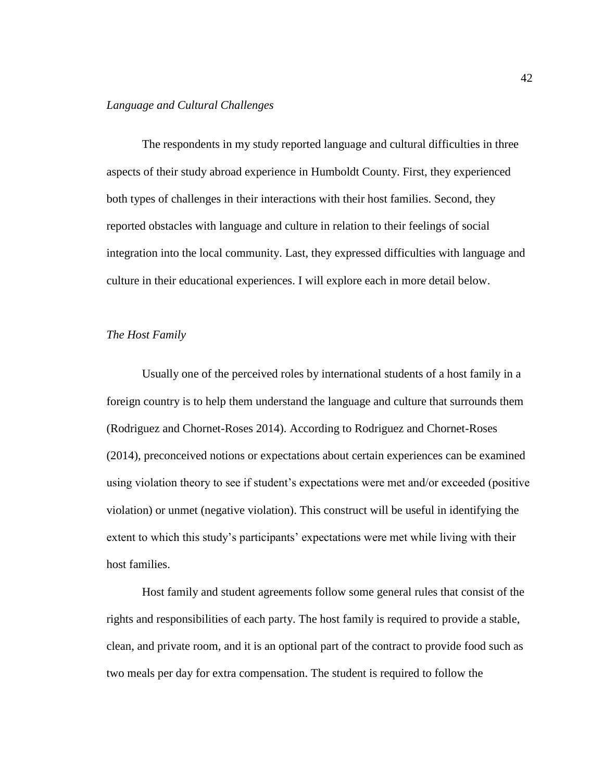# *Language and Cultural Challenges*

The respondents in my study reported language and cultural difficulties in three aspects of their study abroad experience in Humboldt County. First, they experienced both types of challenges in their interactions with their host families. Second, they reported obstacles with language and culture in relation to their feelings of social integration into the local community. Last, they expressed difficulties with language and culture in their educational experiences. I will explore each in more detail below.

#### *The Host Family*

Usually one of the perceived roles by international students of a host family in a foreign country is to help them understand the language and culture that surrounds them (Rodriguez and Chornet-Roses 2014). According to Rodriguez and Chornet-Roses (2014), preconceived notions or expectations about certain experiences can be examined using violation theory to see if student's expectations were met and/or exceeded (positive violation) or unmet (negative violation). This construct will be useful in identifying the extent to which this study's participants' expectations were met while living with their host families.

Host family and student agreements follow some general rules that consist of the rights and responsibilities of each party. The host family is required to provide a stable, clean, and private room, and it is an optional part of the contract to provide food such as two meals per day for extra compensation. The student is required to follow the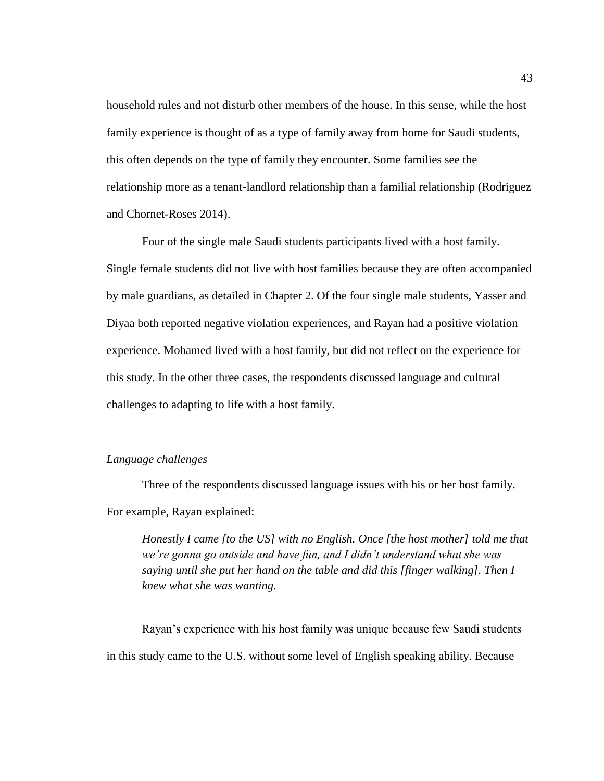household rules and not disturb other members of the house. In this sense, while the host family experience is thought of as a type of family away from home for Saudi students, this often depends on the type of family they encounter. Some families see the relationship more as a tenant-landlord relationship than a familial relationship (Rodriguez and Chornet-Roses 2014).

Four of the single male Saudi students participants lived with a host family. Single female students did not live with host families because they are often accompanied by male guardians, as detailed in Chapter 2. Of the four single male students, Yasser and Diyaa both reported negative violation experiences, and Rayan had a positive violation experience. Mohamed lived with a host family, but did not reflect on the experience for this study. In the other three cases, the respondents discussed language and cultural challenges to adapting to life with a host family.

### *Language challenges*

Three of the respondents discussed language issues with his or her host family. For example, Rayan explained:

*Honestly I came [to the US] with no English. Once [the host mother] told me that we're gonna go outside and have fun, and I didn't understand what she was saying until she put her hand on the table and did this [finger walking]. Then I knew what she was wanting.*

Rayan's experience with his host family was unique because few Saudi students in this study came to the U.S. without some level of English speaking ability. Because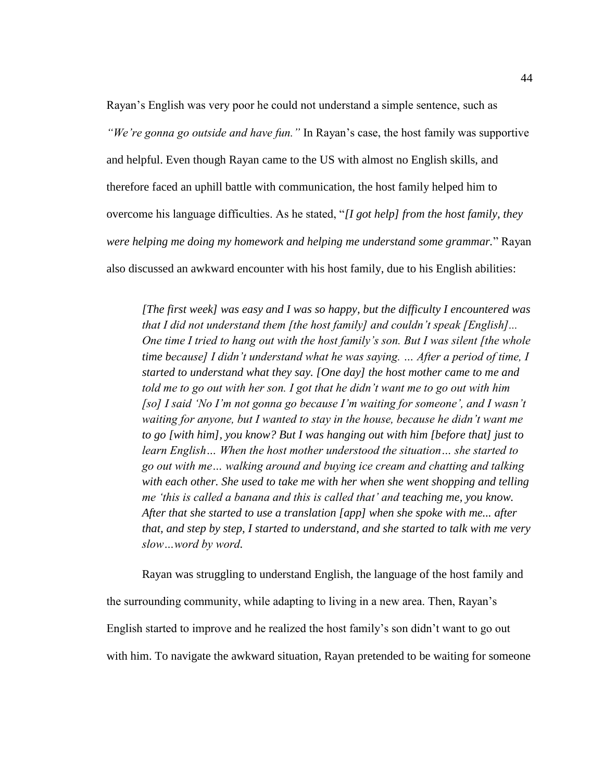Rayan's English was very poor he could not understand a simple sentence, such as *"We're gonna go outside and have fun."* In Rayan's case, the host family was supportive and helpful. Even though Rayan came to the US with almost no English skills, and therefore faced an uphill battle with communication, the host family helped him to overcome his language difficulties. As he stated, "*[I got help] from the host family, they were helping me doing my homework and helping me understand some grammar.*" Rayan also discussed an awkward encounter with his host family, due to his English abilities:

*[The first week] was easy and I was so happy, but the difficulty I encountered was that I did not understand them [the host family] and couldn't speak [English]... One time I tried to hang out with the host family's son. But I was silent [the whole time because] I didn't understand what he was saying. … After a period of time, I started to understand what they say. [One day] the host mother came to me and told me to go out with her son. I got that he didn't want me to go out with him [so] I said 'No I'm not gonna go because I'm waiting for someone', and I wasn't waiting for anyone, but I wanted to stay in the house, because he didn't want me to go [with him], you know? But I was hanging out with him [before that] just to learn English… When the host mother understood the situation… she started to go out with me… walking around and buying ice cream and chatting and talking with each other. She used to take me with her when she went shopping and telling me 'this is called a banana and this is called that' and teaching me, you know. After that she started to use a translation [app] when she spoke with me... after that, and step by step, I started to understand, and she started to talk with me very slow…word by word.*

Rayan was struggling to understand English, the language of the host family and the surrounding community, while adapting to living in a new area. Then, Rayan's English started to improve and he realized the host family's son didn't want to go out with him. To navigate the awkward situation, Rayan pretended to be waiting for someone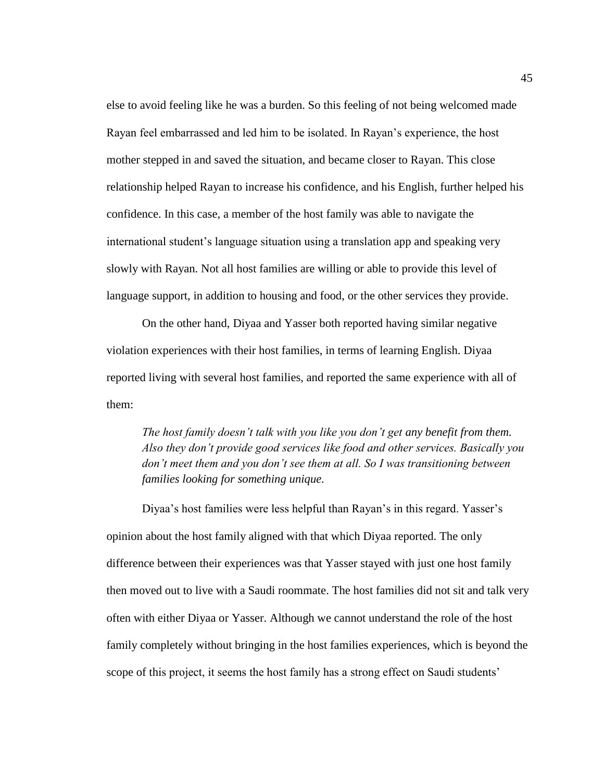else to avoid feeling like he was a burden. So this feeling of not being welcomed made Rayan feel embarrassed and led him to be isolated. In Rayan's experience, the host mother stepped in and saved the situation, and became closer to Rayan. This close relationship helped Rayan to increase his confidence, and his English, further helped his confidence. In this case, a member of the host family was able to navigate the international student's language situation using a translation app and speaking very slowly with Rayan. Not all host families are willing or able to provide this level of language support, in addition to housing and food, or the other services they provide.

On the other hand, Diyaa and Yasser both reported having similar negative violation experiences with their host families, in terms of learning English. Diyaa reported living with several host families, and reported the same experience with all of them:

*The host family doesn't talk with you like you don't get any benefit from them. Also they don't provide good services like food and other services. Basically you don't meet them and you don't see them at all. So I was transitioning between families looking for something unique.*

Diyaa's host families were less helpful than Rayan's in this regard. Yasser's opinion about the host family aligned with that which Diyaa reported. The only difference between their experiences was that Yasser stayed with just one host family then moved out to live with a Saudi roommate. The host families did not sit and talk very often with either Diyaa or Yasser. Although we cannot understand the role of the host family completely without bringing in the host families experiences, which is beyond the scope of this project, it seems the host family has a strong effect on Saudi students'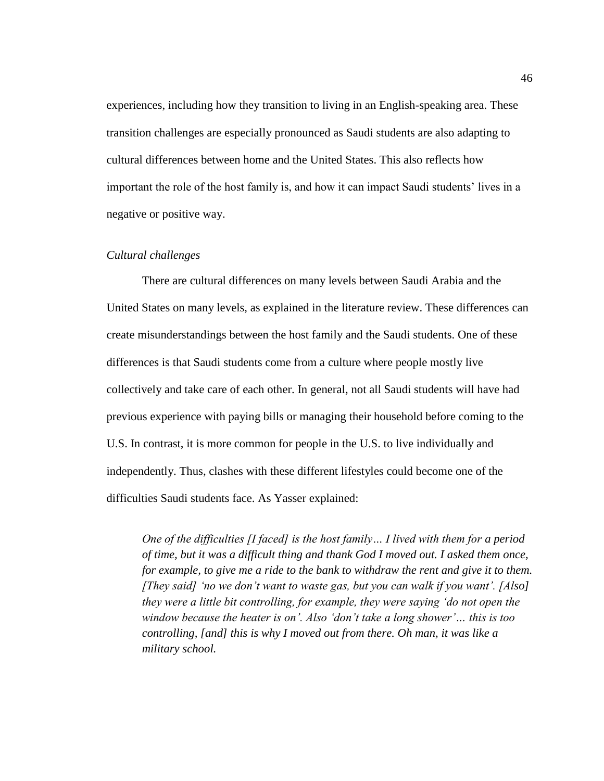experiences, including how they transition to living in an English-speaking area. These transition challenges are especially pronounced as Saudi students are also adapting to cultural differences between home and the United States. This also reflects how important the role of the host family is, and how it can impact Saudi students' lives in a negative or positive way.

## *Cultural challenges*

There are cultural differences on many levels between Saudi Arabia and the United States on many levels, as explained in the literature review. These differences can create misunderstandings between the host family and the Saudi students. One of these differences is that Saudi students come from a culture where people mostly live collectively and take care of each other. In general, not all Saudi students will have had previous experience with paying bills or managing their household before coming to the U.S. In contrast, it is more common for people in the U.S. to live individually and independently. Thus, clashes with these different lifestyles could become one of the difficulties Saudi students face. As Yasser explained:

*One of the difficulties [I faced] is the host family… I lived with them for a period of time, but it was a difficult thing and thank God I moved out. I asked them once, for example, to give me a ride to the bank to withdraw the rent and give it to them. [They said] 'no we don't want to waste gas, but you can walk if you want'. [Also] they were a little bit controlling, for example, they were saying 'do not open the window because the heater is on'. Also 'don't take a long shower'… this is too controlling, [and] this is why I moved out from there. Oh man, it was like a military school.*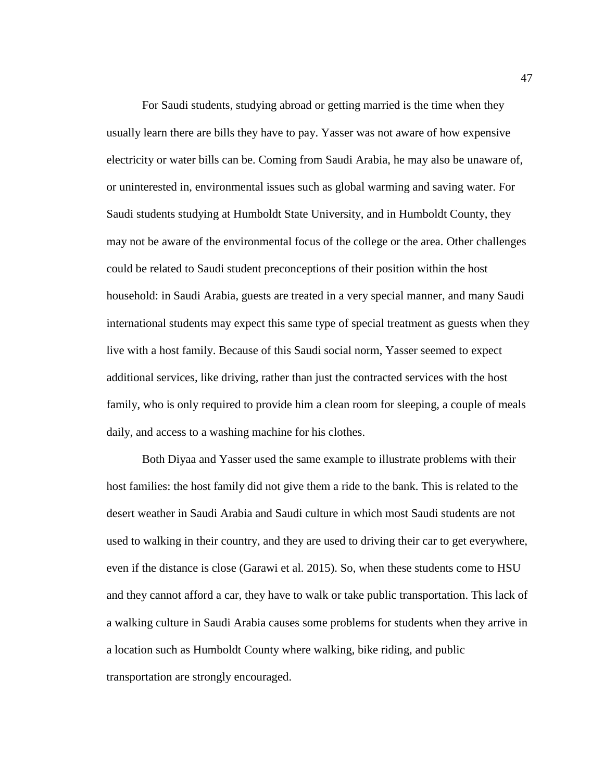For Saudi students, studying abroad or getting married is the time when they usually learn there are bills they have to pay. Yasser was not aware of how expensive electricity or water bills can be. Coming from Saudi Arabia, he may also be unaware of, or uninterested in, environmental issues such as global warming and saving water. For Saudi students studying at Humboldt State University, and in Humboldt County, they may not be aware of the environmental focus of the college or the area. Other challenges could be related to Saudi student preconceptions of their position within the host household: in Saudi Arabia, guests are treated in a very special manner, and many Saudi international students may expect this same type of special treatment as guests when they live with a host family. Because of this Saudi social norm, Yasser seemed to expect additional services, like driving, rather than just the contracted services with the host family, who is only required to provide him a clean room for sleeping, a couple of meals daily, and access to a washing machine for his clothes.

Both Diyaa and Yasser used the same example to illustrate problems with their host families: the host family did not give them a ride to the bank. This is related to the desert weather in Saudi Arabia and Saudi culture in which most Saudi students are not used to walking in their country, and they are used to driving their car to get everywhere, even if the distance is close (Garawi et al. 2015). So, when these students come to HSU and they cannot afford a car, they have to walk or take public transportation. This lack of a walking culture in Saudi Arabia causes some problems for students when they arrive in a location such as Humboldt County where walking, bike riding, and public transportation are strongly encouraged.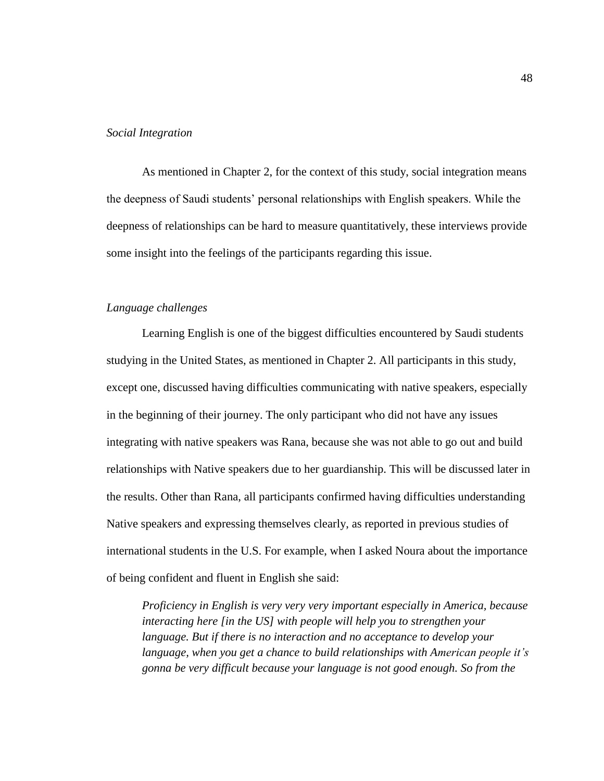#### *Social Integration*

As mentioned in Chapter 2, for the context of this study, social integration means the deepness of Saudi students' personal relationships with English speakers. While the deepness of relationships can be hard to measure quantitatively, these interviews provide some insight into the feelings of the participants regarding this issue.

#### *Language challenges*

Learning English is one of the biggest difficulties encountered by Saudi students studying in the United States, as mentioned in Chapter 2. All participants in this study, except one, discussed having difficulties communicating with native speakers, especially in the beginning of their journey. The only participant who did not have any issues integrating with native speakers was Rana, because she was not able to go out and build relationships with Native speakers due to her guardianship. This will be discussed later in the results. Other than Rana, all participants confirmed having difficulties understanding Native speakers and expressing themselves clearly, as reported in previous studies of international students in the U.S. For example, when I asked Noura about the importance of being confident and fluent in English she said:

*Proficiency in English is very very very important especially in America, because interacting here [in the US] with people will help you to strengthen your language. But if there is no interaction and no acceptance to develop your language, when you get a chance to build relationships with American people it's gonna be very difficult because your language is not good enough. So from the*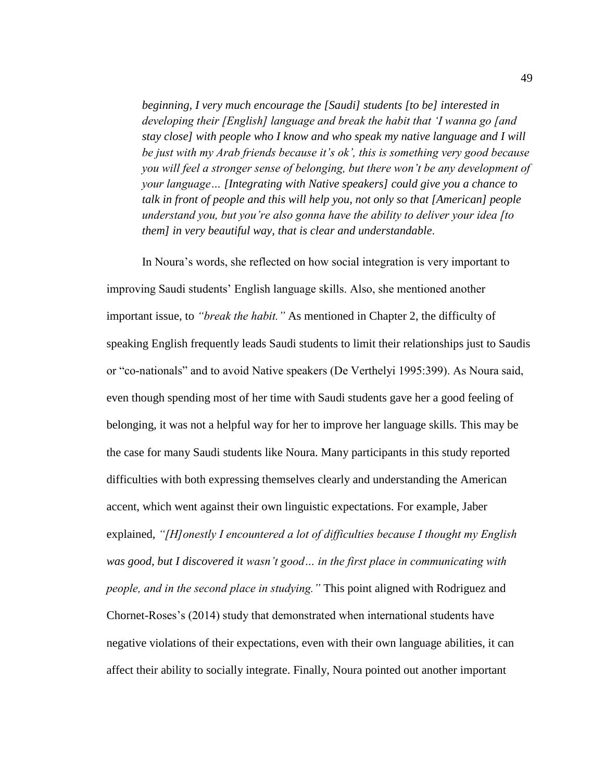*beginning, I very much encourage the [Saudi] students [to be] interested in developing their [English] language and break the habit that 'I wanna go [and stay close] with people who I know and who speak my native language and I will be just with my Arab friends because it's ok', this is something very good because you will feel a stronger sense of belonging, but there won't be any development of your language… [Integrating with Native speakers] could give you a chance to talk in front of people and this will help you, not only so that [American] people understand you, but you're also gonna have the ability to deliver your idea [to them] in very beautiful way, that is clear and understandable*.

In Noura's words, she reflected on how social integration is very important to improving Saudi students' English language skills. Also, she mentioned another important issue, to *"break the habit."* As mentioned in Chapter 2, the difficulty of speaking English frequently leads Saudi students to limit their relationships just to Saudis or "co-nationals" and to avoid Native speakers (De Verthelyi 1995:399). As Noura said, even though spending most of her time with Saudi students gave her a good feeling of belonging, it was not a helpful way for her to improve her language skills. This may be the case for many Saudi students like Noura. Many participants in this study reported difficulties with both expressing themselves clearly and understanding the American accent, which went against their own linguistic expectations. For example, Jaber explained, *"[H]onestly I encountered a lot of difficulties because I thought my English was good, but I discovered it wasn't good… in the first place in communicating with people, and in the second place in studying."* This point aligned with Rodriguez and Chornet-Roses's (2014) study that demonstrated when international students have negative violations of their expectations, even with their own language abilities, it can affect their ability to socially integrate. Finally, Noura pointed out another important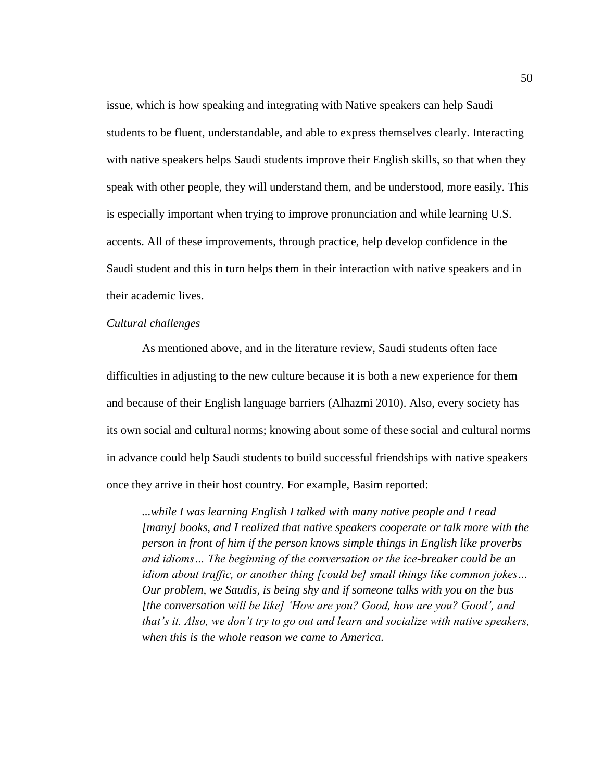issue, which is how speaking and integrating with Native speakers can help Saudi students to be fluent, understandable, and able to express themselves clearly. Interacting with native speakers helps Saudi students improve their English skills, so that when they speak with other people, they will understand them, and be understood, more easily. This is especially important when trying to improve pronunciation and while learning U.S. accents. All of these improvements, through practice, help develop confidence in the Saudi student and this in turn helps them in their interaction with native speakers and in their academic lives.

## *Cultural challenges*

As mentioned above, and in the literature review, Saudi students often face difficulties in adjusting to the new culture because it is both a new experience for them and because of their English language barriers (Alhazmi 2010). Also, every society has its own social and cultural norms; knowing about some of these social and cultural norms in advance could help Saudi students to build successful friendships with native speakers once they arrive in their host country. For example, Basim reported:

*...while I was learning English I talked with many native people and I read [many] books, and I realized that native speakers cooperate or talk more with the person in front of him if the person knows simple things in English like proverbs and idioms… The beginning of the conversation or the ice-breaker could be an idiom about traffic, or another thing [could be] small things like common jokes… Our problem, we Saudis, is being shy and if someone talks with you on the bus [the conversation will be like] 'How are you? Good, how are you? Good', and that's it. Also, we don't try to go out and learn and socialize with native speakers, when this is the whole reason we came to America.*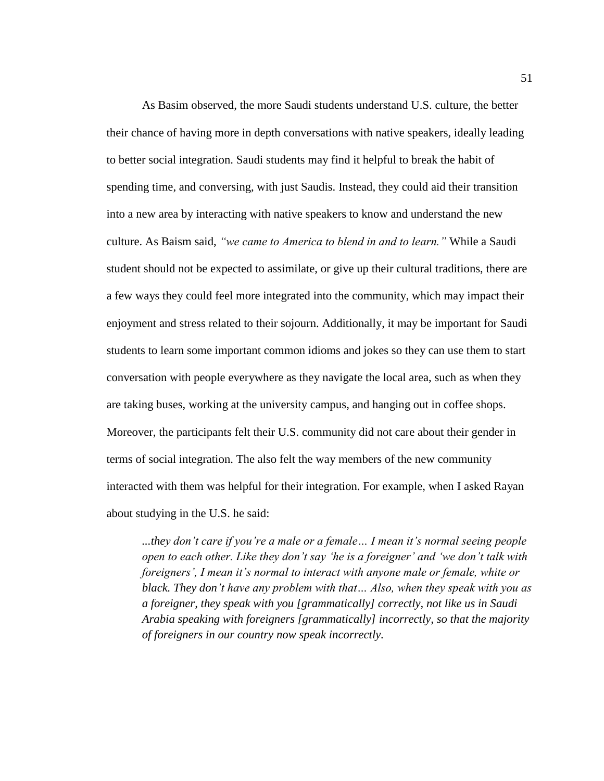As Basim observed, the more Saudi students understand U.S. culture, the better their chance of having more in depth conversations with native speakers, ideally leading to better social integration. Saudi students may find it helpful to break the habit of spending time, and conversing, with just Saudis. Instead, they could aid their transition into a new area by interacting with native speakers to know and understand the new culture. As Baism said, *"we came to America to blend in and to learn."* While a Saudi student should not be expected to assimilate, or give up their cultural traditions, there are a few ways they could feel more integrated into the community, which may impact their enjoyment and stress related to their sojourn. Additionally, it may be important for Saudi students to learn some important common idioms and jokes so they can use them to start conversation with people everywhere as they navigate the local area, such as when they are taking buses, working at the university campus, and hanging out in coffee shops. Moreover, the participants felt their U.S. community did not care about their gender in terms of social integration. The also felt the way members of the new community interacted with them was helpful for their integration. For example, when I asked Rayan about studying in the U.S. he said:

*...they don't care if you're a male or a female… I mean it's normal seeing people open to each other. Like they don't say 'he is a foreigner' and 'we don't talk with foreigners', I mean it's normal to interact with anyone male or female, white or black. They don't have any problem with that… Also, when they speak with you as a foreigner, they speak with you [grammatically] correctly, not like us in Saudi Arabia speaking with foreigners [grammatically] incorrectly, so that the majority of foreigners in our country now speak incorrectly.*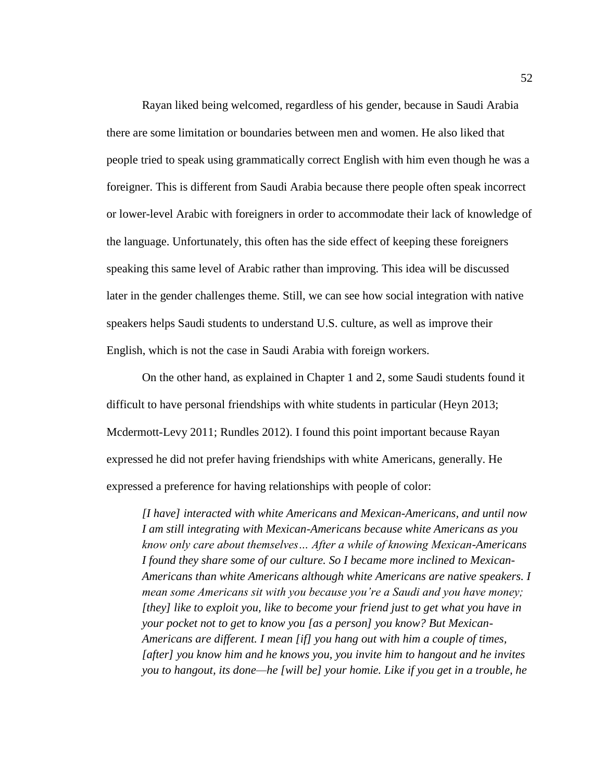Rayan liked being welcomed, regardless of his gender, because in Saudi Arabia there are some limitation or boundaries between men and women. He also liked that people tried to speak using grammatically correct English with him even though he was a foreigner. This is different from Saudi Arabia because there people often speak incorrect or lower-level Arabic with foreigners in order to accommodate their lack of knowledge of the language. Unfortunately, this often has the side effect of keeping these foreigners speaking this same level of Arabic rather than improving. This idea will be discussed later in the gender challenges theme. Still, we can see how social integration with native speakers helps Saudi students to understand U.S. culture, as well as improve their English, which is not the case in Saudi Arabia with foreign workers.

On the other hand, as explained in Chapter 1 and 2, some Saudi students found it difficult to have personal friendships with white students in particular (Heyn 2013; Mcdermott-Levy 2011; Rundles 2012). I found this point important because Rayan expressed he did not prefer having friendships with white Americans, generally. He expressed a preference for having relationships with people of color:

*[I have] interacted with white Americans and Mexican-Americans, and until now I am still integrating with Mexican-Americans because white Americans as you know only care about themselves… After a while of knowing Mexican-Americans I found they share some of our culture. So I became more inclined to Mexican-Americans than white Americans although white Americans are native speakers. I mean some Americans sit with you because you're a Saudi and you have money; [they] like to exploit you, like to become your friend just to get what you have in your pocket not to get to know you [as a person] you know? But Mexican-Americans are different. I mean [if] you hang out with him a couple of times, [after] you know him and he knows you, you invite him to hangout and he invites you to hangout, its done—he [will be] your homie. Like if you get in a trouble, he*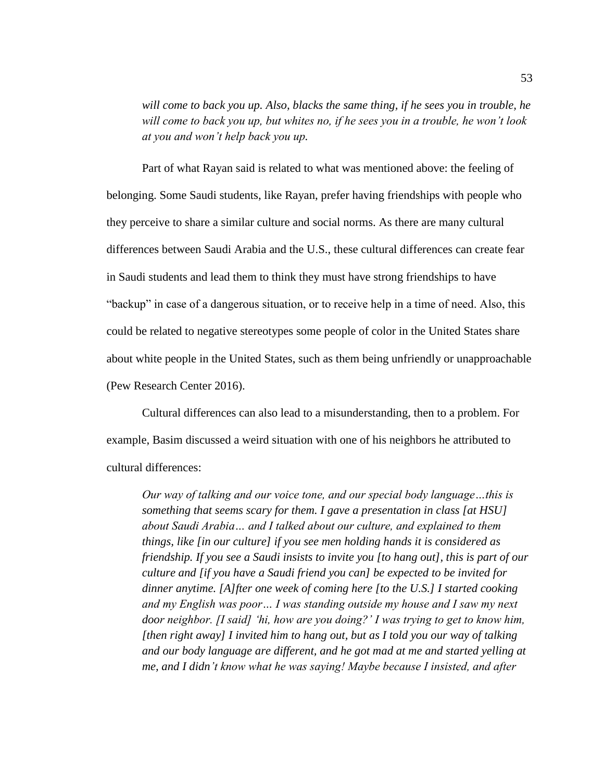*will come to back you up. Also, blacks the same thing, if he sees you in trouble, he will come to back you up, but whites no, if he sees you in a trouble, he won't look at you and won't help back you up.*

Part of what Rayan said is related to what was mentioned above: the feeling of belonging. Some Saudi students, like Rayan, prefer having friendships with people who they perceive to share a similar culture and social norms. As there are many cultural differences between Saudi Arabia and the U.S., these cultural differences can create fear in Saudi students and lead them to think they must have strong friendships to have "backup" in case of a dangerous situation, or to receive help in a time of need. Also, this could be related to negative stereotypes some people of color in the United States share about white people in the United States, such as them being unfriendly or unapproachable (Pew Research Center 2016).

Cultural differences can also lead to a misunderstanding, then to a problem. For example, Basim discussed a weird situation with one of his neighbors he attributed to cultural differences:

*Our way of talking and our voice tone, and our special body language…this is something that seems scary for them. I gave a presentation in class [at HSU] about Saudi Arabia… and I talked about our culture, and explained to them things, like [in our culture] if you see men holding hands it is considered as friendship. If you see a Saudi insists to invite you [to hang out], this is part of our culture and [if you have a Saudi friend you can] be expected to be invited for dinner anytime. [A]fter one week of coming here [to the U.S.] I started cooking and my English was poor… I was standing outside my house and I saw my next door neighbor. [I said] 'hi, how are you doing?' I was trying to get to know him, [then right away] I invited him to hang out, but as I told you our way of talking and our body language are different, and he got mad at me and started yelling at me, and I didn't know what he was saying! Maybe because I insisted, and after*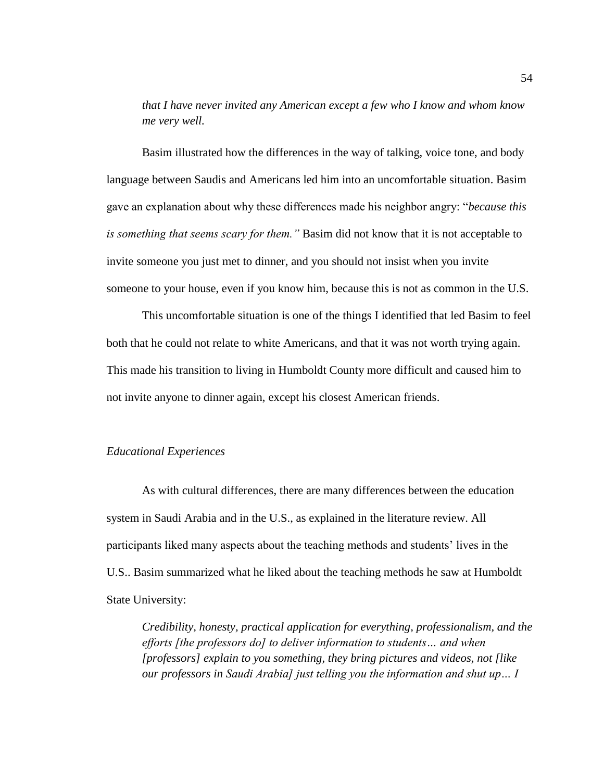*that I have never invited any American except a few who I know and whom know me very well.*

Basim illustrated how the differences in the way of talking, voice tone, and body language between Saudis and Americans led him into an uncomfortable situation. Basim gave an explanation about why these differences made his neighbor angry: "*because this is something that seems scary for them."* Basim did not know that it is not acceptable to invite someone you just met to dinner, and you should not insist when you invite someone to your house, even if you know him, because this is not as common in the U.S.

This uncomfortable situation is one of the things I identified that led Basim to feel both that he could not relate to white Americans, and that it was not worth trying again. This made his transition to living in Humboldt County more difficult and caused him to not invite anyone to dinner again, except his closest American friends.

# *Educational Experiences*

As with cultural differences, there are many differences between the education system in Saudi Arabia and in the U.S., as explained in the literature review. All participants liked many aspects about the teaching methods and students' lives in the U.S.. Basim summarized what he liked about the teaching methods he saw at Humboldt State University:

*Credibility, honesty, practical application for everything, professionalism, and the efforts [the professors do] to deliver information to students… and when [professors] explain to you something, they bring pictures and videos, not [like our professors in Saudi Arabia] just telling you the information and shut up… I*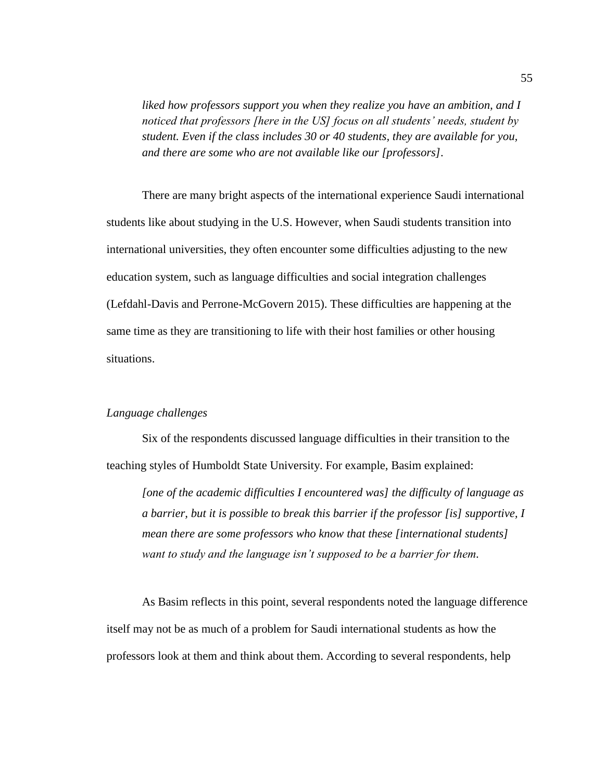*liked how professors support you when they realize you have an ambition, and I noticed that professors [here in the US] focus on all students' needs, student by student. Even if the class includes 30 or 40 students, they are available for you, and there are some who are not available like our [professors].*

There are many bright aspects of the international experience Saudi international students like about studying in the U.S. However, when Saudi students transition into international universities, they often encounter some difficulties adjusting to the new education system, such as language difficulties and social integration challenges (Lefdahl-Davis and Perrone-McGovern 2015). These difficulties are happening at the same time as they are transitioning to life with their host families or other housing situations.

# *Language challenges*

Six of the respondents discussed language difficulties in their transition to the teaching styles of Humboldt State University. For example, Basim explained:

*[one of the academic difficulties I encountered was] the difficulty of language as a barrier, but it is possible to break this barrier if the professor [is] supportive, I mean there are some professors who know that these [international students] want to study and the language isn't supposed to be a barrier for them.*

As Basim reflects in this point, several respondents noted the language difference itself may not be as much of a problem for Saudi international students as how the professors look at them and think about them. According to several respondents, help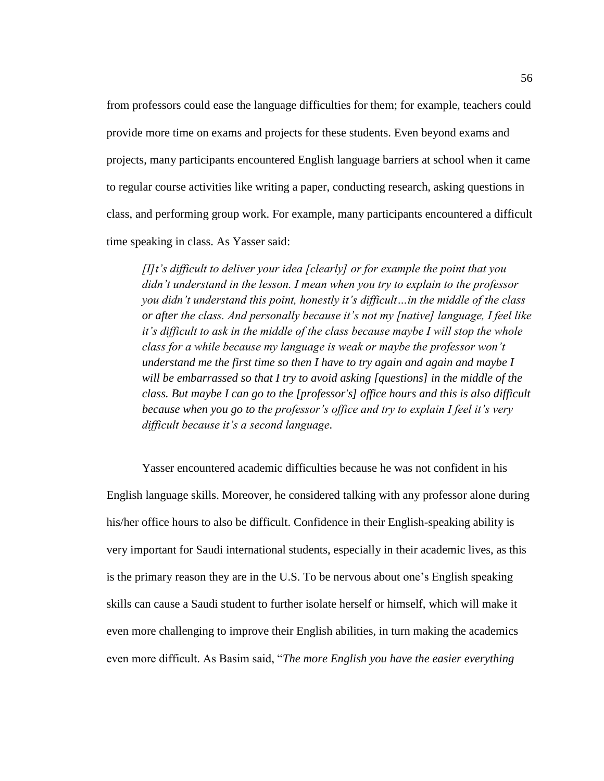from professors could ease the language difficulties for them; for example, teachers could provide more time on exams and projects for these students. Even beyond exams and projects, many participants encountered English language barriers at school when it came to regular course activities like writing a paper, conducting research, asking questions in class, and performing group work. For example, many participants encountered a difficult time speaking in class. As Yasser said:

*[I]t's difficult to deliver your idea [clearly] or for example the point that you didn't understand in the lesson. I mean when you try to explain to the professor you didn't understand this point, honestly it's difficult…in the middle of the class or after the class. And personally because it's not my [native] language, I feel like it's difficult to ask in the middle of the class because maybe I will stop the whole class for a while because my language is weak or maybe the professor won't understand me the first time so then I have to try again and again and maybe I will be embarrassed so that I try to avoid asking [questions] in the middle of the class. But maybe I can go to the [professor's] office hours and this is also difficult because when you go to the professor's office and try to explain I feel it's very difficult because it's a second language.*

Yasser encountered academic difficulties because he was not confident in his English language skills. Moreover, he considered talking with any professor alone during his/her office hours to also be difficult. Confidence in their English-speaking ability is very important for Saudi international students, especially in their academic lives, as this is the primary reason they are in the U.S. To be nervous about one's English speaking skills can cause a Saudi student to further isolate herself or himself, which will make it even more challenging to improve their English abilities, in turn making the academics even more difficult. As Basim said, "*The more English you have the easier everything*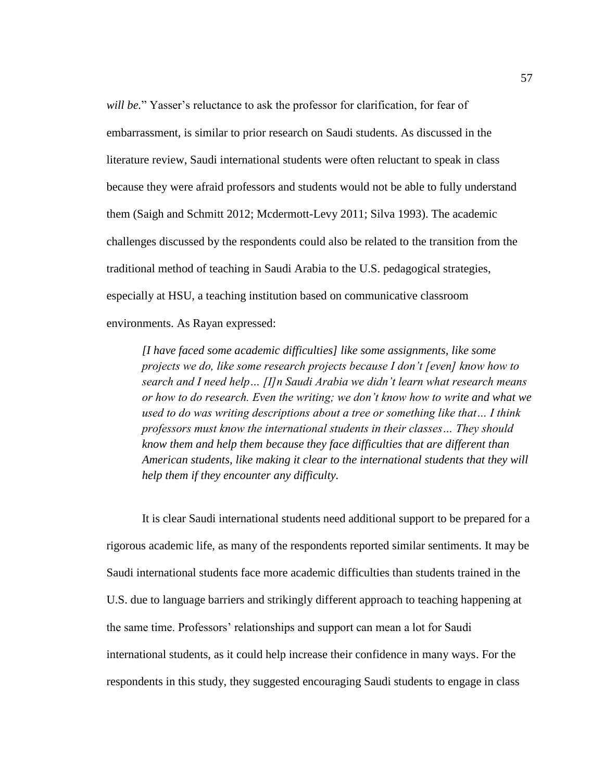*will be.*" Yasser's reluctance to ask the professor for clarification, for fear of embarrassment, is similar to prior research on Saudi students. As discussed in the literature review, Saudi international students were often reluctant to speak in class because they were afraid professors and students would not be able to fully understand them (Saigh and Schmitt 2012; Mcdermott-Levy 2011; Silva 1993). The academic challenges discussed by the respondents could also be related to the transition from the traditional method of teaching in Saudi Arabia to the U.S. pedagogical strategies, especially at HSU, a teaching institution based on communicative classroom environments. As Rayan expressed:

*[I have faced some academic difficulties] like some assignments, like some projects we do, like some research projects because I don't [even] know how to search and I need help… [I]n Saudi Arabia we didn't learn what research means or how to do research. Even the writing; we don't know how to write and what we used to do was writing descriptions about a tree or something like that… I think professors must know the international students in their classes… They should know them and help them because they face difficulties that are different than American students, like making it clear to the international students that they will help them if they encounter any difficulty.*

It is clear Saudi international students need additional support to be prepared for a rigorous academic life, as many of the respondents reported similar sentiments. It may be Saudi international students face more academic difficulties than students trained in the U.S. due to language barriers and strikingly different approach to teaching happening at the same time. Professors' relationships and support can mean a lot for Saudi international students, as it could help increase their confidence in many ways. For the respondents in this study, they suggested encouraging Saudi students to engage in class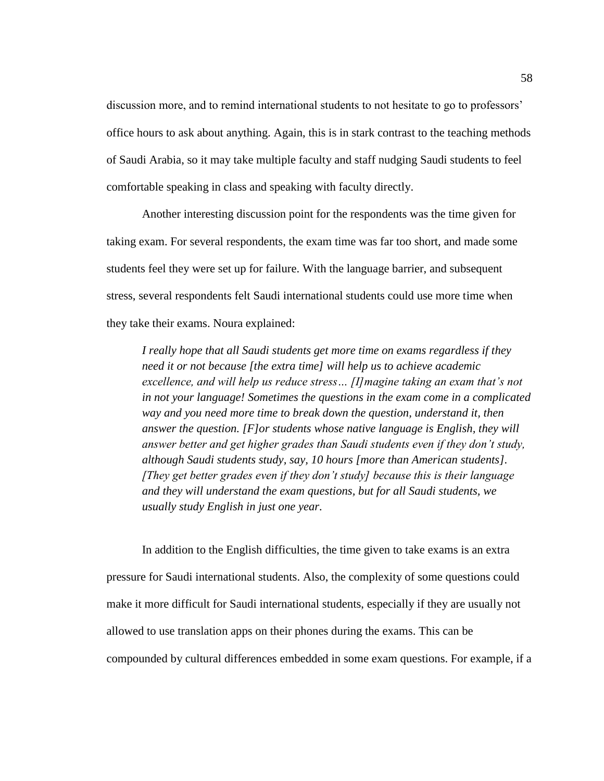discussion more, and to remind international students to not hesitate to go to professors' office hours to ask about anything. Again, this is in stark contrast to the teaching methods of Saudi Arabia, so it may take multiple faculty and staff nudging Saudi students to feel comfortable speaking in class and speaking with faculty directly.

Another interesting discussion point for the respondents was the time given for taking exam. For several respondents, the exam time was far too short, and made some students feel they were set up for failure. With the language barrier, and subsequent stress, several respondents felt Saudi international students could use more time when they take their exams. Noura explained:

*I really hope that all Saudi students get more time on exams regardless if they need it or not because [the extra time] will help us to achieve academic excellence, and will help us reduce stress… [I]magine taking an exam that's not in not your language! Sometimes the questions in the exam come in a complicated way and you need more time to break down the question, understand it, then answer the question. [F]or students whose native language is English, they will answer better and get higher grades than Saudi students even if they don't study, although Saudi students study, say, 10 hours [more than American students]. [They get better grades even if they don't study] because this is their language and they will understand the exam questions, but for all Saudi students, we usually study English in just one year.*

In addition to the English difficulties, the time given to take exams is an extra pressure for Saudi international students. Also, the complexity of some questions could make it more difficult for Saudi international students, especially if they are usually not allowed to use translation apps on their phones during the exams. This can be compounded by cultural differences embedded in some exam questions. For example, if a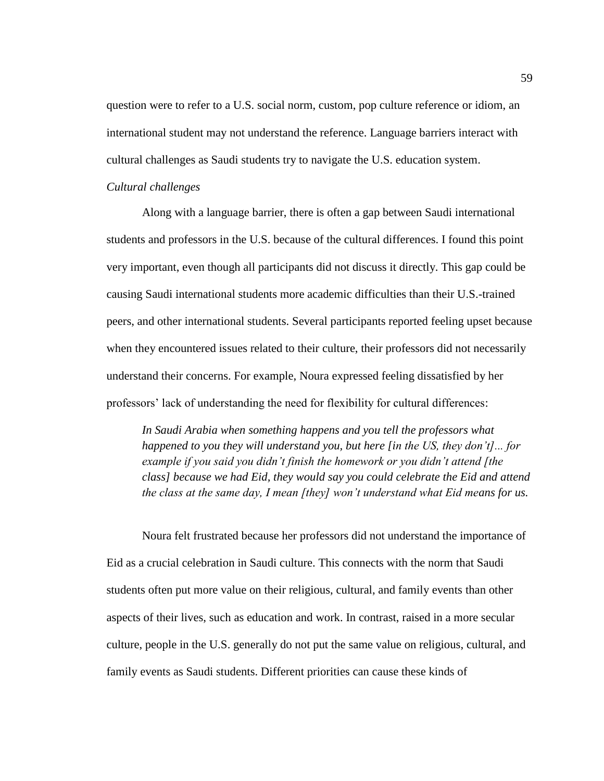question were to refer to a U.S. social norm, custom, pop culture reference or idiom, an international student may not understand the reference. Language barriers interact with cultural challenges as Saudi students try to navigate the U.S. education system.

#### *Cultural challenges*

Along with a language barrier, there is often a gap between Saudi international students and professors in the U.S. because of the cultural differences. I found this point very important, even though all participants did not discuss it directly. This gap could be causing Saudi international students more academic difficulties than their U.S.-trained peers, and other international students. Several participants reported feeling upset because when they encountered issues related to their culture, their professors did not necessarily understand their concerns. For example, Noura expressed feeling dissatisfied by her professors' lack of understanding the need for flexibility for cultural differences:

*In Saudi Arabia when something happens and you tell the professors what happened to you they will understand you, but here [in the US, they don't]... for example if you said you didn't finish the homework or you didn't attend [the class] because we had Eid, they would say you could celebrate the Eid and attend the class at the same day, I mean [they] won't understand what Eid means for us.*

Noura felt frustrated because her professors did not understand the importance of Eid as a crucial celebration in Saudi culture. This connects with the norm that Saudi students often put more value on their religious, cultural, and family events than other aspects of their lives, such as education and work. In contrast, raised in a more secular culture, people in the U.S. generally do not put the same value on religious, cultural, and family events as Saudi students. Different priorities can cause these kinds of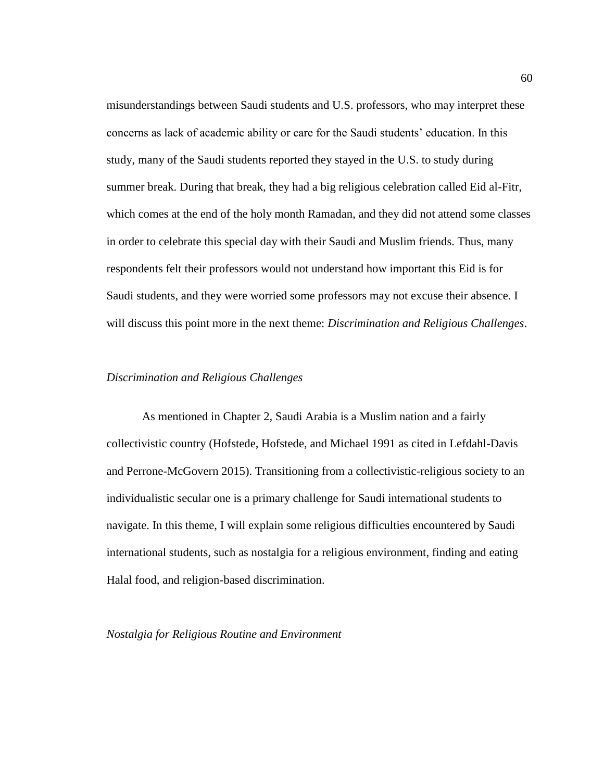misunderstandings between Saudi students and U.S. professors, who may interpret these concerns as lack of academic ability or care for the Saudi students' education. In this study, many of the Saudi students reported they stayed in the U.S. to study during summer break. During that break, they had a big religious celebration called Eid al-Fitr, which comes at the end of the holy month Ramadan, and they did not attend some classes in order to celebrate this special day with their Saudi and Muslim friends. Thus, many respondents felt their professors would not understand how important this Eid is for Saudi students, and they were worried some professors may not excuse their absence. I will discuss this point more in the next theme: *Discrimination and Religious Challenges*.

#### *Discrimination and Religious Challenges*

As mentioned in Chapter 2, Saudi Arabia is a Muslim nation and a fairly collectivistic country (Hofstede, Hofstede, and Michael 1991 as cited in Lefdahl-Davis and Perrone-McGovern 2015). Transitioning from a collectivistic-religious society to an individualistic secular one is a primary challenge for Saudi international students to navigate. In this theme, I will explain some religious difficulties encountered by Saudi international students, such as nostalgia for a religious environment, finding and eating Halal food, and religion-based discrimination.

# *Nostalgia for Religious Routine and Environment*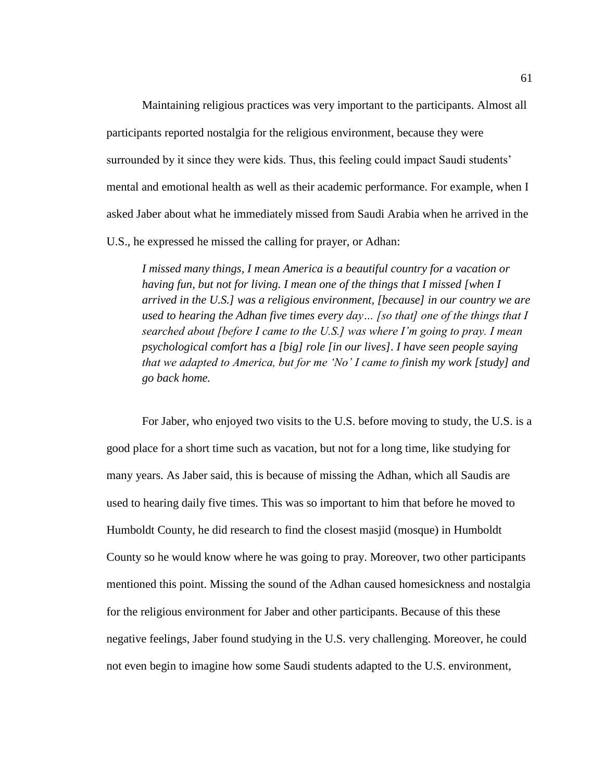Maintaining religious practices was very important to the participants. Almost all participants reported nostalgia for the religious environment, because they were surrounded by it since they were kids. Thus, this feeling could impact Saudi students' mental and emotional health as well as their academic performance. For example, when I asked Jaber about what he immediately missed from Saudi Arabia when he arrived in the U.S., he expressed he missed the calling for prayer, or Adhan:

*I missed many things, I mean America is a beautiful country for a vacation or having fun, but not for living. I mean one of the things that I missed [when I arrived in the U.S.] was a religious environment, [because] in our country we are used to hearing the Adhan five times every day… [so that] one of the things that I searched about [before I came to the U.S.] was where I'm going to pray. I mean psychological comfort has a [big] role [in our lives]. I have seen people saying that we adapted to America, but for me 'No' I came to finish my work [study] and go back home.*

For Jaber, who enjoyed two visits to the U.S. before moving to study, the U.S. is a good place for a short time such as vacation, but not for a long time, like studying for many years. As Jaber said, this is because of missing the Adhan, which all Saudis are used to hearing daily five times. This was so important to him that before he moved to Humboldt County, he did research to find the closest masjid (mosque) in Humboldt County so he would know where he was going to pray. Moreover, two other participants mentioned this point. Missing the sound of the Adhan caused homesickness and nostalgia for the religious environment for Jaber and other participants. Because of this these negative feelings, Jaber found studying in the U.S. very challenging. Moreover, he could not even begin to imagine how some Saudi students adapted to the U.S. environment,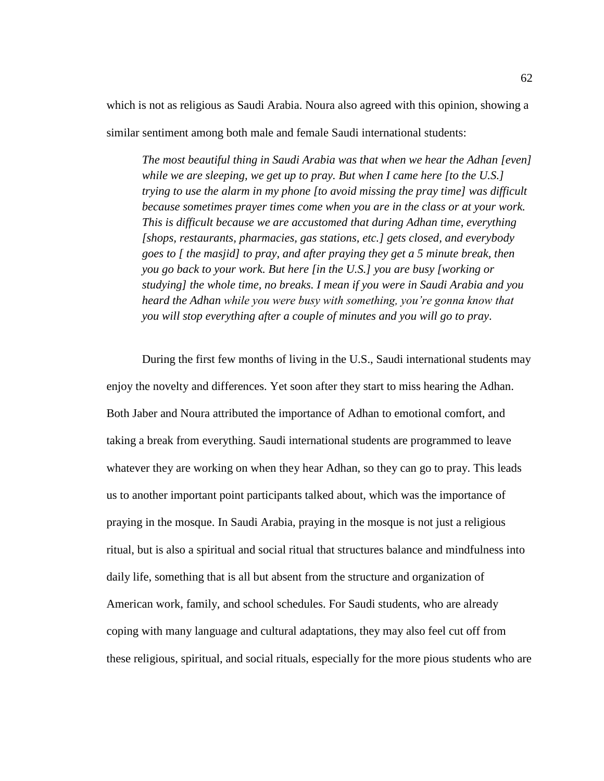which is not as religious as Saudi Arabia. Noura also agreed with this opinion, showing a

similar sentiment among both male and female Saudi international students:

*The most beautiful thing in Saudi Arabia was that when we hear the Adhan [even] while we are sleeping, we get up to pray. But when I came here [to the U.S.] trying to use the alarm in my phone [to avoid missing the pray time] was difficult because sometimes prayer times come when you are in the class or at your work. This is difficult because we are accustomed that during Adhan time, everything [shops, restaurants, pharmacies, gas stations, etc.] gets closed, and everybody goes to [ the masjid] to pray, and after praying they get a 5 minute break, then you go back to your work. But here [in the U.S.] you are busy [working or studying] the whole time, no breaks. I mean if you were in Saudi Arabia and you heard the Adhan while you were busy with something, you're gonna know that you will stop everything after a couple of minutes and you will go to pray.*

During the first few months of living in the U.S., Saudi international students may enjoy the novelty and differences. Yet soon after they start to miss hearing the Adhan. Both Jaber and Noura attributed the importance of Adhan to emotional comfort, and taking a break from everything. Saudi international students are programmed to leave whatever they are working on when they hear Adhan, so they can go to pray. This leads us to another important point participants talked about, which was the importance of praying in the mosque. In Saudi Arabia, praying in the mosque is not just a religious ritual, but is also a spiritual and social ritual that structures balance and mindfulness into daily life, something that is all but absent from the structure and organization of American work, family, and school schedules. For Saudi students, who are already coping with many language and cultural adaptations, they may also feel cut off from these religious, spiritual, and social rituals, especially for the more pious students who are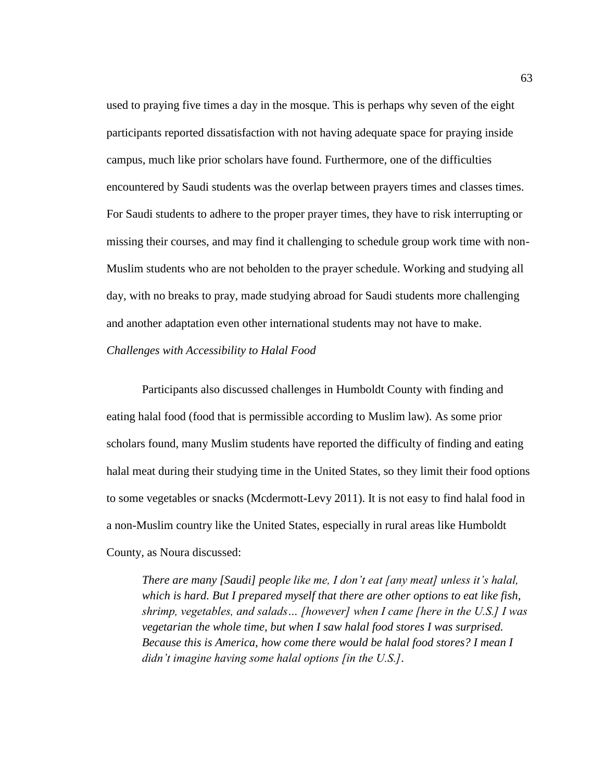used to praying five times a day in the mosque. This is perhaps why seven of the eight participants reported dissatisfaction with not having adequate space for praying inside campus, much like prior scholars have found. Furthermore, one of the difficulties encountered by Saudi students was the overlap between prayers times and classes times. For Saudi students to adhere to the proper prayer times, they have to risk interrupting or missing their courses, and may find it challenging to schedule group work time with non-Muslim students who are not beholden to the prayer schedule. Working and studying all day, with no breaks to pray, made studying abroad for Saudi students more challenging and another adaptation even other international students may not have to make. *Challenges with Accessibility to Halal Food*

Participants also discussed challenges in Humboldt County with finding and eating halal food (food that is permissible according to Muslim law). As some prior scholars found, many Muslim students have reported the difficulty of finding and eating halal meat during their studying time in the United States, so they limit their food options to some vegetables or snacks (Mcdermott-Levy 2011). It is not easy to find halal food in a non-Muslim country like the United States, especially in rural areas like Humboldt County, as Noura discussed:

*There are many [Saudi] people like me, I don't eat [any meat] unless it's halal, which is hard. But I prepared myself that there are other options to eat like fish, shrimp, vegetables, and salads… [however] when I came [here in the U.S.] I was vegetarian the whole time, but when I saw halal food stores I was surprised. Because this is America, how come there would be halal food stores? I mean I didn't imagine having some halal options [in the U.S.].*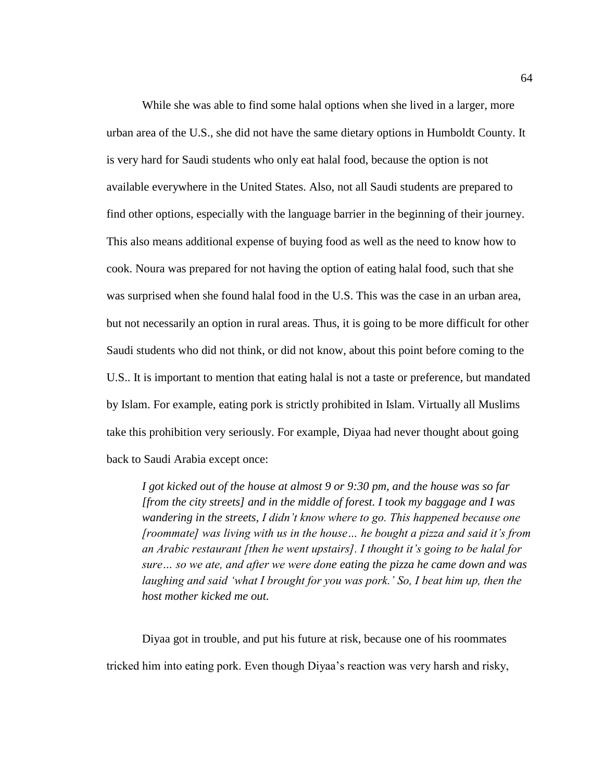While she was able to find some halal options when she lived in a larger, more urban area of the U.S., she did not have the same dietary options in Humboldt County. It is very hard for Saudi students who only eat halal food, because the option is not available everywhere in the United States. Also, not all Saudi students are prepared to find other options, especially with the language barrier in the beginning of their journey. This also means additional expense of buying food as well as the need to know how to cook. Noura was prepared for not having the option of eating halal food, such that she was surprised when she found halal food in the U.S. This was the case in an urban area, but not necessarily an option in rural areas. Thus, it is going to be more difficult for other Saudi students who did not think, or did not know, about this point before coming to the U.S.. It is important to mention that eating halal is not a taste or preference, but mandated by Islam. For example, eating pork is strictly prohibited in Islam. Virtually all Muslims take this prohibition very seriously. For example, Diyaa had never thought about going back to Saudi Arabia except once:

*I got kicked out of the house at almost 9 or 9:30 pm, and the house was so far [from the city streets] and in the middle of forest. I took my baggage and I was wandering in the streets, I didn't know where to go. This happened because one [roommate] was living with us in the house… he bought a pizza and said it's from an Arabic restaurant [then he went upstairs]. I thought it's going to be halal for sure… so we ate, and after we were done eating the pizza he came down and was laughing and said 'what I brought for you was pork.' So, I beat him up, then the host mother kicked me out.*

Diyaa got in trouble, and put his future at risk, because one of his roommates tricked him into eating pork. Even though Diyaa's reaction was very harsh and risky,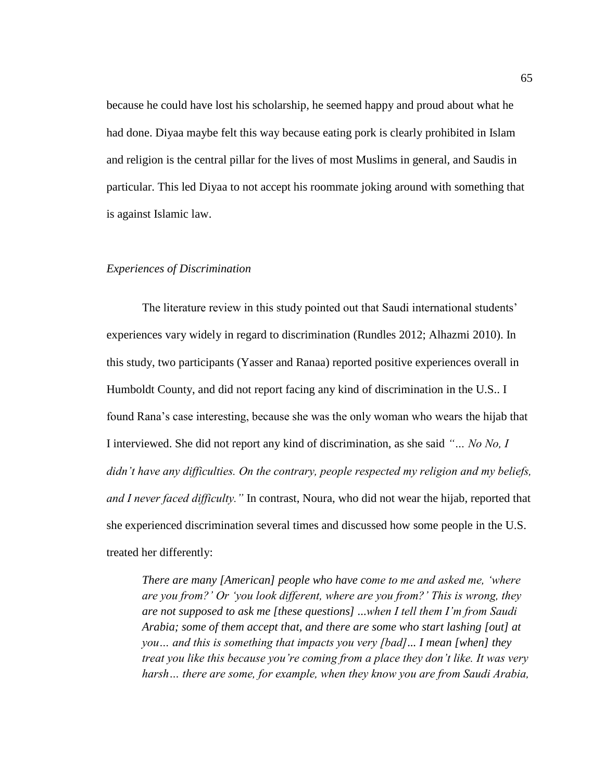because he could have lost his scholarship, he seemed happy and proud about what he had done. Diyaa maybe felt this way because eating pork is clearly prohibited in Islam and religion is the central pillar for the lives of most Muslims in general, and Saudis in particular. This led Diyaa to not accept his roommate joking around with something that is against Islamic law.

#### *Experiences of Discrimination*

The literature review in this study pointed out that Saudi international students' experiences vary widely in regard to discrimination (Rundles 2012; Alhazmi 2010). In this study, two participants (Yasser and Ranaa) reported positive experiences overall in Humboldt County, and did not report facing any kind of discrimination in the U.S.. I found Rana's case interesting, because she was the only woman who wears the hijab that I interviewed. She did not report any kind of discrimination, as she said *"… No No, I didn't have any difficulties. On the contrary, people respected my religion and my beliefs, and I never faced difficulty."* In contrast, Noura, who did not wear the hijab, reported that she experienced discrimination several times and discussed how some people in the U.S. treated her differently:

*There are many [American] people who have come to me and asked me, 'where are you from?' Or 'you look different, where are you from?' This is wrong, they are not supposed to ask me [these questions] ...when I tell them I'm from Saudi Arabia; some of them accept that, and there are some who start lashing [out] at you… and this is something that impacts you very [bad]... I mean [when] they treat you like this because you're coming from a place they don't like. It was very harsh… there are some, for example, when they know you are from Saudi Arabia,*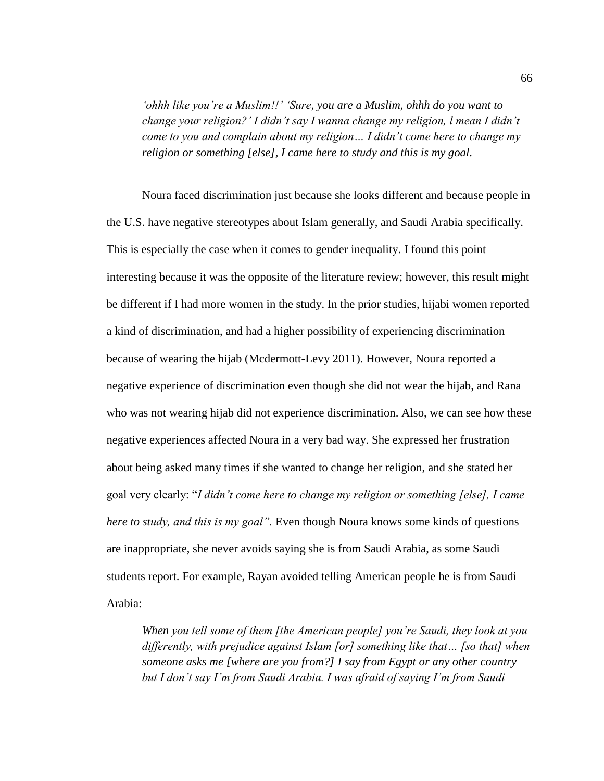*'ohhh like you're a Muslim!!' 'Sure, you are a Muslim, ohhh do you want to change your religion?' I didn't say I wanna change my religion, l mean I didn't come to you and complain about my religion… I didn't come here to change my religion or something [else], I came here to study and this is my goal.*

Noura faced discrimination just because she looks different and because people in the U.S. have negative stereotypes about Islam generally, and Saudi Arabia specifically. This is especially the case when it comes to gender inequality. I found this point interesting because it was the opposite of the literature review; however, this result might be different if I had more women in the study. In the prior studies, hijabi women reported a kind of discrimination, and had a higher possibility of experiencing discrimination because of wearing the hijab (Mcdermott-Levy 2011). However, Noura reported a negative experience of discrimination even though she did not wear the hijab, and Rana who was not wearing hijab did not experience discrimination. Also, we can see how these negative experiences affected Noura in a very bad way. She expressed her frustration about being asked many times if she wanted to change her religion, and she stated her goal very clearly: "*I didn't come here to change my religion or something [else], I came here to study, and this is my goal".* Even though Noura knows some kinds of questions are inappropriate, she never avoids saying she is from Saudi Arabia, as some Saudi students report. For example, Rayan avoided telling American people he is from Saudi Arabia:

*When you tell some of them [the American people] you're Saudi, they look at you differently, with prejudice against Islam [or] something like that… [so that] when someone asks me [where are you from?] I say from Egypt or any other country but I don't say I'm from Saudi Arabia. I was afraid of saying I'm from Saudi*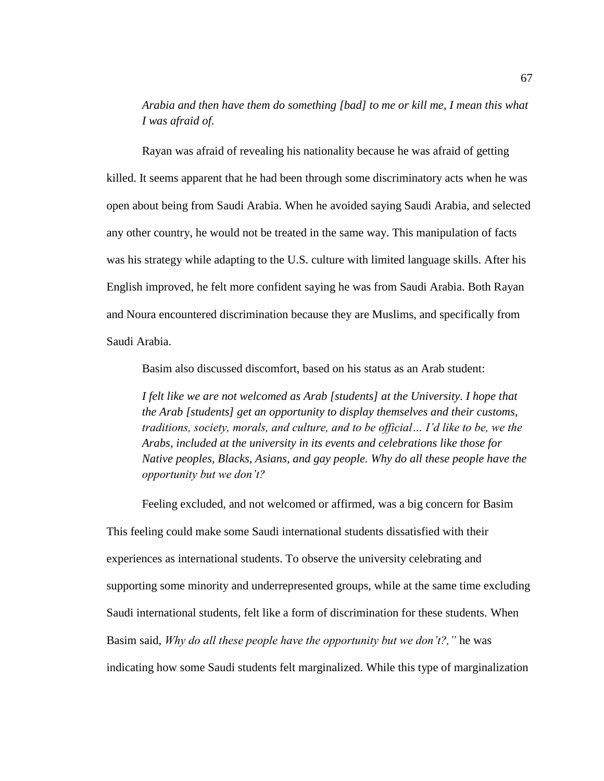*Arabia and then have them do something [bad] to me or kill me, I mean this what I was afraid of.*

Rayan was afraid of revealing his nationality because he was afraid of getting killed. It seems apparent that he had been through some discriminatory acts when he was open about being from Saudi Arabia. When he avoided saying Saudi Arabia, and selected any other country, he would not be treated in the same way. This manipulation of facts was his strategy while adapting to the U.S. culture with limited language skills. After his English improved, he felt more confident saying he was from Saudi Arabia. Both Rayan and Noura encountered discrimination because they are Muslims, and specifically from Saudi Arabia.

Basim also discussed discomfort, based on his status as an Arab student:

*I felt like we are not welcomed as Arab [students] at the University. I hope that the Arab [students] get an opportunity to display themselves and their customs, traditions, society, morals, and culture, and to be official… I'd like to be, we the Arabs, included at the university in its events and celebrations like those for Native peoples, Blacks, Asians, and gay people. Why do all these people have the opportunity but we don't?*

Feeling excluded, and not welcomed or affirmed, was a big concern for Basim This feeling could make some Saudi international students dissatisfied with their experiences as international students. To observe the university celebrating and supporting some minority and underrepresented groups, while at the same time excluding Saudi international students, felt like a form of discrimination for these students. When Basim said, *Why do all these people have the opportunity but we don't?,"* he was indicating how some Saudi students felt marginalized. While this type of marginalization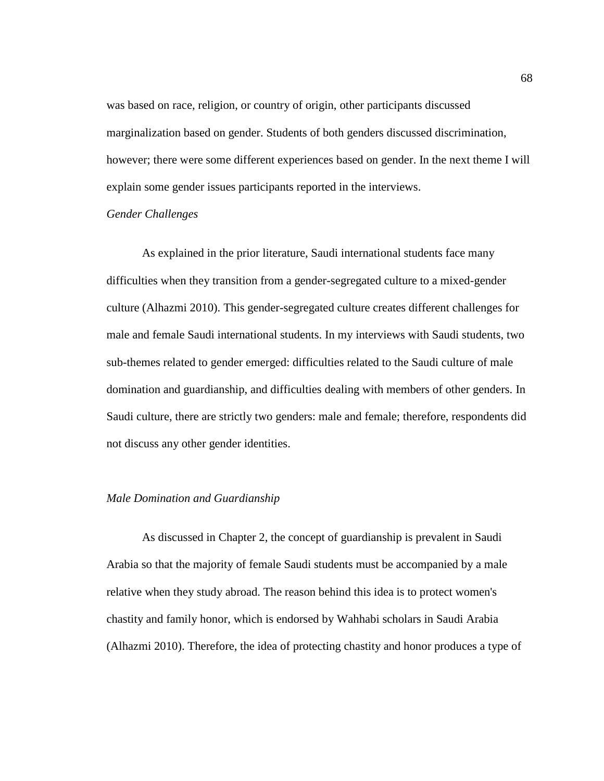was based on race, religion, or country of origin, other participants discussed marginalization based on gender. Students of both genders discussed discrimination, however; there were some different experiences based on gender. In the next theme I will explain some gender issues participants reported in the interviews.

#### *Gender Challenges*

As explained in the prior literature, Saudi international students face many difficulties when they transition from a gender-segregated culture to a mixed-gender culture (Alhazmi 2010). This gender-segregated culture creates different challenges for male and female Saudi international students. In my interviews with Saudi students, two sub-themes related to gender emerged: difficulties related to the Saudi culture of male domination and guardianship, and difficulties dealing with members of other genders. In Saudi culture, there are strictly two genders: male and female; therefore, respondents did not discuss any other gender identities.

## *Male Domination and Guardianship*

As discussed in Chapter 2, the concept of guardianship is prevalent in Saudi Arabia so that the majority of female Saudi students must be accompanied by a male relative when they study abroad. The reason behind this idea is to protect women's chastity and family honor, which is endorsed by Wahhabi scholars in Saudi Arabia (Alhazmi 2010). Therefore, the idea of protecting chastity and honor produces a type of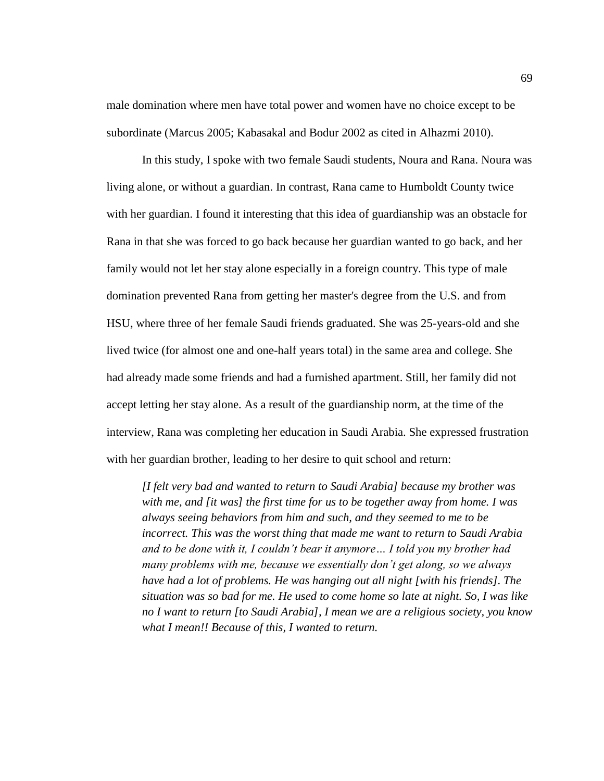male domination where men have total power and women have no choice except to be subordinate (Marcus 2005; Kabasakal and Bodur 2002 as cited in Alhazmi 2010).

In this study, I spoke with two female Saudi students, Noura and Rana. Noura was living alone, or without a guardian. In contrast, Rana came to Humboldt County twice with her guardian. I found it interesting that this idea of guardianship was an obstacle for Rana in that she was forced to go back because her guardian wanted to go back, and her family would not let her stay alone especially in a foreign country. This type of male domination prevented Rana from getting her master's degree from the U.S. and from HSU, where three of her female Saudi friends graduated. She was 25-years-old and she lived twice (for almost one and one-half years total) in the same area and college. She had already made some friends and had a furnished apartment. Still, her family did not accept letting her stay alone. As a result of the guardianship norm, at the time of the interview, Rana was completing her education in Saudi Arabia. She expressed frustration with her guardian brother, leading to her desire to quit school and return:

*[I felt very bad and wanted to return to Saudi Arabia] because my brother was with me, and [it was] the first time for us to be together away from home. I was always seeing behaviors from him and such, and they seemed to me to be incorrect. This was the worst thing that made me want to return to Saudi Arabia and to be done with it, I couldn't bear it anymore… I told you my brother had many problems with me, because we essentially don't get along, so we always have had a lot of problems. He was hanging out all night [with his friends]. The situation was so bad for me. He used to come home so late at night. So, I was like no I want to return [to Saudi Arabia], I mean we are a religious society, you know what I mean!! Because of this, I wanted to return.*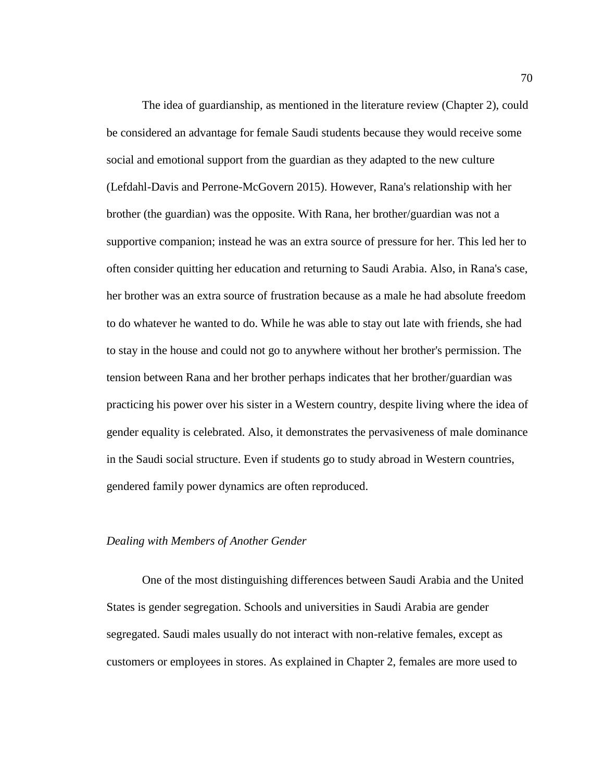The idea of guardianship, as mentioned in the literature review (Chapter 2), could be considered an advantage for female Saudi students because they would receive some social and emotional support from the guardian as they adapted to the new culture (Lefdahl-Davis and Perrone-McGovern 2015). However, Rana's relationship with her brother (the guardian) was the opposite. With Rana, her brother/guardian was not a supportive companion; instead he was an extra source of pressure for her. This led her to often consider quitting her education and returning to Saudi Arabia. Also, in Rana's case, her brother was an extra source of frustration because as a male he had absolute freedom to do whatever he wanted to do. While he was able to stay out late with friends, she had to stay in the house and could not go to anywhere without her brother's permission. The tension between Rana and her brother perhaps indicates that her brother/guardian was practicing his power over his sister in a Western country, despite living where the idea of gender equality is celebrated. Also, it demonstrates the pervasiveness of male dominance in the Saudi social structure. Even if students go to study abroad in Western countries, gendered family power dynamics are often reproduced.

#### *Dealing with Members of Another Gender*

One of the most distinguishing differences between Saudi Arabia and the United States is gender segregation. Schools and universities in Saudi Arabia are gender segregated. Saudi males usually do not interact with non-relative females, except as customers or employees in stores. As explained in Chapter 2, females are more used to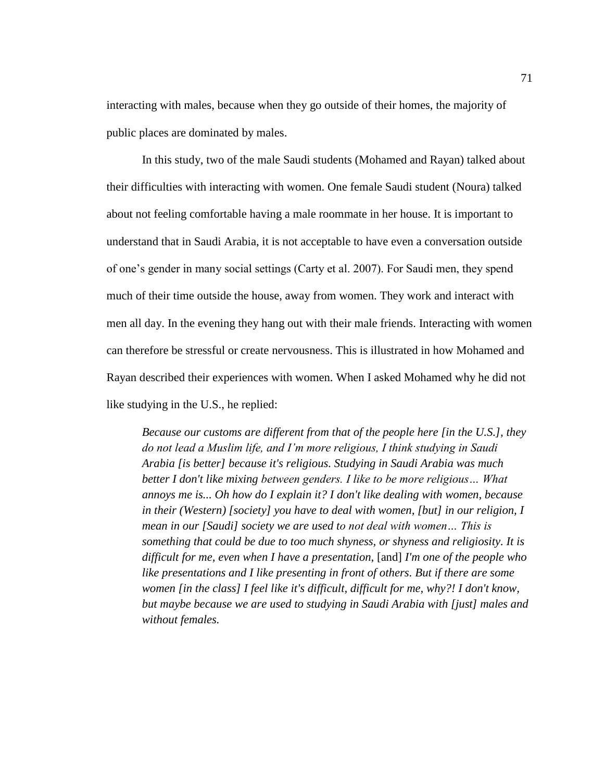interacting with males, because when they go outside of their homes, the majority of public places are dominated by males.

In this study, two of the male Saudi students (Mohamed and Rayan) talked about their difficulties with interacting with women. One female Saudi student (Noura) talked about not feeling comfortable having a male roommate in her house. It is important to understand that in Saudi Arabia, it is not acceptable to have even a conversation outside of one's gender in many social settings (Carty et al. 2007). For Saudi men, they spend much of their time outside the house, away from women. They work and interact with men all day. In the evening they hang out with their male friends. Interacting with women can therefore be stressful or create nervousness. This is illustrated in how Mohamed and Rayan described their experiences with women. When I asked Mohamed why he did not like studying in the U.S., he replied:

*Because our customs are different from that of the people here [in the U.S.], they do not lead a Muslim life, and I'm more religious, I think studying in Saudi Arabia [is better] because it's religious. Studying in Saudi Arabia was much better I don't like mixing between genders. I like to be more religious… What annoys me is... Oh how do I explain it? I don't like dealing with women, because in their (Western) [society] you have to deal with women, [but] in our religion, I mean in our [Saudi] society we are used to not deal with women… This is something that could be due to too much shyness, or shyness and religiosity. It is difficult for me, even when I have a presentation,* [and] *I'm one of the people who like presentations and I like presenting in front of others. But if there are some women [in the class] I feel like it's difficult, difficult for me, why?! I don't know, but maybe because we are used to studying in Saudi Arabia with [just] males and without females.*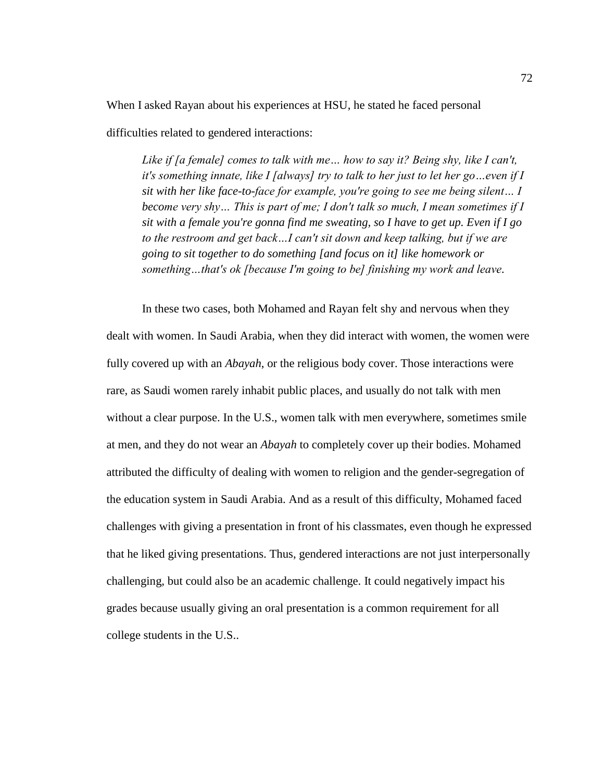When I asked Rayan about his experiences at HSU, he stated he faced personal

difficulties related to gendered interactions:

*Like if [a female] comes to talk with me… how to say it? Being shy, like I can't, it's something innate, like I [always] try to talk to her just to let her go…even if I sit with her like face-to-face for example, you're going to see me being silent… I become very shy… This is part of me; I don't talk so much, I mean sometimes if I sit with a female you're gonna find me sweating, so I have to get up. Even if I go to the restroom and get back…I can't sit down and keep talking, but if we are going to sit together to do something [and focus on it] like homework or something…that's ok [because I'm going to be] finishing my work and leave.*

In these two cases, both Mohamed and Rayan felt shy and nervous when they dealt with women. In Saudi Arabia, when they did interact with women, the women were fully covered up with an *Abayah*, or the religious body cover. Those interactions were rare, as Saudi women rarely inhabit public places, and usually do not talk with men without a clear purpose. In the U.S., women talk with men everywhere, sometimes smile at men, and they do not wear an *Abayah* to completely cover up their bodies. Mohamed attributed the difficulty of dealing with women to religion and the gender-segregation of the education system in Saudi Arabia. And as a result of this difficulty, Mohamed faced challenges with giving a presentation in front of his classmates, even though he expressed that he liked giving presentations. Thus, gendered interactions are not just interpersonally challenging, but could also be an academic challenge. It could negatively impact his grades because usually giving an oral presentation is a common requirement for all college students in the U.S..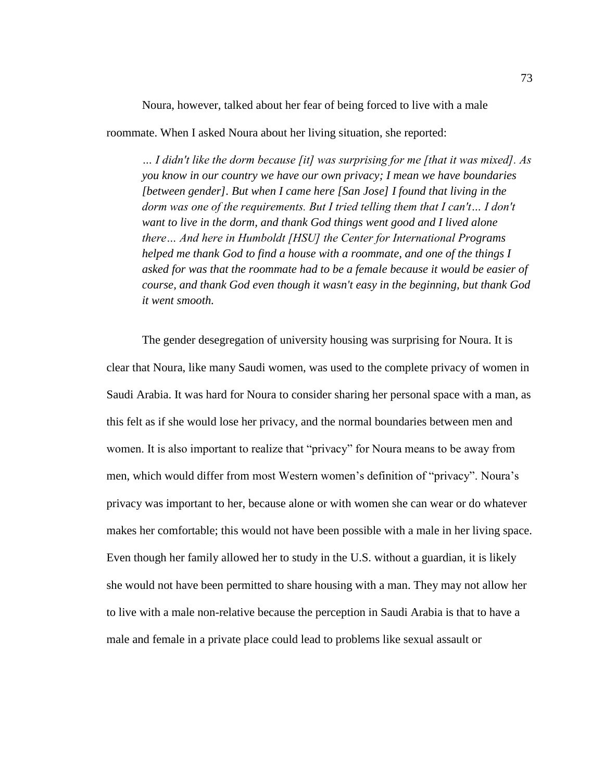Noura, however, talked about her fear of being forced to live with a male

roommate. When I asked Noura about her living situation, she reported:

*… I didn't like the dorm because [it] was surprising for me [that it was mixed]. As you know in our country we have our own privacy; I mean we have boundaries [between gender]. But when I came here [San Jose] I found that living in the dorm was one of the requirements. But I tried telling them that I can't… I don't want to live in the dorm, and thank God things went good and I lived alone there… And here in Humboldt [HSU] the Center for International Programs helped me thank God to find a house with a roommate, and one of the things I asked for was that the roommate had to be a female because it would be easier of course, and thank God even though it wasn't easy in the beginning, but thank God it went smooth.*

The gender desegregation of university housing was surprising for Noura. It is clear that Noura, like many Saudi women, was used to the complete privacy of women in Saudi Arabia. It was hard for Noura to consider sharing her personal space with a man, as this felt as if she would lose her privacy, and the normal boundaries between men and women. It is also important to realize that "privacy" for Noura means to be away from men, which would differ from most Western women's definition of "privacy". Noura's privacy was important to her, because alone or with women she can wear or do whatever makes her comfortable; this would not have been possible with a male in her living space. Even though her family allowed her to study in the U.S. without a guardian, it is likely she would not have been permitted to share housing with a man. They may not allow her to live with a male non-relative because the perception in Saudi Arabia is that to have a male and female in a private place could lead to problems like sexual assault or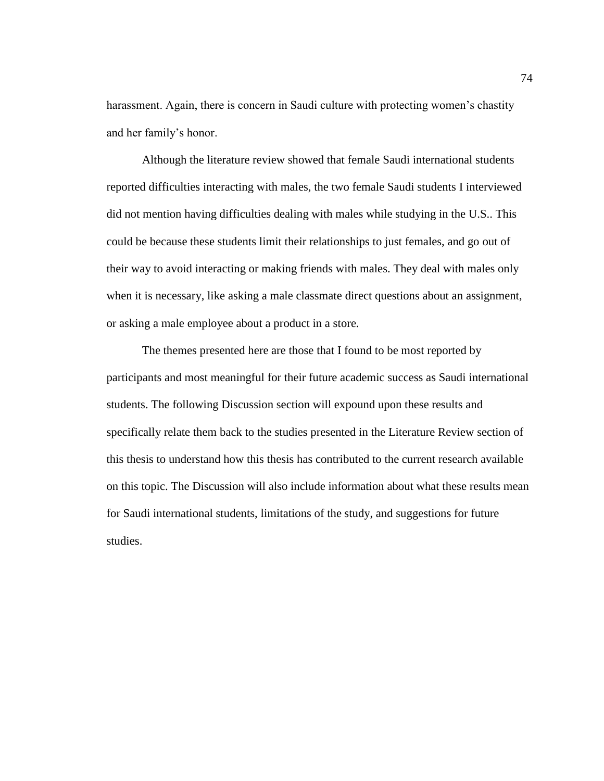harassment. Again, there is concern in Saudi culture with protecting women's chastity and her family's honor.

Although the literature review showed that female Saudi international students reported difficulties interacting with males, the two female Saudi students I interviewed did not mention having difficulties dealing with males while studying in the U.S.. This could be because these students limit their relationships to just females, and go out of their way to avoid interacting or making friends with males. They deal with males only when it is necessary, like asking a male classmate direct questions about an assignment, or asking a male employee about a product in a store.

The themes presented here are those that I found to be most reported by participants and most meaningful for their future academic success as Saudi international students. The following Discussion section will expound upon these results and specifically relate them back to the studies presented in the Literature Review section of this thesis to understand how this thesis has contributed to the current research available on this topic. The Discussion will also include information about what these results mean for Saudi international students, limitations of the study, and suggestions for future studies.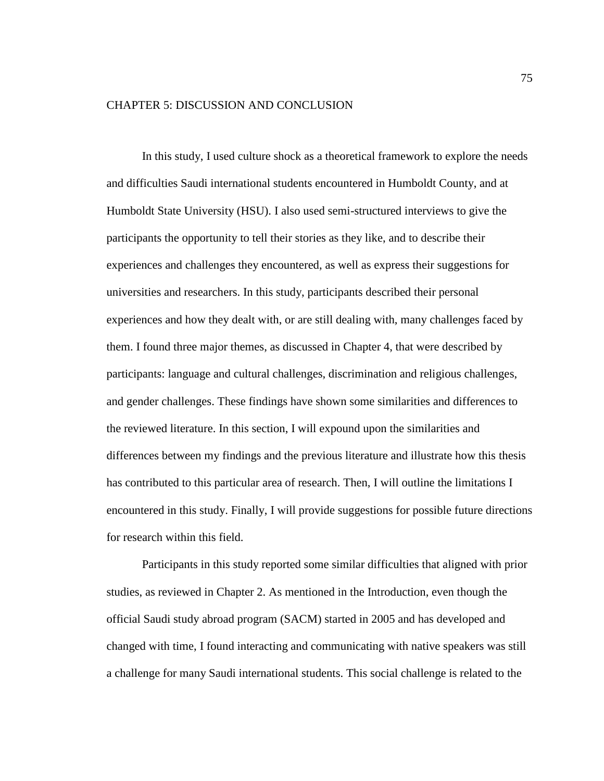#### CHAPTER 5: DISCUSSION AND CONCLUSION

In this study, I used culture shock as a theoretical framework to explore the needs and difficulties Saudi international students encountered in Humboldt County, and at Humboldt State University (HSU). I also used semi-structured interviews to give the participants the opportunity to tell their stories as they like, and to describe their experiences and challenges they encountered, as well as express their suggestions for universities and researchers. In this study, participants described their personal experiences and how they dealt with, or are still dealing with, many challenges faced by them. I found three major themes, as discussed in Chapter 4, that were described by participants: language and cultural challenges, discrimination and religious challenges, and gender challenges. These findings have shown some similarities and differences to the reviewed literature. In this section, I will expound upon the similarities and differences between my findings and the previous literature and illustrate how this thesis has contributed to this particular area of research. Then, I will outline the limitations I encountered in this study. Finally, I will provide suggestions for possible future directions for research within this field.

Participants in this study reported some similar difficulties that aligned with prior studies, as reviewed in Chapter 2. As mentioned in the Introduction, even though the official Saudi study abroad program (SACM) started in 2005 and has developed and changed with time, I found interacting and communicating with native speakers was still a challenge for many Saudi international students. This social challenge is related to the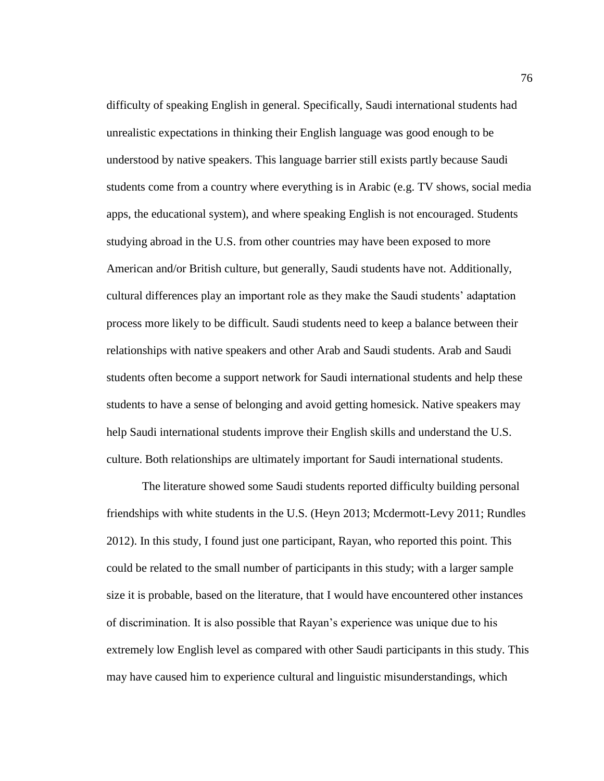difficulty of speaking English in general. Specifically, Saudi international students had unrealistic expectations in thinking their English language was good enough to be understood by native speakers. This language barrier still exists partly because Saudi students come from a country where everything is in Arabic (e.g. TV shows, social media apps, the educational system), and where speaking English is not encouraged. Students studying abroad in the U.S. from other countries may have been exposed to more American and/or British culture, but generally, Saudi students have not. Additionally, cultural differences play an important role as they make the Saudi students' adaptation process more likely to be difficult. Saudi students need to keep a balance between their relationships with native speakers and other Arab and Saudi students. Arab and Saudi students often become a support network for Saudi international students and help these students to have a sense of belonging and avoid getting homesick. Native speakers may help Saudi international students improve their English skills and understand the U.S. culture. Both relationships are ultimately important for Saudi international students.

The literature showed some Saudi students reported difficulty building personal friendships with white students in the U.S. (Heyn 2013; Mcdermott-Levy 2011; Rundles 2012). In this study, I found just one participant, Rayan, who reported this point. This could be related to the small number of participants in this study; with a larger sample size it is probable, based on the literature, that I would have encountered other instances of discrimination. It is also possible that Rayan's experience was unique due to his extremely low English level as compared with other Saudi participants in this study. This may have caused him to experience cultural and linguistic misunderstandings, which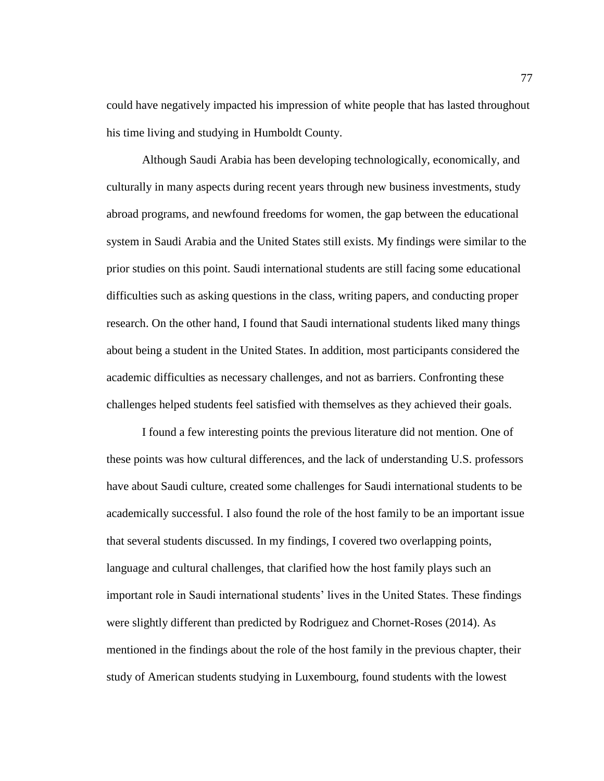could have negatively impacted his impression of white people that has lasted throughout his time living and studying in Humboldt County.

Although Saudi Arabia has been developing technologically, economically, and culturally in many aspects during recent years through new business investments, study abroad programs, and newfound freedoms for women, the gap between the educational system in Saudi Arabia and the United States still exists. My findings were similar to the prior studies on this point. Saudi international students are still facing some educational difficulties such as asking questions in the class, writing papers, and conducting proper research. On the other hand, I found that Saudi international students liked many things about being a student in the United States. In addition, most participants considered the academic difficulties as necessary challenges, and not as barriers. Confronting these challenges helped students feel satisfied with themselves as they achieved their goals.

I found a few interesting points the previous literature did not mention. One of these points was how cultural differences, and the lack of understanding U.S. professors have about Saudi culture, created some challenges for Saudi international students to be academically successful. I also found the role of the host family to be an important issue that several students discussed. In my findings, I covered two overlapping points, language and cultural challenges, that clarified how the host family plays such an important role in Saudi international students' lives in the United States. These findings were slightly different than predicted by Rodriguez and Chornet-Roses (2014). As mentioned in the findings about the role of the host family in the previous chapter, their study of American students studying in Luxembourg, found students with the lowest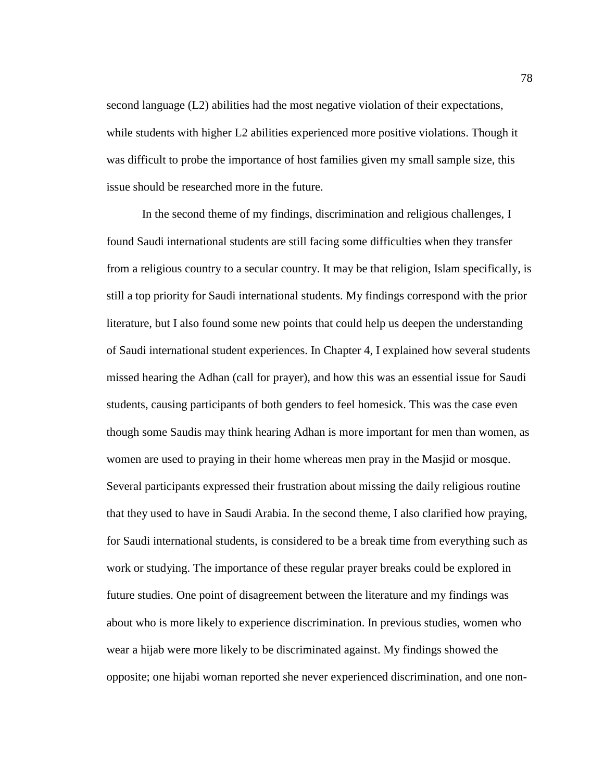second language (L2) abilities had the most negative violation of their expectations, while students with higher L2 abilities experienced more positive violations. Though it was difficult to probe the importance of host families given my small sample size, this issue should be researched more in the future.

In the second theme of my findings, discrimination and religious challenges, I found Saudi international students are still facing some difficulties when they transfer from a religious country to a secular country. It may be that religion, Islam specifically, is still a top priority for Saudi international students. My findings correspond with the prior literature, but I also found some new points that could help us deepen the understanding of Saudi international student experiences. In Chapter 4, I explained how several students missed hearing the Adhan (call for prayer), and how this was an essential issue for Saudi students, causing participants of both genders to feel homesick. This was the case even though some Saudis may think hearing Adhan is more important for men than women, as women are used to praying in their home whereas men pray in the Masjid or mosque. Several participants expressed their frustration about missing the daily religious routine that they used to have in Saudi Arabia. In the second theme, I also clarified how praying, for Saudi international students, is considered to be a break time from everything such as work or studying. The importance of these regular prayer breaks could be explored in future studies. One point of disagreement between the literature and my findings was about who is more likely to experience discrimination. In previous studies, women who wear a hijab were more likely to be discriminated against. My findings showed the opposite; one hijabi woman reported she never experienced discrimination, and one non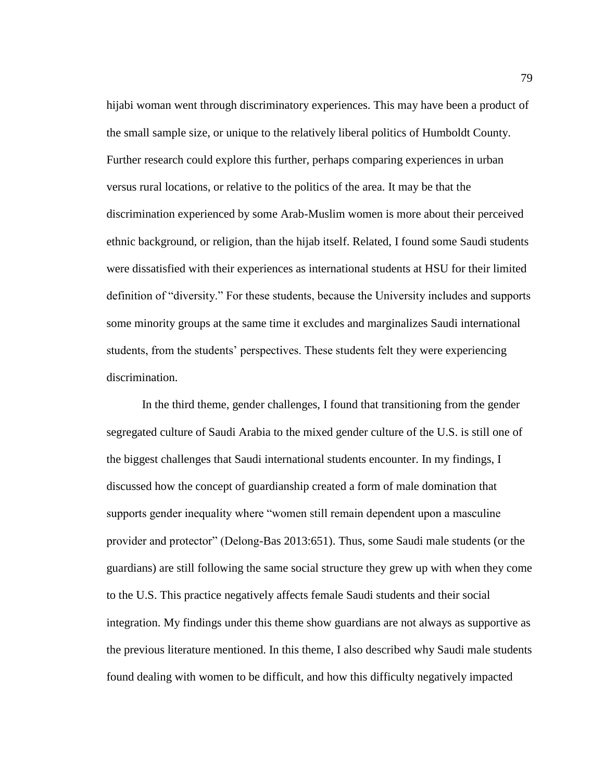hijabi woman went through discriminatory experiences. This may have been a product of the small sample size, or unique to the relatively liberal politics of Humboldt County. Further research could explore this further, perhaps comparing experiences in urban versus rural locations, or relative to the politics of the area. It may be that the discrimination experienced by some Arab-Muslim women is more about their perceived ethnic background, or religion, than the hijab itself. Related, I found some Saudi students were dissatisfied with their experiences as international students at HSU for their limited definition of "diversity." For these students, because the University includes and supports some minority groups at the same time it excludes and marginalizes Saudi international students, from the students' perspectives. These students felt they were experiencing discrimination.

In the third theme, gender challenges, I found that transitioning from the gender segregated culture of Saudi Arabia to the mixed gender culture of the U.S. is still one of the biggest challenges that Saudi international students encounter. In my findings, I discussed how the concept of guardianship created a form of male domination that supports gender inequality where "women still remain dependent upon a masculine provider and protector" (Delong-Bas 2013:651). Thus, some Saudi male students (or the guardians) are still following the same social structure they grew up with when they come to the U.S. This practice negatively affects female Saudi students and their social integration. My findings under this theme show guardians are not always as supportive as the previous literature mentioned. In this theme, I also described why Saudi male students found dealing with women to be difficult, and how this difficulty negatively impacted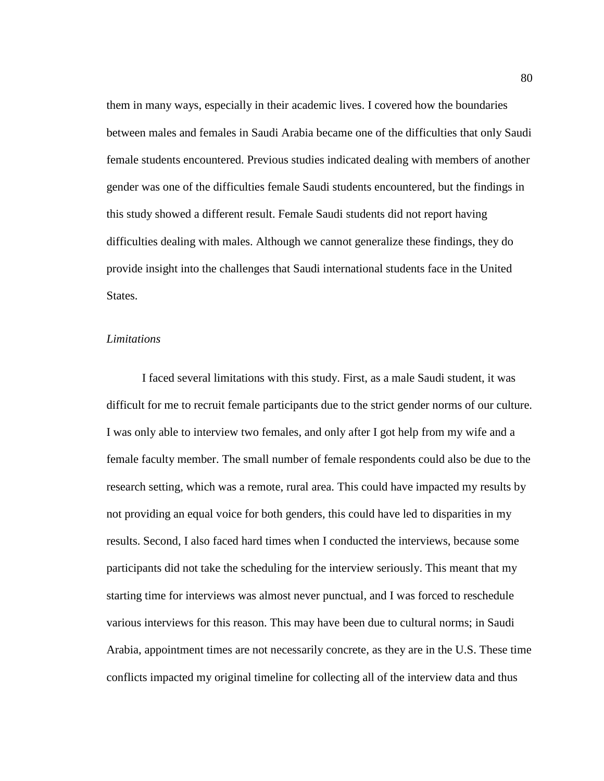them in many ways, especially in their academic lives. I covered how the boundaries between males and females in Saudi Arabia became one of the difficulties that only Saudi female students encountered. Previous studies indicated dealing with members of another gender was one of the difficulties female Saudi students encountered, but the findings in this study showed a different result. Female Saudi students did not report having difficulties dealing with males. Although we cannot generalize these findings, they do provide insight into the challenges that Saudi international students face in the United States.

## *Limitations*

I faced several limitations with this study. First, as a male Saudi student, it was difficult for me to recruit female participants due to the strict gender norms of our culture. I was only able to interview two females, and only after I got help from my wife and a female faculty member. The small number of female respondents could also be due to the research setting, which was a remote, rural area. This could have impacted my results by not providing an equal voice for both genders, this could have led to disparities in my results. Second, I also faced hard times when I conducted the interviews, because some participants did not take the scheduling for the interview seriously. This meant that my starting time for interviews was almost never punctual, and I was forced to reschedule various interviews for this reason. This may have been due to cultural norms; in Saudi Arabia, appointment times are not necessarily concrete, as they are in the U.S. These time conflicts impacted my original timeline for collecting all of the interview data and thus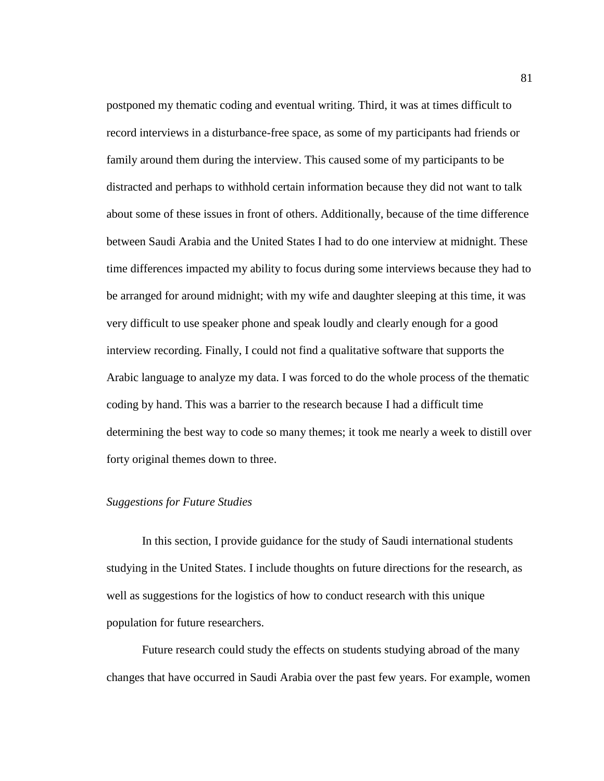postponed my thematic coding and eventual writing. Third, it was at times difficult to record interviews in a disturbance-free space, as some of my participants had friends or family around them during the interview. This caused some of my participants to be distracted and perhaps to withhold certain information because they did not want to talk about some of these issues in front of others. Additionally, because of the time difference between Saudi Arabia and the United States I had to do one interview at midnight. These time differences impacted my ability to focus during some interviews because they had to be arranged for around midnight; with my wife and daughter sleeping at this time, it was very difficult to use speaker phone and speak loudly and clearly enough for a good interview recording. Finally, I could not find a qualitative software that supports the Arabic language to analyze my data. I was forced to do the whole process of the thematic coding by hand. This was a barrier to the research because I had a difficult time determining the best way to code so many themes; it took me nearly a week to distill over forty original themes down to three.

#### *Suggestions for Future Studies*

In this section, I provide guidance for the study of Saudi international students studying in the United States. I include thoughts on future directions for the research, as well as suggestions for the logistics of how to conduct research with this unique population for future researchers.

Future research could study the effects on students studying abroad of the many changes that have occurred in Saudi Arabia over the past few years. For example, women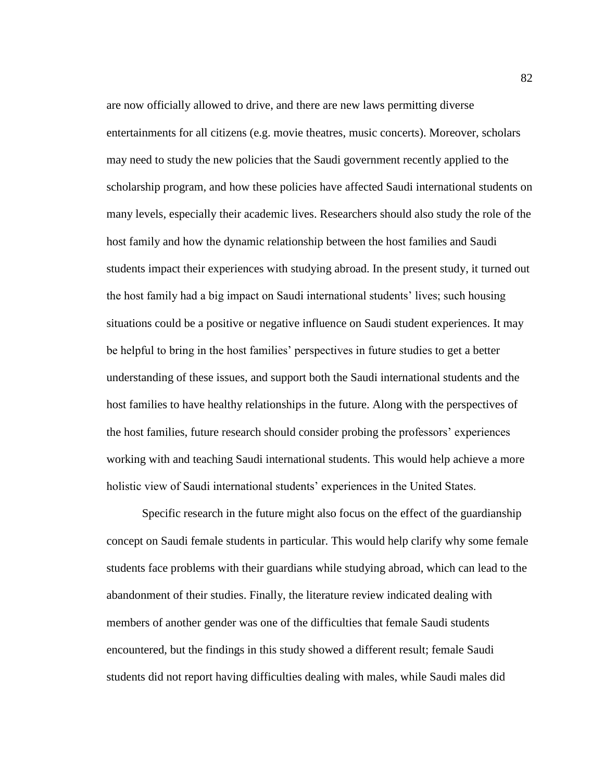are now officially allowed to drive, and there are new laws permitting diverse entertainments for all citizens (e.g. movie theatres, music concerts). Moreover, scholars may need to study the new policies that the Saudi government recently applied to the scholarship program, and how these policies have affected Saudi international students on many levels, especially their academic lives. Researchers should also study the role of the host family and how the dynamic relationship between the host families and Saudi students impact their experiences with studying abroad. In the present study, it turned out the host family had a big impact on Saudi international students' lives; such housing situations could be a positive or negative influence on Saudi student experiences. It may be helpful to bring in the host families' perspectives in future studies to get a better understanding of these issues, and support both the Saudi international students and the host families to have healthy relationships in the future. Along with the perspectives of the host families, future research should consider probing the professors' experiences working with and teaching Saudi international students. This would help achieve a more holistic view of Saudi international students' experiences in the United States.

Specific research in the future might also focus on the effect of the guardianship concept on Saudi female students in particular. This would help clarify why some female students face problems with their guardians while studying abroad, which can lead to the abandonment of their studies. Finally, the literature review indicated dealing with members of another gender was one of the difficulties that female Saudi students encountered, but the findings in this study showed a different result; female Saudi students did not report having difficulties dealing with males, while Saudi males did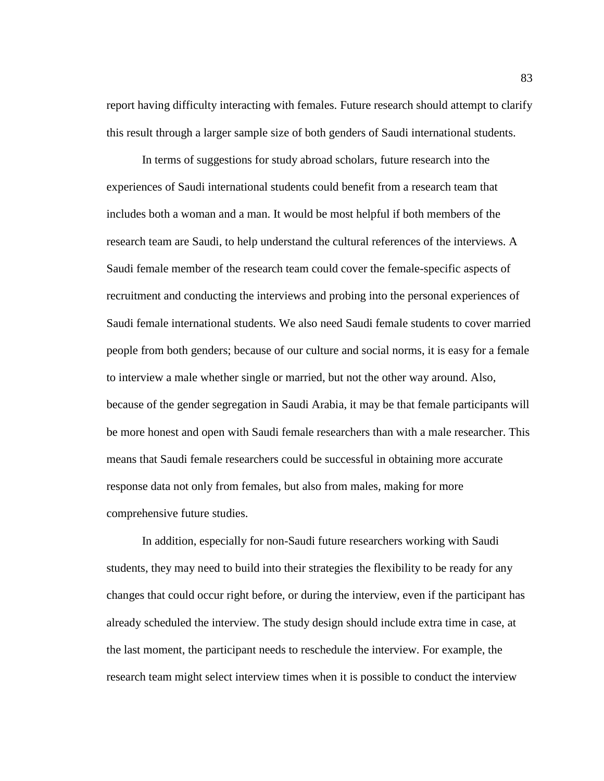report having difficulty interacting with females. Future research should attempt to clarify this result through a larger sample size of both genders of Saudi international students.

In terms of suggestions for study abroad scholars, future research into the experiences of Saudi international students could benefit from a research team that includes both a woman and a man. It would be most helpful if both members of the research team are Saudi, to help understand the cultural references of the interviews. A Saudi female member of the research team could cover the female-specific aspects of recruitment and conducting the interviews and probing into the personal experiences of Saudi female international students. We also need Saudi female students to cover married people from both genders; because of our culture and social norms, it is easy for a female to interview a male whether single or married, but not the other way around. Also, because of the gender segregation in Saudi Arabia, it may be that female participants will be more honest and open with Saudi female researchers than with a male researcher. This means that Saudi female researchers could be successful in obtaining more accurate response data not only from females, but also from males, making for more comprehensive future studies.

In addition, especially for non-Saudi future researchers working with Saudi students, they may need to build into their strategies the flexibility to be ready for any changes that could occur right before, or during the interview, even if the participant has already scheduled the interview. The study design should include extra time in case, at the last moment, the participant needs to reschedule the interview. For example, the research team might select interview times when it is possible to conduct the interview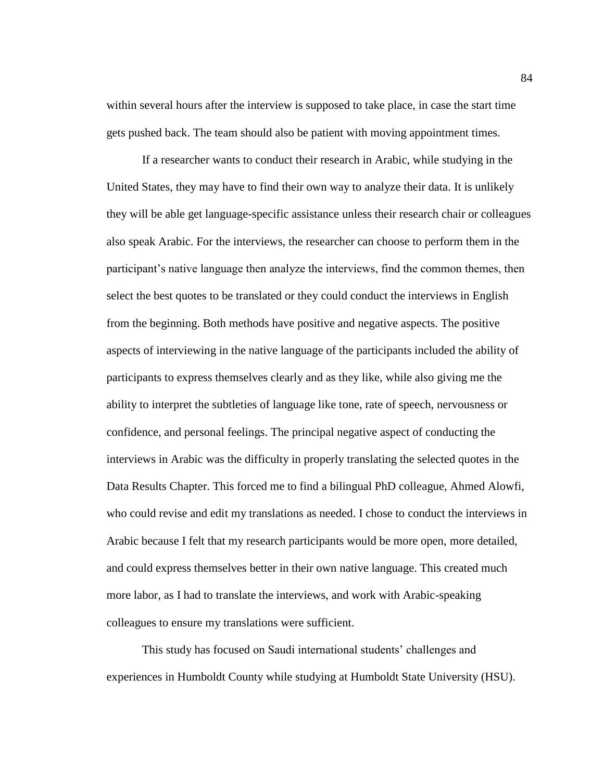within several hours after the interview is supposed to take place, in case the start time gets pushed back. The team should also be patient with moving appointment times.

If a researcher wants to conduct their research in Arabic, while studying in the United States, they may have to find their own way to analyze their data. It is unlikely they will be able get language-specific assistance unless their research chair or colleagues also speak Arabic. For the interviews, the researcher can choose to perform them in the participant's native language then analyze the interviews, find the common themes, then select the best quotes to be translated or they could conduct the interviews in English from the beginning. Both methods have positive and negative aspects. The positive aspects of interviewing in the native language of the participants included the ability of participants to express themselves clearly and as they like, while also giving me the ability to interpret the subtleties of language like tone, rate of speech, nervousness or confidence, and personal feelings. The principal negative aspect of conducting the interviews in Arabic was the difficulty in properly translating the selected quotes in the Data Results Chapter. This forced me to find a bilingual PhD colleague, Ahmed Alowfi, who could revise and edit my translations as needed. I chose to conduct the interviews in Arabic because I felt that my research participants would be more open, more detailed, and could express themselves better in their own native language. This created much more labor, as I had to translate the interviews, and work with Arabic-speaking colleagues to ensure my translations were sufficient.

This study has focused on Saudi international students' challenges and experiences in Humboldt County while studying at Humboldt State University (HSU).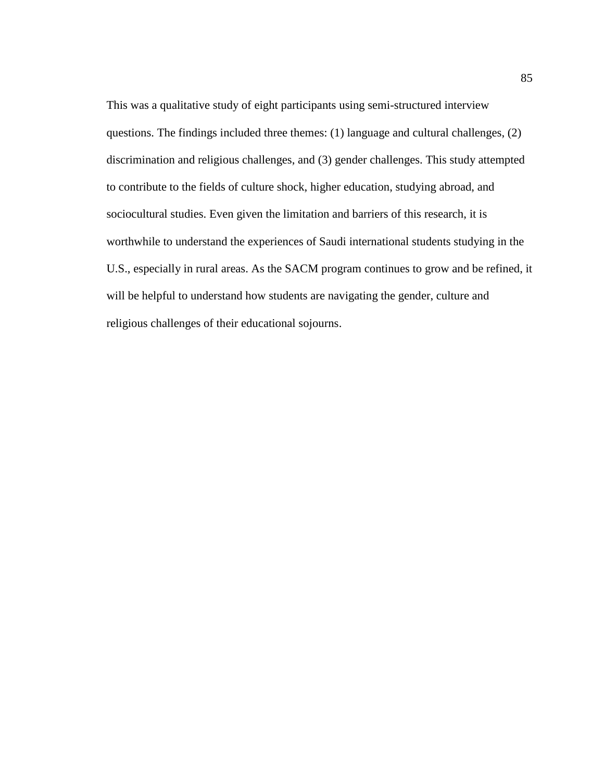This was a qualitative study of eight participants using semi-structured interview questions. The findings included three themes: (1) language and cultural challenges, (2) discrimination and religious challenges, and (3) gender challenges. This study attempted to contribute to the fields of culture shock, higher education, studying abroad, and sociocultural studies. Even given the limitation and barriers of this research, it is worthwhile to understand the experiences of Saudi international students studying in the U.S., especially in rural areas. As the SACM program continues to grow and be refined, it will be helpful to understand how students are navigating the gender, culture and religious challenges of their educational sojourns.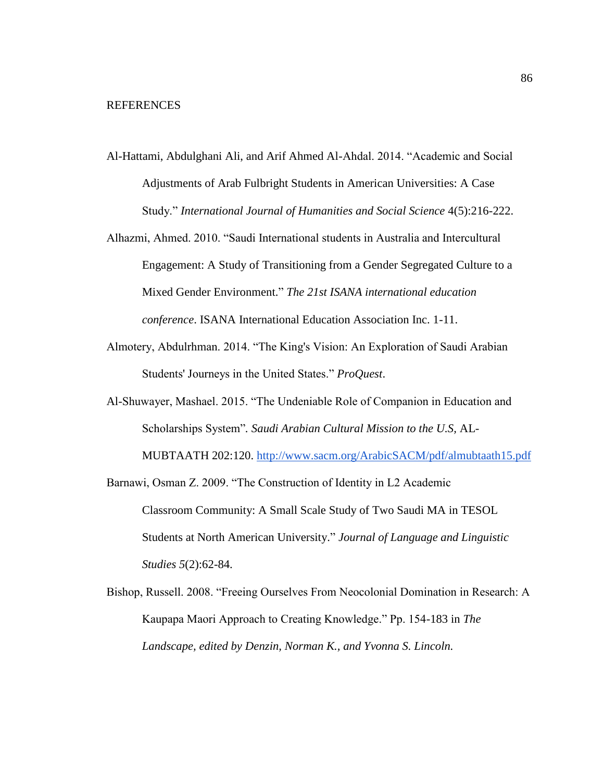- Al-Hattami, Abdulghani Ali, and Arif Ahmed Al-Ahdal. 2014. "Academic and Social Adjustments of Arab Fulbright Students in American Universities: A Case Study." *International Journal of Humanities and Social Science* 4(5):216-222.
- Alhazmi, Ahmed. 2010. "Saudi International students in Australia and Intercultural Engagement: A Study of Transitioning from a Gender Segregated Culture to a Mixed Gender Environment." *The 21st ISANA international education conference*. ISANA International Education Association Inc. 1-11.
- Almotery, Abdulrhman. 2014. "The King's Vision: An Exploration of Saudi Arabian Students' Journeys in the United States." *ProQuest*.
- Al-Shuwayer, Mashael. 2015. "The Undeniable Role of Companion in Education and Scholarships System"*. Saudi Arabian Cultural Mission to the U.S,* AL-MUBTAATH 202:120.<http://www.sacm.org/ArabicSACM/pdf/almubtaath15.pdf>
- Barnawi, Osman Z. 2009. "The Construction of Identity in L2 Academic Classroom Community: A Small Scale Study of Two Saudi MA in TESOL Students at North American University." *Journal of Language and Linguistic Studies 5*(2):62-84.
- Bishop, Russell. 2008. "Freeing Ourselves From Neocolonial Domination in Research: A Kaupapa Maori Approach to Creating Knowledge." Pp. 154-183 in *The Landscape, edited by Denzin, Norman K., and Yvonna S. Lincoln.*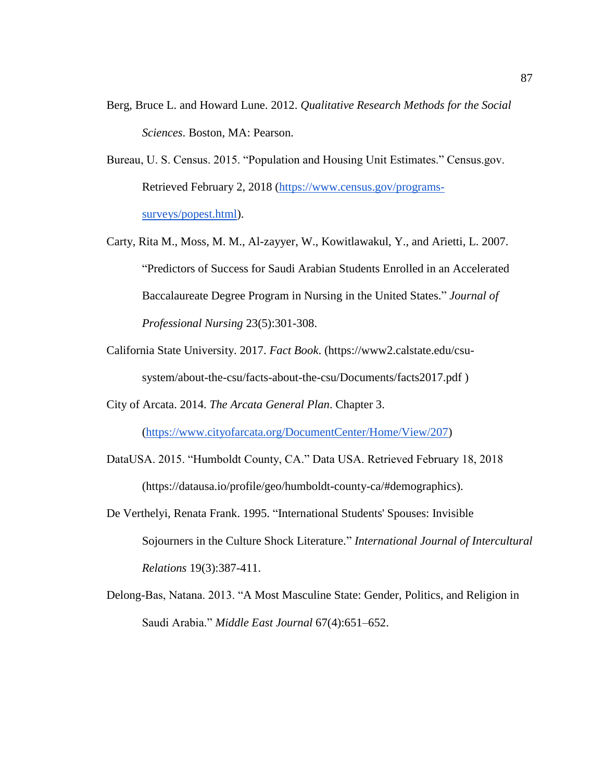- Berg, Bruce L. and Howard Lune. 2012. *Qualitative Research Methods for the Social Sciences*. Boston, MA: Pearson.
- Bureau, U. S. Census. 2015. "Population and Housing Unit Estimates." Census.gov. Retrieved February 2, 2018 [\(https://www.census.gov/programs](https://www.census.gov/programs-surveys/popest.html)[surveys/popest.html\)](https://www.census.gov/programs-surveys/popest.html).
- Carty, Rita M., Moss, M. M., Al-zayyer, W., Kowitlawakul, Y., and Arietti, L. 2007. "Predictors of Success for Saudi Arabian Students Enrolled in an Accelerated Baccalaureate Degree Program in Nursing in the United States." *Journal of Professional Nursing* 23(5):301-308.
- California State University. 2017. *Fact Book*. (https://www2.calstate.edu/csusystem/about-the-csu/facts-about-the-csu/Documents/facts2017.pdf )
- City of Arcata. 2014. *The Arcata General Plan*. Chapter 3.

[\(https://www.cityofarcata.org/DocumentCenter/Home/View/207\)](https://www.cityofarcata.org/DocumentCenter/Home/View/207)

- DataUSA. 2015. "Humboldt County, CA." Data USA. Retrieved February 18, 2018 (https://datausa.io/profile/geo/humboldt-county-ca/#demographics).
- De Verthelyi, Renata Frank. 1995. "International Students' Spouses: Invisible Sojourners in the Culture Shock Literature." *International Journal of Intercultural Relations* 19(3):387-411.
- Delong-Bas, Natana. 2013. "A Most Masculine State: Gender, Politics, and Religion in Saudi Arabia." *Middle East Journal* 67(4):651–652.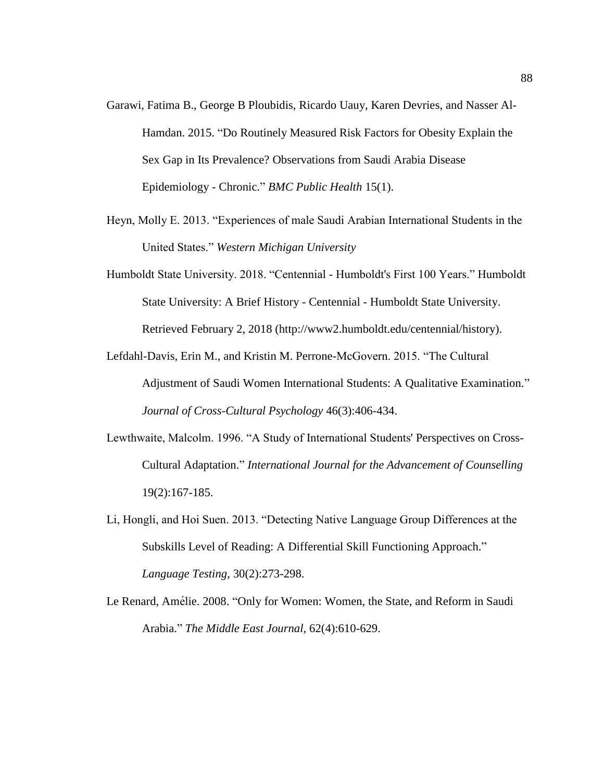- Garawi, Fatima B., George B Ploubidis, Ricardo Uauy, Karen Devries, and Nasser Al-Hamdan. 2015. "Do Routinely Measured Risk Factors for Obesity Explain the Sex Gap in Its Prevalence? Observations from Saudi Arabia Disease Epidemiology - Chronic." *BMC Public Health* 15(1).
- Heyn, Molly E. 2013. "Experiences of male Saudi Arabian International Students in the United States." *Western Michigan University*
- Humboldt State University. 2018. "Centennial Humboldt's First 100 Years." Humboldt State University: A Brief History - Centennial - Humboldt State University. Retrieved February 2, 2018 (http://www2.humboldt.edu/centennial/history).
- Lefdahl-Davis, Erin M., and Kristin M. Perrone-McGovern. 2015. "The Cultural Adjustment of Saudi Women International Students: A Qualitative Examination." *Journal of Cross-Cultural Psychology* 46(3):406-434.
- Lewthwaite, Malcolm. 1996. "A Study of International Students' Perspectives on Cross-Cultural Adaptation." *International Journal for the Advancement of Counselling* 19(2):167-185.
- Li, Hongli, and Hoi Suen. 2013. "Detecting Native Language Group Differences at the Subskills Level of Reading: A Differential Skill Functioning Approach." *Language Testing,* 30(2):273-298.
- Le Renard, Amé lie. 2008. "Only for Women: Women, the State, and Reform in Saudi Arabia." *The Middle East Journal,* 62(4):610-629.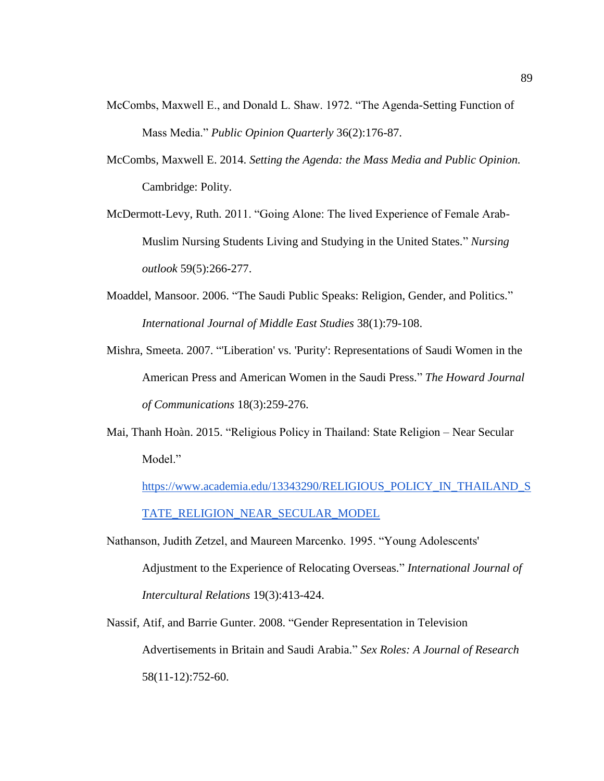- McCombs, Maxwell E., and Donald L. Shaw. 1972. "The Agenda-Setting Function of Mass Media." *Public Opinion Quarterly* 36(2):176-87.
- McCombs, Maxwell E. 2014. *Setting the Agenda: the Mass Media and Public Opinion.* Cambridge: Polity.
- McDermott-Levy, Ruth. 2011. "Going Alone: The lived Experience of Female Arab-Muslim Nursing Students Living and Studying in the United States." *Nursing outlook* 59(5):266-277.
- Moaddel, Mansoor. 2006. "The Saudi Public Speaks: Religion, Gender, and Politics." *International Journal of Middle East Studies* 38(1):79-108.
- Mishra, Smeeta. 2007. "'Liberation' vs. 'Purity': Representations of Saudi Women in the American Press and American Women in the Saudi Press." *The Howard Journal of Communications* 18(3):259-276.
- Mai, Thanh Hoàn. 2015. "Religious Policy in Thailand: State Religion Near Secular Model."

[https://www.academia.edu/13343290/RELIGIOUS\\_POLICY\\_IN\\_THAILAND\\_S](https://www.academia.edu/13343290/RELIGIOUS_POLICY_IN_THAILAND_STATE_RELIGION_NEAR_SECULAR_MODEL) [TATE\\_RELIGION\\_NEAR\\_SECULAR\\_MODEL](https://www.academia.edu/13343290/RELIGIOUS_POLICY_IN_THAILAND_STATE_RELIGION_NEAR_SECULAR_MODEL)

- Nathanson, Judith Zetzel, and Maureen Marcenko. 1995. "Young Adolescents' Adjustment to the Experience of Relocating Overseas." *International Journal of Intercultural Relations* 19(3):413-424.
- Nassif, Atif, and Barrie Gunter. 2008. "Gender Representation in Television Advertisements in Britain and Saudi Arabia." *Sex Roles: A Journal of Research* 58(11-12):752-60.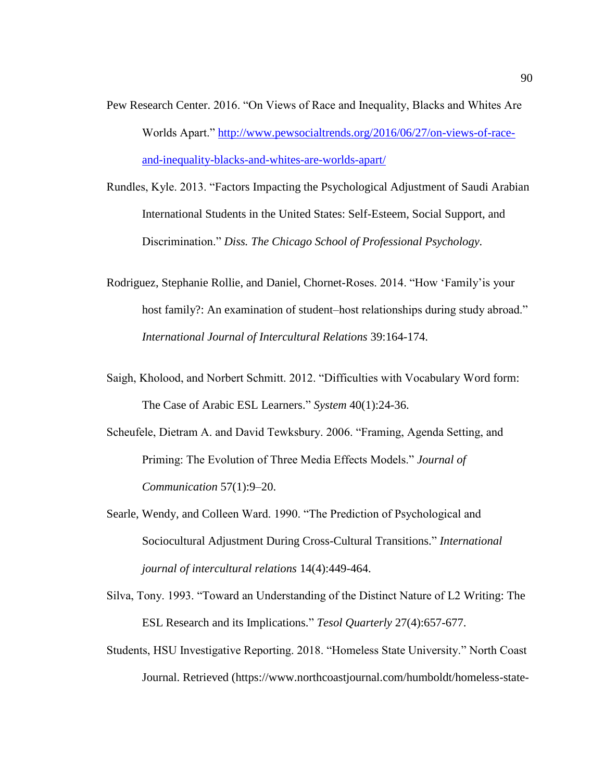- Pew Research Center. 2016. "On Views of Race and Inequality, Blacks and Whites Are Worlds Apart." [http://www.pewsocialtrends.org/2016/06/27/on-views-of-race](http://www.pewsocialtrends.org/2016/06/27/on-views-of-race-and-inequality-blacks-and-whites-are-worlds-apart/)[and-inequality-blacks-and-whites-are-worlds-apart/](http://www.pewsocialtrends.org/2016/06/27/on-views-of-race-and-inequality-blacks-and-whites-are-worlds-apart/)
- Rundles, Kyle. 2013. "Factors Impacting the Psychological Adjustment of Saudi Arabian International Students in the United States: Self-Esteem, Social Support, and Discrimination." *Diss. The Chicago School of Professional Psychology.*
- Rodriguez, Stephanie Rollie, and Daniel, Chornet-Roses. 2014. "How 'Family'is your host family?: An examination of student–host relationships during study abroad." *International Journal of Intercultural Relations* 39:164-174.
- Saigh, Kholood, and Norbert Schmitt. 2012. "Difficulties with Vocabulary Word form: The Case of Arabic ESL Learners." *System* 40(1):24-36.
- Scheufele, Dietram A. and David Tewksbury. 2006. "Framing, Agenda Setting, and Priming: The Evolution of Three Media Effects Models." *Journal of Communication* 57(1):9–20.
- Searle, Wendy, and Colleen Ward. 1990. "The Prediction of Psychological and Sociocultural Adjustment During Cross-Cultural Transitions." *International journal of intercultural relations* 14(4):449-464.
- Silva, Tony. 1993. "Toward an Understanding of the Distinct Nature of L2 Writing: The ESL Research and its Implications." *Tesol Quarterly* 27(4):657-677.
- Students, HSU Investigative Reporting. 2018. "Homeless State University." North Coast Journal. Retrieved (https://www.northcoastjournal.com/humboldt/homeless-state-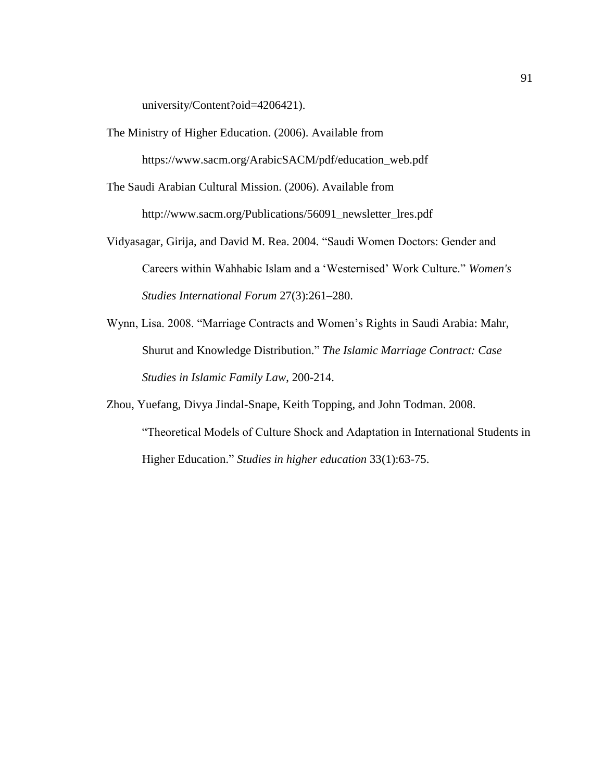university/Content?oid=4206421).

The Ministry of Higher Education. (2006). Available from

https://www.sacm.org/ArabicSACM/pdf/education\_web.pdf

The Saudi Arabian Cultural Mission. (2006). Available from

http://www.sacm.org/Publications/56091\_newsletter\_lres.pdf

- Vidyasagar, Girija, and David M. Rea. 2004. "Saudi Women Doctors: Gender and Careers within Wahhabic Islam and a 'Westernised' Work Culture." *Women's Studies International Forum* 27(3):261–280.
- Wynn, Lisa. 2008. "Marriage Contracts and Women's Rights in Saudi Arabia: Mahr, Shurut and Knowledge Distribution." *The Islamic Marriage Contract: Case Studies in Islamic Family Law*, 200-214.
- Zhou, Yuefang, Divya Jindal-Snape, Keith Topping, and John Todman. 2008. "Theoretical Models of Culture Shock and Adaptation in International Students in Higher Education." *Studies in higher education* 33(1):63-75.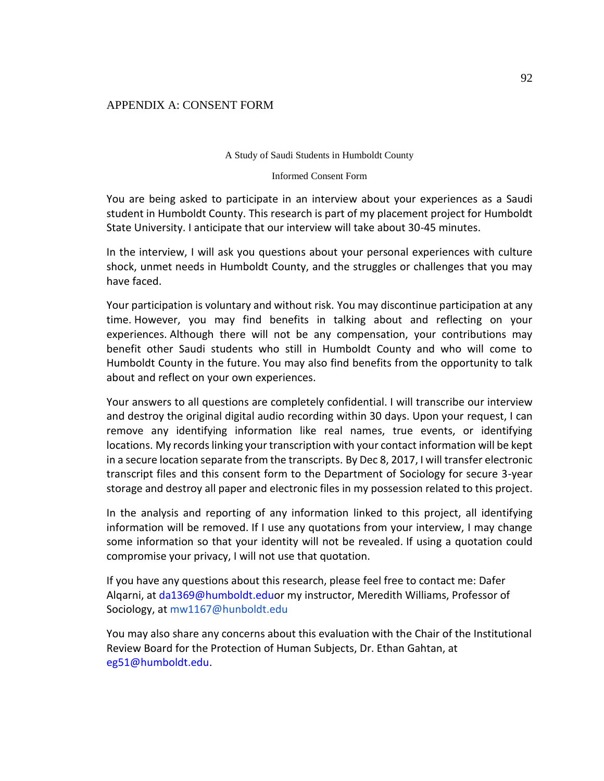## APPENDIX A: CONSENT FORM

#### A Study of Saudi Students in Humboldt County

#### Informed Consent Form

You are being asked to participate in an interview about your experiences as a Saudi student in Humboldt County. This research is part of my placement project for Humboldt State University. I anticipate that our interview will take about 30-45 minutes.

In the interview, I will ask you questions about your personal experiences with culture shock, unmet needs in Humboldt County, and the struggles or challenges that you may have faced.

Your participation is voluntary and without risk. You may discontinue participation at any time. However, you may find benefits in talking about and reflecting on your experiences. Although there will not be any compensation, your contributions may benefit other Saudi students who still in Humboldt County and who will come to Humboldt County in the future. You may also find benefits from the opportunity to talk about and reflect on your own experiences.

Your answers to all questions are completely confidential. I will transcribe our interview and destroy the original digital audio recording within 30 days. Upon your request, I can remove any identifying information like real names, true events, or identifying locations. My records linking your transcription with your contact information will be kept in a secure location separate from the transcripts. By Dec 8, 2017, I will transfer electronic transcript files and this consent form to the Department of Sociology for secure 3-year storage and destroy all paper and electronic files in my possession related to this project.

In the analysis and reporting of any information linked to this project, all identifying information will be removed. If I use any quotations from your interview, I may change some information so that your identity will not be revealed. If using a quotation could compromise your privacy, I will not use that quotation.

If you have any questions about this research, please feel free to contact me: Dafer Alqarni, at da1369@humboldt.eduor my instructor, Meredith Williams, Professor of Sociology, at mw1167@hunboldt.edu

You may also share any concerns about this evaluation with the Chair of the Institutional Review Board for the Protection of Human Subjects, Dr. Ethan Gahtan, at eg51@humboldt.edu.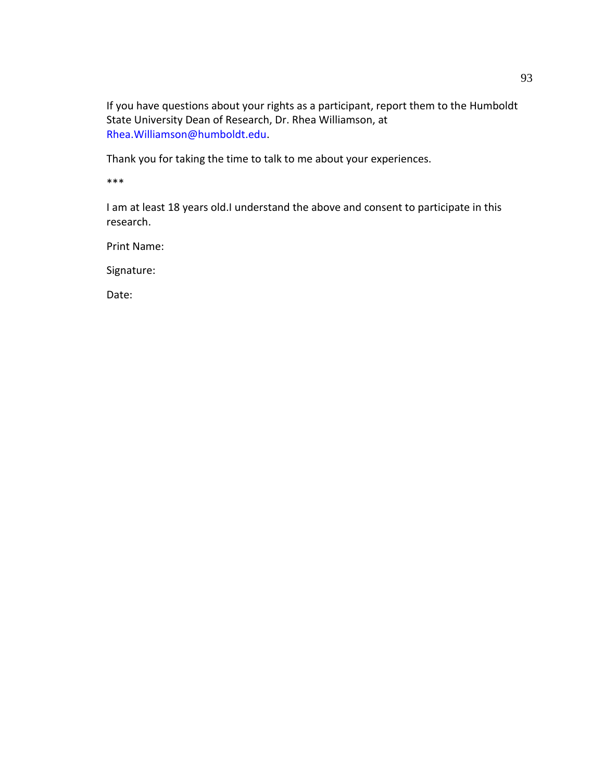If you have questions about your rights as a participant, report them to the Humboldt State University Dean of Research, Dr. Rhea Williamson, at Rhea.Williamson@humboldt.edu.

Thank you for taking the time to talk to me about your experiences.

\*\*\*

I am at least 18 years old.I understand the above and consent to participate in this research.

Print Name:

Signature:

Date: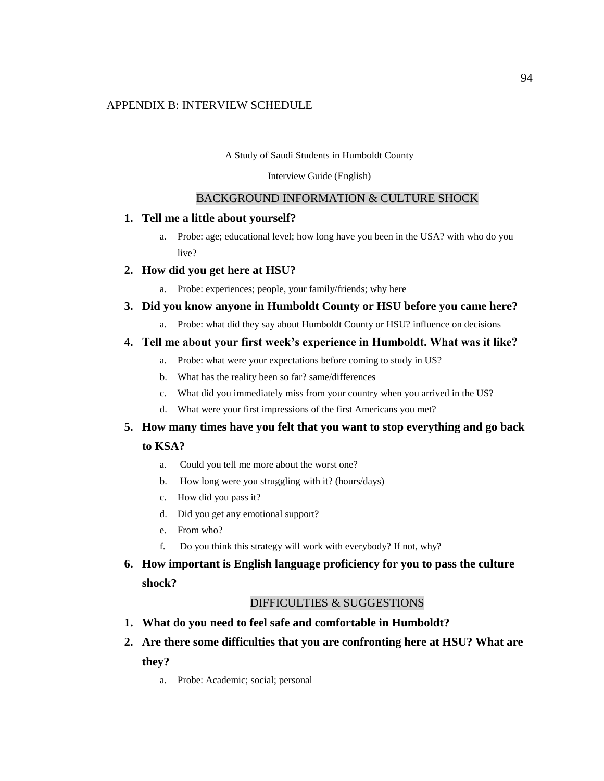## APPENDIX B: INTERVIEW SCHEDULE

#### A Study of Saudi Students in Humboldt County

#### Interview Guide (English)

## BACKGROUND INFORMATION & CULTURE SHOCK

## **1. Tell me a little about yourself?**

a. Probe: age; educational level; how long have you been in the USA? with who do you live?

## **2. How did you get here at HSU?**

a. Probe: experiences; people, your family/friends; why here

## **3. Did you know anyone in Humboldt County or HSU before you came here?**

a. Probe: what did they say about Humboldt County or HSU? influence on decisions

## **4. Tell me about your first week's experience in Humboldt. What was it like?**

- a. Probe: what were your expectations before coming to study in US?
- b. What has the reality been so far? same/differences
- c. What did you immediately miss from your country when you arrived in the US?
- d. What were your first impressions of the first Americans you met?

# **5. How many times have you felt that you want to stop everything and go back**

## **to KSA?**

- a. Could you tell me more about the worst one?
- b. How long were you struggling with it? (hours/days)
- c. How did you pass it?
- d. Did you get any emotional support?
- e. From who?
- f. Do you think this strategy will work with everybody? If not, why?

# **6. How important is English language proficiency for you to pass the culture shock?**

## DIFFICULTIES & SUGGESTIONS

- **1. What do you need to feel safe and comfortable in Humboldt?**
- **2. Are there some difficulties that you are confronting here at HSU? What are they?**
	- a. Probe: Academic; social; personal